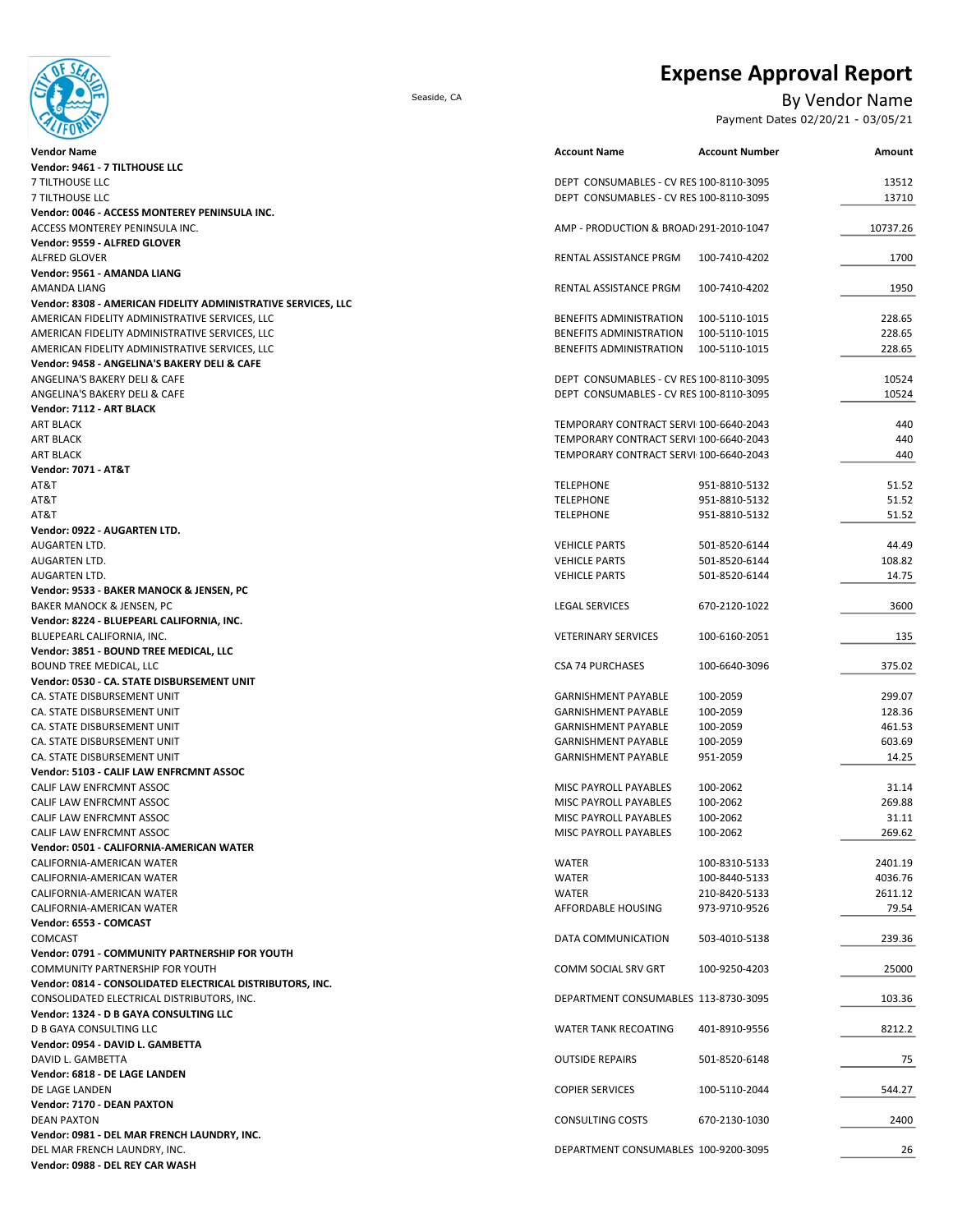Expense Approval Report



Seaside, CA By Vendor Name

Payment Dates 02/20/21 - 03/05/21

| <b>Vendor Name</b>                                            | <b>Account Name</b>                     | <b>Account Number</b> | Amount   |
|---------------------------------------------------------------|-----------------------------------------|-----------------------|----------|
| Vendor: 9461 - 7 TILTHOUSE LLC                                |                                         |                       |          |
| 7 TILTHOUSE LLC                                               | DEPT CONSUMABLES - CV RES 100-8110-3095 |                       | 13512    |
| 7 TILTHOUSE LLC                                               | DEPT CONSUMABLES - CV RES 100-8110-3095 |                       | 13710    |
| Vendor: 0046 - ACCESS MONTEREY PENINSULA INC.                 |                                         |                       |          |
| ACCESS MONTEREY PENINSULA INC.                                | AMP - PRODUCTION & BROAD 291-2010-1047  |                       | 10737.26 |
| Vendor: 9559 - ALFRED GLOVER                                  |                                         |                       |          |
| <b>ALFRED GLOVER</b>                                          | RENTAL ASSISTANCE PRGM                  | 100-7410-4202         | 1700     |
| Vendor: 9561 - AMANDA LIANG                                   |                                         |                       |          |
| AMANDA LIANG                                                  | RENTAL ASSISTANCE PRGM                  | 100-7410-4202         | 1950     |
| Vendor: 8308 - AMERICAN FIDELITY ADMINISTRATIVE SERVICES, LLC |                                         |                       |          |
| AMERICAN FIDELITY ADMINISTRATIVE SERVICES, LLC                | BENEFITS ADMINISTRATION                 | 100-5110-1015         | 228.65   |
| AMERICAN FIDELITY ADMINISTRATIVE SERVICES, LLC                | BENEFITS ADMINISTRATION                 | 100-5110-1015         | 228.65   |
| AMERICAN FIDELITY ADMINISTRATIVE SERVICES, LLC                | BENEFITS ADMINISTRATION                 | 100-5110-1015         | 228.65   |
| Vendor: 9458 - ANGELINA'S BAKERY DELI & CAFE                  |                                         |                       |          |
| ANGELINA'S BAKERY DELI & CAFE                                 | DEPT CONSUMABLES - CV RES 100-8110-3095 |                       | 10524    |
| ANGELINA'S BAKERY DELI & CAFE                                 | DEPT CONSUMABLES - CV RES 100-8110-3095 |                       | 10524    |
| Vendor: 7112 - ART BLACK                                      |                                         |                       |          |
| <b>ART BLACK</b>                                              | TEMPORARY CONTRACT SERVI 100-6640-2043  |                       | 440      |
| <b>ART BLACK</b>                                              | TEMPORARY CONTRACT SERVI 100-6640-2043  |                       | 440      |
| <b>ART BLACK</b>                                              | TEMPORARY CONTRACT SERVI 100-6640-2043  |                       | 440      |
| <b>Vendor: 7071 - AT&amp;T</b>                                |                                         |                       |          |
| AT&T                                                          | <b>TELEPHONE</b>                        | 951-8810-5132         | 51.52    |
| AT&T                                                          | <b>TELEPHONE</b>                        | 951-8810-5132         | 51.52    |
| AT&T                                                          | <b>TELEPHONE</b>                        | 951-8810-5132         | 51.52    |
| Vendor: 0922 - AUGARTEN LTD.                                  |                                         |                       |          |
| AUGARTEN LTD.                                                 | <b>VEHICLE PARTS</b>                    | 501-8520-6144         | 44.49    |
| AUGARTEN LTD.                                                 | <b>VEHICLE PARTS</b>                    | 501-8520-6144         | 108.82   |
| AUGARTEN LTD.                                                 | <b>VEHICLE PARTS</b>                    | 501-8520-6144         | 14.75    |
| Vendor: 9533 - BAKER MANOCK & JENSEN, PC                      |                                         |                       |          |
| BAKER MANOCK & JENSEN, PC                                     | <b>LEGAL SERVICES</b>                   | 670-2120-1022         | 3600     |
| Vendor: 8224 - BLUEPEARL CALIFORNIA, INC.                     |                                         |                       |          |
| BLUEPEARL CALIFORNIA, INC.                                    | <b>VETERINARY SERVICES</b>              | 100-6160-2051         | 135      |
| Vendor: 3851 - BOUND TREE MEDICAL, LLC                        |                                         |                       |          |
| BOUND TREE MEDICAL, LLC                                       | <b>CSA 74 PURCHASES</b>                 | 100-6640-3096         | 375.02   |
| Vendor: 0530 - CA. STATE DISBURSEMENT UNIT                    |                                         |                       |          |
| CA. STATE DISBURSEMENT UNIT                                   | <b>GARNISHMENT PAYABLE</b>              | 100-2059              | 299.07   |
| CA. STATE DISBURSEMENT UNIT                                   | <b>GARNISHMENT PAYABLE</b>              | 100-2059              | 128.36   |
| CA. STATE DISBURSEMENT UNIT                                   | <b>GARNISHMENT PAYABLE</b>              | 100-2059              | 461.53   |
| CA. STATE DISBURSEMENT UNIT                                   | <b>GARNISHMENT PAYABLE</b>              | 100-2059              | 603.69   |
| CA. STATE DISBURSEMENT UNIT                                   | <b>GARNISHMENT PAYABLE</b>              | 951-2059              | 14.25    |
| Vendor: 5103 - CALIF LAW ENFRCMNT ASSOC                       |                                         |                       |          |
| CALIF LAW ENFRCMNT ASSOC                                      | MISC PAYROLL PAYABLES                   | 100-2062              | 31.14    |
| CALIF LAW ENFRCMNT ASSOC                                      | MISC PAYROLL PAYABLES                   | 100-2062              | 269.88   |
| CALIF LAW ENFRCMNT ASSOC                                      | MISC PAYROLL PAYABLES                   | 100-2062              | 31.11    |
| CALIF LAW ENFRCMNT ASSOC                                      | MISC PAYROLL PAYABLES                   | 100-2062              | 269.62   |
| Vendor: 0501 - CALIFORNIA-AMERICAN WATER                      |                                         |                       |          |
| CALIFORNIA-AMERICAN WATER                                     | WATER                                   | 100-8310-5133         | 2401.19  |
| CALIFORNIA-AMERICAN WATER                                     | <b>WATER</b>                            | 100-8440-5133         | 4036.76  |
| CALIFORNIA-AMERICAN WATER                                     | WATER                                   | 210-8420-5133         | 2611.12  |
| CALIFORNIA-AMERICAN WATER                                     | AFFORDABLE HOUSING                      | 973-9710-9526         | 79.54    |
| Vendor: 6553 - COMCAST                                        |                                         |                       |          |
| COMCAST                                                       | DATA COMMUNICATION                      | 503-4010-5138         | 239.36   |
| Vendor: 0791 - COMMUNITY PARTNERSHIP FOR YOUTH                |                                         |                       |          |
| COMMUNITY PARTNERSHIP FOR YOUTH                               | COMM SOCIAL SRV GRT                     | 100-9250-4203         | 25000    |
| Vendor: 0814 - CONSOLIDATED ELECTRICAL DISTRIBUTORS, INC.     |                                         |                       |          |
| CONSOLIDATED ELECTRICAL DISTRIBUTORS, INC.                    | DEPARTMENT CONSUMABLES 113-8730-3095    |                       | 103.36   |
| Vendor: 1324 - D B GAYA CONSULTING LLC                        |                                         |                       |          |
| D B GAYA CONSULTING LLC                                       | <b>WATER TANK RECOATING</b>             | 401-8910-9556         | 8212.2   |
| Vendor: 0954 - DAVID L. GAMBETTA                              |                                         |                       |          |
| DAVID L. GAMBETTA                                             | <b>OUTSIDE REPAIRS</b>                  | 501-8520-6148         | 75       |
| Vendor: 6818 - DE LAGE LANDEN                                 |                                         |                       |          |
| DE LAGE LANDEN                                                | <b>COPIER SERVICES</b>                  | 100-5110-2044         | 544.27   |
| Vendor: 7170 - DEAN PAXTON                                    |                                         |                       |          |
| <b>DEAN PAXTON</b>                                            | <b>CONSULTING COSTS</b>                 | 670-2130-1030         | 2400     |
| Vendor: 0981 - DEL MAR FRENCH LAUNDRY, INC.                   |                                         |                       |          |
| DEL MAR FRENCH LAUNDRY, INC.                                  | DEPARTMENT CONSUMABLES 100-9200-3095    |                       | 26       |
| Vendor: 0988 - DEL REY CAR WASH                               |                                         |                       |          |
|                                                               |                                         |                       |          |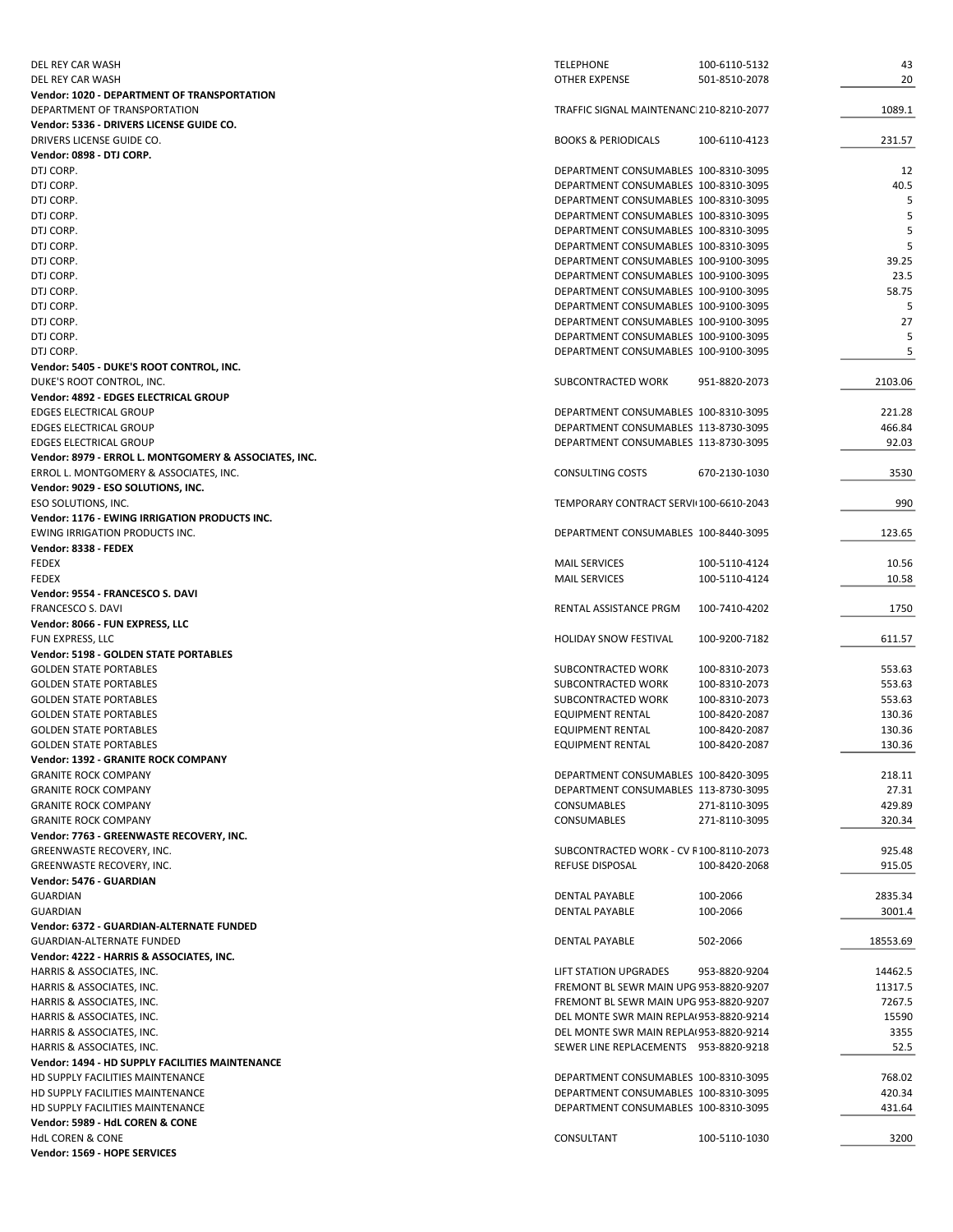| DEL REY CAR WASH                                      | <b>TELEPHONE</b>                        | 100-6110-5132 | 43       |
|-------------------------------------------------------|-----------------------------------------|---------------|----------|
| DEL REY CAR WASH                                      | OTHER EXPENSE                           | 501-8510-2078 | 20       |
| Vendor: 1020 - DEPARTMENT OF TRANSPORTATION           |                                         |               |          |
| DEPARTMENT OF TRANSPORTATION                          | TRAFFIC SIGNAL MAINTENANC 210-8210-2077 |               | 1089.1   |
| Vendor: 5336 - DRIVERS LICENSE GUIDE CO.              |                                         |               |          |
| DRIVERS LICENSE GUIDE CO.                             | <b>BOOKS &amp; PERIODICALS</b>          | 100-6110-4123 | 231.57   |
| Vendor: 0898 - DTJ CORP.                              |                                         |               |          |
| DTJ CORP.                                             | DEPARTMENT CONSUMABLES 100-8310-3095    |               | 12       |
| DTJ CORP.                                             | DEPARTMENT CONSUMABLES 100-8310-3095    |               | 40.5     |
| DTJ CORP.                                             | DEPARTMENT CONSUMABLES 100-8310-3095    |               | 5        |
| DTJ CORP.                                             | DEPARTMENT CONSUMABLES 100-8310-3095    |               | 5        |
| DTJ CORP.                                             | DEPARTMENT CONSUMABLES 100-8310-3095    |               | 5        |
| DTJ CORP.                                             | DEPARTMENT CONSUMABLES 100-8310-3095    |               | 5        |
| DTJ CORP.                                             | DEPARTMENT CONSUMABLES 100-9100-3095    |               | 39.25    |
| DTJ CORP.                                             | DEPARTMENT CONSUMABLES 100-9100-3095    |               | 23.5     |
| DTJ CORP.                                             | DEPARTMENT CONSUMABLES 100-9100-3095    |               | 58.75    |
| DTJ CORP.                                             | DEPARTMENT CONSUMABLES 100-9100-3095    |               | 5        |
| DTJ CORP.                                             | DEPARTMENT CONSUMABLES 100-9100-3095    |               | 27       |
| DTJ CORP.                                             | DEPARTMENT CONSUMABLES 100-9100-3095    |               | 5        |
| DTJ CORP.                                             | DEPARTMENT CONSUMABLES 100-9100-3095    |               | 5        |
| Vendor: 5405 - DUKE'S ROOT CONTROL, INC.              |                                         |               |          |
| DUKE'S ROOT CONTROL, INC.                             | SUBCONTRACTED WORK                      | 951-8820-2073 | 2103.06  |
| Vendor: 4892 - EDGES ELECTRICAL GROUP                 |                                         |               |          |
| <b>EDGES ELECTRICAL GROUP</b>                         | DEPARTMENT CONSUMABLES 100-8310-3095    |               | 221.28   |
| EDGES ELECTRICAL GROUP                                | DEPARTMENT CONSUMABLES 113-8730-3095    |               | 466.84   |
| EDGES ELECTRICAL GROUP                                | DEPARTMENT CONSUMABLES 113-8730-3095    |               | 92.03    |
| Vendor: 8979 - ERROL L. MONTGOMERY & ASSOCIATES, INC. |                                         |               |          |
|                                                       | <b>CONSULTING COSTS</b>                 |               |          |
| ERROL L. MONTGOMERY & ASSOCIATES, INC.                |                                         | 670-2130-1030 | 3530     |
| Vendor: 9029 - ESO SOLUTIONS, INC.                    |                                         |               |          |
| ESO SOLUTIONS, INC.                                   | TEMPORARY CONTRACT SERVI 100-6610-2043  |               | 990      |
| Vendor: 1176 - EWING IRRIGATION PRODUCTS INC.         |                                         |               |          |
| EWING IRRIGATION PRODUCTS INC.                        | DEPARTMENT CONSUMABLES 100-8440-3095    |               | 123.65   |
| Vendor: 8338 - FEDEX                                  |                                         |               |          |
| <b>FEDEX</b>                                          | <b>MAIL SERVICES</b>                    | 100-5110-4124 | 10.56    |
| FEDEX                                                 | <b>MAIL SERVICES</b>                    | 100-5110-4124 | 10.58    |
| Vendor: 9554 - FRANCESCO S. DAVI                      |                                         |               |          |
| <b>FRANCESCO S. DAVI</b>                              | RENTAL ASSISTANCE PRGM                  | 100-7410-4202 | 1750     |
| Vendor: 8066 - FUN EXPRESS, LLC                       |                                         |               |          |
| FUN EXPRESS, LLC                                      | <b>HOLIDAY SNOW FESTIVAL</b>            | 100-9200-7182 | 611.57   |
| Vendor: 5198 - GOLDEN STATE PORTABLES                 |                                         |               |          |
| <b>GOLDEN STATE PORTABLES</b>                         | SUBCONTRACTED WORK                      | 100-8310-2073 | 553.63   |
| <b>GOLDEN STATE PORTABLES</b>                         | SUBCONTRACTED WORK                      | 100-8310-2073 | 553.63   |
| <b>GOLDEN STATE PORTABLES</b>                         | SUBCONTRACTED WORK                      | 100-8310-2073 | 553.63   |
| <b>GOLDEN STATE PORTABLES</b>                         | <b>EQUIPMENT RENTAL</b>                 | 100-8420-2087 | 130.36   |
| <b>GOLDEN STATE PORTABLES</b>                         | EQUIPMENT RENTAL                        | 100-8420-2087 | 130.36   |
| <b>GOLDEN STATE PORTABLES</b>                         | <b>EQUIPMENT RENTAL</b>                 | 100-8420-2087 | 130.36   |
| Vendor: 1392 - GRANITE ROCK COMPANY                   |                                         |               |          |
| <b>GRANITE ROCK COMPANY</b>                           | DEPARTMENT CONSUMABLES 100-8420-3095    |               | 218.11   |
| <b>GRANITE ROCK COMPANY</b>                           | DEPARTMENT CONSUMABLES 113-8730-3095    |               | 27.31    |
| <b>GRANITE ROCK COMPANY</b>                           | <b>CONSUMABLES</b>                      | 271-8110-3095 | 429.89   |
| <b>GRANITE ROCK COMPANY</b>                           | <b>CONSUMABLES</b>                      | 271-8110-3095 | 320.34   |
| Vendor: 7763 - GREENWASTE RECOVERY, INC.              |                                         |               |          |
| GREENWASTE RECOVERY, INC.                             | SUBCONTRACTED WORK - CV F100-8110-2073  |               | 925.48   |
| GREENWASTE RECOVERY, INC.                             | REFUSE DISPOSAL                         | 100-8420-2068 | 915.05   |
| Vendor: 5476 - GUARDIAN                               |                                         |               |          |
| <b>GUARDIAN</b>                                       | DENTAL PAYABLE                          | 100-2066      | 2835.34  |
| <b>GUARDIAN</b>                                       | <b>DENTAL PAYABLE</b>                   | 100-2066      | 3001.4   |
| Vendor: 6372 - GUARDIAN-ALTERNATE FUNDED              |                                         |               |          |
| GUARDIAN-ALTERNATE FUNDED                             | DENTAL PAYABLE                          | 502-2066      | 18553.69 |
|                                                       |                                         |               |          |
| Vendor: 4222 - HARRIS & ASSOCIATES, INC.              |                                         |               |          |
| HARRIS & ASSOCIATES, INC.                             | LIFT STATION UPGRADES                   | 953-8820-9204 | 14462.5  |
| HARRIS & ASSOCIATES, INC.                             | FREMONT BL SEWR MAIN UPG 953-8820-9207  |               | 11317.5  |
| HARRIS & ASSOCIATES, INC.                             | FREMONT BL SEWR MAIN UPG 953-8820-9207  |               | 7267.5   |
| HARRIS & ASSOCIATES, INC.                             | DEL MONTE SWR MAIN REPLA(953-8820-9214  |               | 15590    |
| HARRIS & ASSOCIATES, INC.                             | DEL MONTE SWR MAIN REPLA(953-8820-9214  |               | 3355     |
| HARRIS & ASSOCIATES, INC.                             | SEWER LINE REPLACEMENTS 953-8820-9218   |               | 52.5     |
| Vendor: 1494 - HD SUPPLY FACILITIES MAINTENANCE       |                                         |               |          |
| HD SUPPLY FACILITIES MAINTENANCE                      | DEPARTMENT CONSUMABLES 100-8310-3095    |               | 768.02   |
| HD SUPPLY FACILITIES MAINTENANCE                      | DEPARTMENT CONSUMABLES 100-8310-3095    |               | 420.34   |
| HD SUPPLY FACILITIES MAINTENANCE                      | DEPARTMENT CONSUMABLES 100-8310-3095    |               | 431.64   |
| Vendor: 5989 - HdL COREN & CONE                       |                                         |               |          |
| <b>HdL COREN &amp; CONE</b>                           | CONSULTANT                              | 100-5110-1030 | 3200     |
| Vendor: 1569 - HOPE SERVICES                          |                                         |               |          |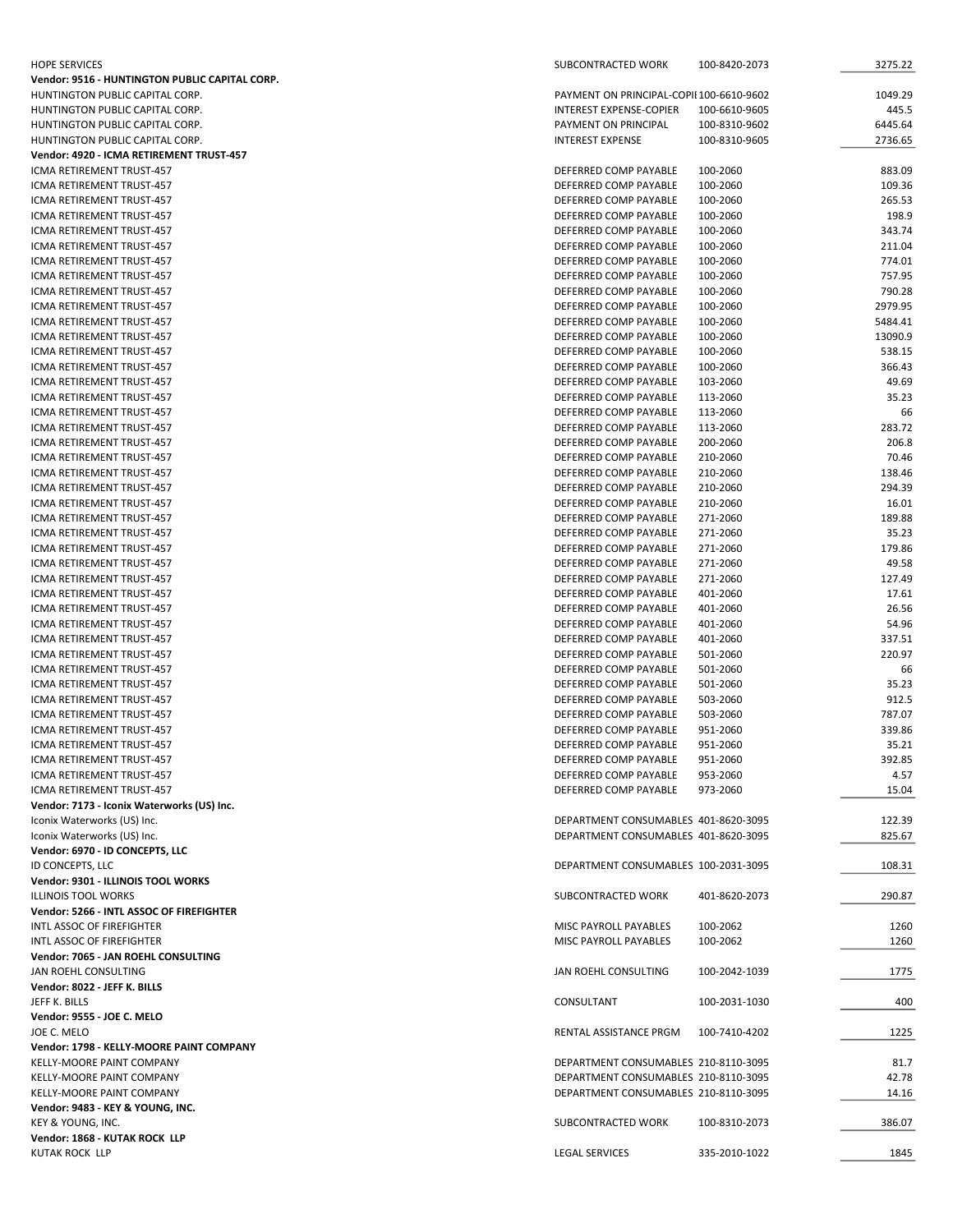| <b>HOPE SERVICES</b>                                   | SUBCONTRACTED WORK                             | 100-8420-2073        | 3275.22          |
|--------------------------------------------------------|------------------------------------------------|----------------------|------------------|
| Vendor: 9516 - HUNTINGTON PUBLIC CAPITAL CORP.         |                                                |                      |                  |
| HUNTINGTON PUBLIC CAPITAL CORP.                        | PAYMENT ON PRINCIPAL-COPII 100-6610-9602       |                      | 1049.29          |
| HUNTINGTON PUBLIC CAPITAL CORP.                        | INTEREST EXPENSE-COPIER                        | 100-6610-9605        | 445.5            |
| HUNTINGTON PUBLIC CAPITAL CORP.                        | PAYMENT ON PRINCIPAL                           | 100-8310-9602        | 6445.64          |
| HUNTINGTON PUBLIC CAPITAL CORP.                        | <b>INTEREST EXPENSE</b>                        | 100-8310-9605        | 2736.65          |
| Vendor: 4920 - ICMA RETIREMENT TRUST-457               |                                                |                      |                  |
| ICMA RETIREMENT TRUST-457<br>ICMA RETIREMENT TRUST-457 | DEFERRED COMP PAYABLE<br>DEFERRED COMP PAYABLE | 100-2060<br>100-2060 | 883.09<br>109.36 |
| ICMA RETIREMENT TRUST-457                              | DEFERRED COMP PAYABLE                          | 100-2060             | 265.53           |
| ICMA RETIREMENT TRUST-457                              | DEFERRED COMP PAYABLE                          | 100-2060             | 198.9            |
| ICMA RETIREMENT TRUST-457                              | DEFERRED COMP PAYABLE                          | 100-2060             | 343.74           |
| ICMA RETIREMENT TRUST-457                              | DEFERRED COMP PAYABLE                          | 100-2060             | 211.04           |
| ICMA RETIREMENT TRUST-457                              | DEFERRED COMP PAYABLE                          | 100-2060             | 774.01           |
| ICMA RETIREMENT TRUST-457                              | DEFERRED COMP PAYABLE                          | 100-2060             | 757.95           |
| ICMA RETIREMENT TRUST-457                              | DEFERRED COMP PAYABLE                          | 100-2060             | 790.28           |
| ICMA RETIREMENT TRUST-457                              | DEFERRED COMP PAYABLE                          | 100-2060             | 2979.95          |
| ICMA RETIREMENT TRUST-457                              | DEFERRED COMP PAYABLE                          | 100-2060             | 5484.41          |
| ICMA RETIREMENT TRUST-457                              | DEFERRED COMP PAYABLE                          | 100-2060             | 13090.9          |
| ICMA RETIREMENT TRUST-457<br>ICMA RETIREMENT TRUST-457 | DEFERRED COMP PAYABLE<br>DEFERRED COMP PAYABLE | 100-2060<br>100-2060 | 538.15<br>366.43 |
| ICMA RETIREMENT TRUST-457                              | DEFERRED COMP PAYABLE                          | 103-2060             | 49.69            |
| ICMA RETIREMENT TRUST-457                              | DEFERRED COMP PAYABLE                          | 113-2060             | 35.23            |
| ICMA RETIREMENT TRUST-457                              | DEFERRED COMP PAYABLE                          | 113-2060             | 66               |
| ICMA RETIREMENT TRUST-457                              | DEFERRED COMP PAYABLE                          | 113-2060             | 283.72           |
| <b>ICMA RETIREMENT TRUST-457</b>                       | DEFERRED COMP PAYABLE                          | 200-2060             | 206.8            |
| ICMA RETIREMENT TRUST-457                              | DEFERRED COMP PAYABLE                          | 210-2060             | 70.46            |
| ICMA RETIREMENT TRUST-457                              | DEFERRED COMP PAYABLE                          | 210-2060             | 138.46           |
| <b>ICMA RETIREMENT TRUST-457</b>                       | DEFERRED COMP PAYABLE                          | 210-2060             | 294.39           |
| ICMA RETIREMENT TRUST-457                              | DEFERRED COMP PAYABLE                          | 210-2060             | 16.01            |
| ICMA RETIREMENT TRUST-457                              | DEFERRED COMP PAYABLE                          | 271-2060             | 189.88           |
| ICMA RETIREMENT TRUST-457                              | DEFERRED COMP PAYABLE                          | 271-2060             | 35.23            |
| ICMA RETIREMENT TRUST-457<br>ICMA RETIREMENT TRUST-457 | DEFERRED COMP PAYABLE<br>DEFERRED COMP PAYABLE | 271-2060<br>271-2060 | 179.86<br>49.58  |
| ICMA RETIREMENT TRUST-457                              | DEFERRED COMP PAYABLE                          | 271-2060             | 127.49           |
| ICMA RETIREMENT TRUST-457                              | DEFERRED COMP PAYABLE                          | 401-2060             | 17.61            |
| ICMA RETIREMENT TRUST-457                              | DEFERRED COMP PAYABLE                          | 401-2060             | 26.56            |
| ICMA RETIREMENT TRUST-457                              | DEFERRED COMP PAYABLE                          | 401-2060             | 54.96            |
| ICMA RETIREMENT TRUST-457                              | DEFERRED COMP PAYABLE                          | 401-2060             | 337.51           |
| <b>ICMA RETIREMENT TRUST-457</b>                       | DEFERRED COMP PAYABLE                          | 501-2060             | 220.97           |
| ICMA RETIREMENT TRUST-457                              | DEFERRED COMP PAYABLE                          | 501-2060             | 66               |
| ICMA RETIREMENT TRUST-457                              | DEFERRED COMP PAYABLE                          | 501-2060             | 35.23            |
| ICMA RETIREMENT TRUST-457                              | DEFERRED COMP PAYABLE                          | 503-2060             | 912.5            |
| <b>ICMA RETIREMENT TRUST-457</b>                       | DEFERRED COMP PAYABLE                          | 503-2060             | 787.07           |
| ICMA RETIREMENT TRUST-457<br>ICMA RETIREMENT TRUST-457 | DEFERRED COMP PAYABLE                          | 951-2060             | 339.86           |
| ICMA RETIREMENT TRUST-457                              | DEFERRED COMP PAYABLE<br>DEFERRED COMP PAYABLE | 951-2060<br>951-2060 | 35.21<br>392.85  |
| ICMA RETIREMENT TRUST-457                              | DEFERRED COMP PAYABLE                          | 953-2060             | 4.57             |
| ICMA RETIREMENT TRUST-457                              | DEFERRED COMP PAYABLE                          | 973-2060             | 15.04            |
| Vendor: 7173 - Iconix Waterworks (US) Inc.             |                                                |                      |                  |
| Iconix Waterworks (US) Inc.                            | DEPARTMENT CONSUMABLES 401-8620-3095           |                      | 122.39           |
| Iconix Waterworks (US) Inc.                            | DEPARTMENT CONSUMABLES 401-8620-3095           |                      | 825.67           |
| Vendor: 6970 - ID CONCEPTS, LLC                        |                                                |                      |                  |
| ID CONCEPTS, LLC                                       | DEPARTMENT CONSUMABLES 100-2031-3095           |                      | 108.31           |
| Vendor: 9301 - ILLINOIS TOOL WORKS                     |                                                |                      |                  |
| <b>ILLINOIS TOOL WORKS</b>                             | SUBCONTRACTED WORK                             | 401-8620-2073        | 290.87           |
| Vendor: 5266 - INTL ASSOC OF FIREFIGHTER               |                                                |                      |                  |
| INTL ASSOC OF FIREFIGHTER<br>INTL ASSOC OF FIREFIGHTER | MISC PAYROLL PAYABLES<br>MISC PAYROLL PAYABLES | 100-2062<br>100-2062 | 1260<br>1260     |
| Vendor: 7065 - JAN ROEHL CONSULTING                    |                                                |                      |                  |
| JAN ROEHL CONSULTING                                   | JAN ROEHL CONSULTING                           | 100-2042-1039        | 1775             |
| Vendor: 8022 - JEFF K. BILLS                           |                                                |                      |                  |
| JEFF K. BILLS                                          | CONSULTANT                                     | 100-2031-1030        | 400              |
| Vendor: 9555 - JOE C. MELO                             |                                                |                      |                  |
| JOE C. MELO                                            | RENTAL ASSISTANCE PRGM                         | 100-7410-4202        | 1225             |
| Vendor: 1798 - KELLY-MOORE PAINT COMPANY               |                                                |                      |                  |
| KELLY-MOORE PAINT COMPANY                              | DEPARTMENT CONSUMABLES 210-8110-3095           |                      | 81.7             |
| KELLY-MOORE PAINT COMPANY                              | DEPARTMENT CONSUMABLES 210-8110-3095           |                      | 42.78            |
| KELLY-MOORE PAINT COMPANY                              | DEPARTMENT CONSUMABLES 210-8110-3095           |                      | 14.16            |
| Vendor: 9483 - KEY & YOUNG, INC.                       |                                                |                      |                  |
| KEY & YOUNG, INC.                                      | SUBCONTRACTED WORK                             | 100-8310-2073        | 386.07           |
| Vendor: 1868 - KUTAK ROCK LLP<br><b>KUTAK ROCK LLP</b> | <b>LEGAL SERVICES</b>                          | 335-2010-1022        | 1845             |
|                                                        |                                                |                      |                  |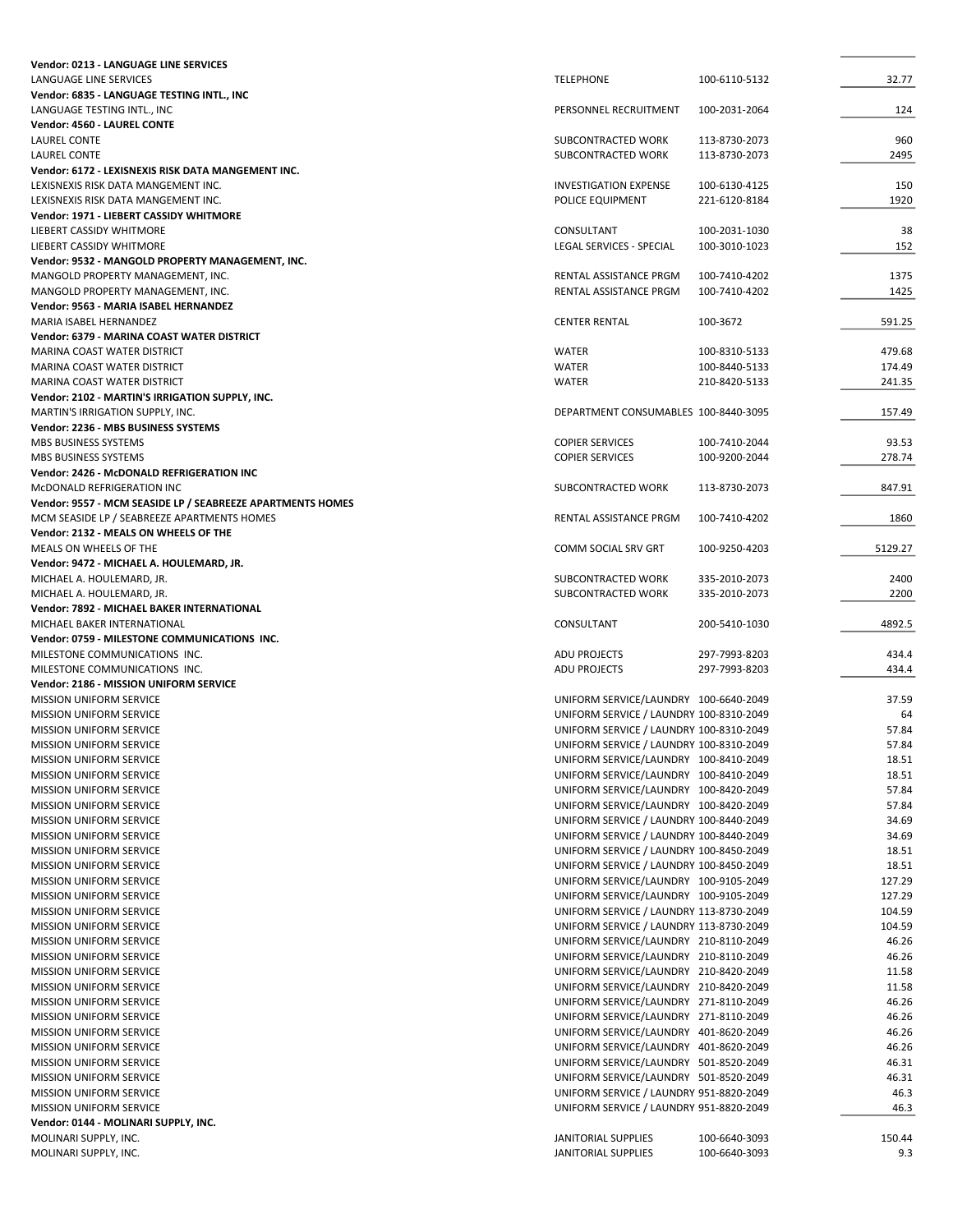| Vendor: 0213 - LANGUAGE LINE SERVICES                      |                                            |               |         |
|------------------------------------------------------------|--------------------------------------------|---------------|---------|
| LANGUAGE LINE SERVICES                                     | <b>TELEPHONE</b>                           | 100-6110-5132 | 32.77   |
| Vendor: 6835 - LANGUAGE TESTING INTL., INC                 |                                            |               |         |
| LANGUAGE TESTING INTL., INC                                | PERSONNEL RECRUITMENT                      | 100-2031-2064 | 124     |
| Vendor: 4560 - LAUREL CONTE                                |                                            |               |         |
| <b>LAUREL CONTE</b>                                        | SUBCONTRACTED WORK                         | 113-8730-2073 | 960     |
| LAUREL CONTE                                               | SUBCONTRACTED WORK                         | 113-8730-2073 | 2495    |
| Vendor: 6172 - LEXISNEXIS RISK DATA MANGEMENT INC.         |                                            |               |         |
| LEXISNEXIS RISK DATA MANGEMENT INC.                        | <b>INVESTIGATION EXPENSE</b>               | 100-6130-4125 | 150     |
| LEXISNEXIS RISK DATA MANGEMENT INC.                        | POLICE EQUIPMENT                           | 221-6120-8184 | 1920    |
| Vendor: 1971 - LIEBERT CASSIDY WHITMORE                    |                                            |               |         |
| LIEBERT CASSIDY WHITMORE                                   | CONSULTANT                                 | 100-2031-1030 | 38      |
| LIEBERT CASSIDY WHITMORE                                   | LEGAL SERVICES - SPECIAL                   | 100-3010-1023 | 152     |
| Vendor: 9532 - MANGOLD PROPERTY MANAGEMENT, INC.           |                                            |               |         |
| MANGOLD PROPERTY MANAGEMENT, INC.                          | RENTAL ASSISTANCE PRGM                     | 100-7410-4202 | 1375    |
| MANGOLD PROPERTY MANAGEMENT, INC.                          | RENTAL ASSISTANCE PRGM                     | 100-7410-4202 | 1425    |
| Vendor: 9563 - MARIA ISABEL HERNANDEZ                      |                                            |               |         |
| MARIA ISABEL HERNANDEZ                                     | <b>CENTER RENTAL</b>                       | 100-3672      | 591.25  |
| Vendor: 6379 - MARINA COAST WATER DISTRICT                 |                                            |               |         |
| MARINA COAST WATER DISTRICT                                | <b>WATER</b>                               | 100-8310-5133 | 479.68  |
| MARINA COAST WATER DISTRICT                                | <b>WATER</b>                               | 100-8440-5133 | 174.49  |
| MARINA COAST WATER DISTRICT                                | <b>WATER</b>                               | 210-8420-5133 | 241.35  |
| Vendor: 2102 - MARTIN'S IRRIGATION SUPPLY, INC.            |                                            |               |         |
| MARTIN'S IRRIGATION SUPPLY, INC.                           | DEPARTMENT CONSUMABLES 100-8440-3095       |               | 157.49  |
| Vendor: 2236 - MBS BUSINESS SYSTEMS                        |                                            |               |         |
| MBS BUSINESS SYSTEMS                                       | <b>COPIER SERVICES</b>                     | 100-7410-2044 | 93.53   |
| MBS BUSINESS SYSTEMS                                       | <b>COPIER SERVICES</b>                     | 100-9200-2044 | 278.74  |
| Vendor: 2426 - McDONALD REFRIGERATION INC                  |                                            |               |         |
| MCDONALD REFRIGERATION INC                                 | SUBCONTRACTED WORK                         | 113-8730-2073 | 847.91  |
| Vendor: 9557 - MCM SEASIDE LP / SEABREEZE APARTMENTS HOMES |                                            |               |         |
| MCM SEASIDE LP / SEABREEZE APARTMENTS HOMES                | RENTAL ASSISTANCE PRGM                     | 100-7410-4202 | 1860    |
| Vendor: 2132 - MEALS ON WHEELS OF THE                      |                                            |               |         |
| MEALS ON WHEELS OF THE                                     | COMM SOCIAL SRV GRT                        | 100-9250-4203 | 5129.27 |
| Vendor: 9472 - MICHAEL A. HOULEMARD, JR.                   |                                            |               |         |
| MICHAEL A. HOULEMARD, JR.                                  | SUBCONTRACTED WORK                         | 335-2010-2073 | 2400    |
| MICHAEL A. HOULEMARD, JR.                                  | SUBCONTRACTED WORK                         | 335-2010-2073 | 2200    |
|                                                            |                                            |               |         |
|                                                            |                                            |               |         |
| Vendor: 7892 - MICHAEL BAKER INTERNATIONAL                 |                                            |               |         |
| MICHAEL BAKER INTERNATIONAL                                | CONSULTANT                                 | 200-5410-1030 | 4892.5  |
| Vendor: 0759 - MILESTONE COMMUNICATIONS INC.               |                                            |               |         |
| MILESTONE COMMUNICATIONS INC.                              | <b>ADU PROJECTS</b>                        | 297-7993-8203 | 434.4   |
| MILESTONE COMMUNICATIONS INC.                              | ADU PROJECTS                               | 297-7993-8203 | 434.4   |
| Vendor: 2186 - MISSION UNIFORM SERVICE                     |                                            |               |         |
| <b>MISSION UNIFORM SERVICE</b>                             | UNIFORM SERVICE/LAUNDRY 100-6640-2049      |               | 37.59   |
| <b>MISSION UNIFORM SERVICE</b>                             | UNIFORM SERVICE / LAUNDRY 100-8310-2049    |               | 64      |
| MISSION UNIFORM SERVICE                                    | UNIFORM SERVICE / LAUNDRY 100-8310-2049    |               | 57.84   |
| <b>MISSION UNIFORM SERVICE</b>                             | UNIFORM SERVICE / LAUNDRY 100-8310-2049    |               | 57.84   |
| MISSION UNIFORM SERVICE                                    | UNIFORM SERVICE/LAUNDRY 100-8410-2049      |               | 18.51   |
| MISSION UNIFORM SERVICE                                    | UNIFORM SERVICE/LAUNDRY 100-8410-2049      |               | 18.51   |
| MISSION UNIFORM SERVICE                                    | UNIFORM SERVICE/LAUNDRY 100-8420-2049      |               | 57.84   |
| <b>MISSION UNIFORM SERVICE</b>                             | UNIFORM SERVICE/LAUNDRY 100-8420-2049      |               | 57.84   |
| MISSION UNIFORM SERVICE                                    | UNIFORM SERVICE / LAUNDRY 100-8440-2049    |               | 34.69   |
| <b>MISSION UNIFORM SERVICE</b>                             | UNIFORM SERVICE / LAUNDRY 100-8440-2049    |               | 34.69   |
| MISSION UNIFORM SERVICE                                    | UNIFORM SERVICE / LAUNDRY 100-8450-2049    |               | 18.51   |
| <b>MISSION UNIFORM SERVICE</b>                             | UNIFORM SERVICE / LAUNDRY 100-8450-2049    |               | 18.51   |
| MISSION UNIFORM SERVICE                                    | UNIFORM SERVICE/LAUNDRY 100-9105-2049      |               | 127.29  |
| MISSION UNIFORM SERVICE                                    | UNIFORM SERVICE/LAUNDRY 100-9105-2049      |               | 127.29  |
| MISSION UNIFORM SERVICE                                    | UNIFORM SERVICE / LAUNDRY 113-8730-2049    |               | 104.59  |
| MISSION UNIFORM SERVICE                                    | UNIFORM SERVICE / LAUNDRY 113-8730-2049    |               | 104.59  |
| <b>MISSION UNIFORM SERVICE</b>                             | UNIFORM SERVICE/LAUNDRY 210-8110-2049      |               | 46.26   |
| <b>MISSION UNIFORM SERVICE</b>                             | UNIFORM SERVICE/LAUNDRY 210-8110-2049      |               | 46.26   |
| <b>MISSION UNIFORM SERVICE</b>                             | UNIFORM SERVICE/LAUNDRY 210-8420-2049      |               | 11.58   |
| MISSION UNIFORM SERVICE                                    | UNIFORM SERVICE/LAUNDRY 210-8420-2049      |               | 11.58   |
| MISSION UNIFORM SERVICE                                    | UNIFORM SERVICE/LAUNDRY 271-8110-2049      |               | 46.26   |
| MISSION UNIFORM SERVICE                                    | UNIFORM SERVICE/LAUNDRY 271-8110-2049      |               | 46.26   |
| <b>MISSION UNIFORM SERVICE</b>                             | UNIFORM SERVICE/LAUNDRY 401-8620-2049      |               | 46.26   |
| MISSION UNIFORM SERVICE                                    | UNIFORM SERVICE/LAUNDRY 401-8620-2049      |               | 46.26   |
| MISSION UNIFORM SERVICE                                    | UNIFORM SERVICE/LAUNDRY 501-8520-2049      |               | 46.31   |
| MISSION UNIFORM SERVICE                                    | UNIFORM SERVICE/LAUNDRY 501-8520-2049      |               | 46.31   |
| MISSION UNIFORM SERVICE                                    | UNIFORM SERVICE / LAUNDRY 951-8820-2049    |               | 46.3    |
| MISSION UNIFORM SERVICE                                    | UNIFORM SERVICE / LAUNDRY 951-8820-2049    |               | 46.3    |
| Vendor: 0144 - MOLINARI SUPPLY, INC.                       |                                            |               |         |
| MOLINARI SUPPLY, INC.                                      | JANITORIAL SUPPLIES<br>JANITORIAL SUPPLIES | 100-6640-3093 | 150.44  |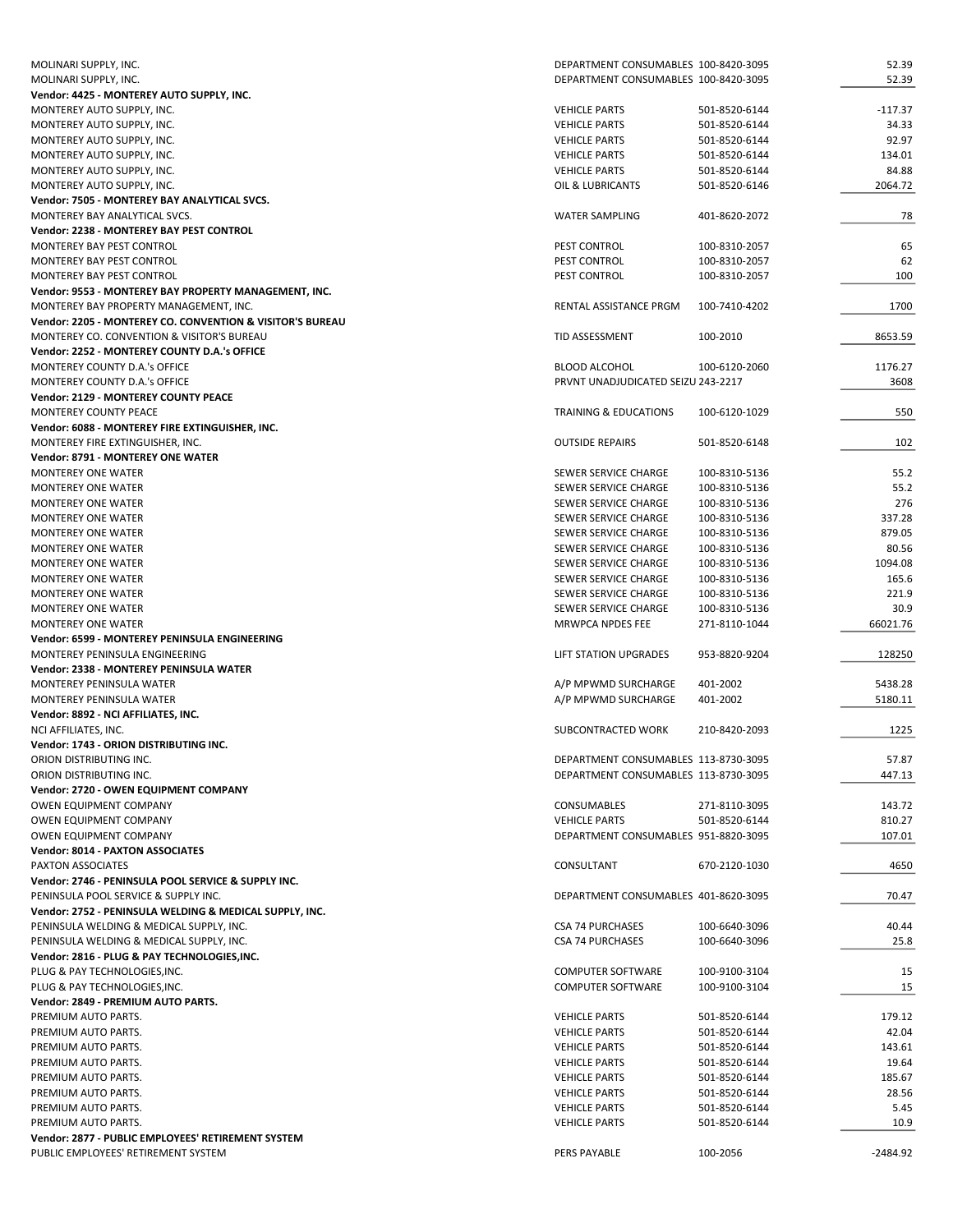| MOLINARI SUPPLY, INC.                                     | DEPARTMENT CONSUMABLES 100-8420-3095 |               | 52.39      |
|-----------------------------------------------------------|--------------------------------------|---------------|------------|
| MOLINARI SUPPLY, INC.                                     | DEPARTMENT CONSUMABLES 100-8420-3095 |               | 52.39      |
| Vendor: 4425 - MONTEREY AUTO SUPPLY, INC.                 |                                      |               |            |
| MONTEREY AUTO SUPPLY, INC.                                | <b>VEHICLE PARTS</b>                 | 501-8520-6144 | -117.37    |
| MONTEREY AUTO SUPPLY, INC.                                | <b>VEHICLE PARTS</b>                 | 501-8520-6144 | 34.33      |
| MONTEREY AUTO SUPPLY, INC.                                | <b>VEHICLE PARTS</b>                 | 501-8520-6144 | 92.97      |
| MONTEREY AUTO SUPPLY, INC.                                | <b>VEHICLE PARTS</b>                 | 501-8520-6144 | 134.01     |
| MONTEREY AUTO SUPPLY, INC.                                | <b>VEHICLE PARTS</b>                 | 501-8520-6144 | 84.88      |
| MONTEREY AUTO SUPPLY, INC.                                | OIL & LUBRICANTS                     | 501-8520-6146 | 2064.72    |
| Vendor: 7505 - MONTEREY BAY ANALYTICAL SVCS.              |                                      |               |            |
| MONTEREY BAY ANALYTICAL SVCS.                             | <b>WATER SAMPLING</b>                | 401-8620-2072 | 78         |
| Vendor: 2238 - MONTEREY BAY PEST CONTROL                  |                                      |               |            |
| MONTEREY BAY PEST CONTROL                                 | PEST CONTROL                         | 100-8310-2057 | 65         |
| MONTEREY BAY PEST CONTROL                                 | PEST CONTROL                         | 100-8310-2057 | 62         |
| MONTEREY BAY PEST CONTROL                                 | PEST CONTROL                         | 100-8310-2057 | 100        |
| Vendor: 9553 - MONTEREY BAY PROPERTY MANAGEMENT, INC.     |                                      |               |            |
| MONTEREY BAY PROPERTY MANAGEMENT, INC.                    | RENTAL ASSISTANCE PRGM               | 100-7410-4202 | 1700       |
| Vendor: 2205 - MONTEREY CO. CONVENTION & VISITOR'S BUREAU |                                      |               |            |
| MONTEREY CO. CONVENTION & VISITOR'S BUREAU                | TID ASSESSMENT                       | 100-2010      | 8653.59    |
|                                                           |                                      |               |            |
| Vendor: 2252 - MONTEREY COUNTY D.A.'s OFFICE              |                                      |               |            |
| MONTEREY COUNTY D.A.'s OFFICE                             | <b>BLOOD ALCOHOL</b>                 | 100-6120-2060 | 1176.27    |
| MONTEREY COUNTY D.A.'s OFFICE                             | PRVNT UNADJUDICATED SEIZU 243-2217   |               | 3608       |
| <b>Vendor: 2129 - MONTEREY COUNTY PEACE</b>               |                                      |               |            |
| MONTEREY COUNTY PEACE                                     | TRAINING & EDUCATIONS                | 100-6120-1029 | 550        |
| Vendor: 6088 - MONTEREY FIRE EXTINGUISHER, INC.           |                                      |               |            |
| MONTEREY FIRE EXTINGUISHER, INC.                          | <b>OUTSIDE REPAIRS</b>               | 501-8520-6148 | 102        |
| Vendor: 8791 - MONTEREY ONE WATER                         |                                      |               |            |
| <b>MONTEREY ONE WATER</b>                                 | SEWER SERVICE CHARGE                 | 100-8310-5136 | 55.2       |
| <b>MONTEREY ONE WATER</b>                                 | SEWER SERVICE CHARGE                 | 100-8310-5136 | 55.2       |
| <b>MONTEREY ONE WATER</b>                                 | SEWER SERVICE CHARGE                 | 100-8310-5136 | 276        |
| <b>MONTEREY ONE WATER</b>                                 | SEWER SERVICE CHARGE                 | 100-8310-5136 | 337.28     |
| <b>MONTEREY ONE WATER</b>                                 | SEWER SERVICE CHARGE                 | 100-8310-5136 | 879.05     |
| <b>MONTEREY ONE WATER</b>                                 | SEWER SERVICE CHARGE                 | 100-8310-5136 | 80.56      |
| <b>MONTEREY ONE WATER</b>                                 | SEWER SERVICE CHARGE                 | 100-8310-5136 | 1094.08    |
| <b>MONTEREY ONE WATER</b>                                 | SEWER SERVICE CHARGE                 | 100-8310-5136 | 165.6      |
| <b>MONTEREY ONE WATER</b>                                 | SEWER SERVICE CHARGE                 | 100-8310-5136 | 221.9      |
| <b>MONTEREY ONE WATER</b>                                 | SEWER SERVICE CHARGE                 | 100-8310-5136 | 30.9       |
| <b>MONTEREY ONE WATER</b>                                 | MRWPCA NPDES FEE                     | 271-8110-1044 | 66021.76   |
| Vendor: 6599 - MONTEREY PENINSULA ENGINEERING             |                                      |               |            |
| MONTEREY PENINSULA ENGINEERING                            | LIFT STATION UPGRADES                | 953-8820-9204 | 128250     |
| <b>Vendor: 2338 - MONTEREY PENINSULA WATER</b>            |                                      |               |            |
| MONTEREY PENINSULA WATER                                  | A/P MPWMD SURCHARGE                  | 401-2002      | 5438.28    |
| MONTEREY PENINSULA WATER                                  | A/P MPWMD SURCHARGE                  | 401-2002      | 5180.11    |
| Vendor: 8892 - NCI AFFILIATES, INC.                       |                                      |               |            |
| NCI AFFILIATES, INC.                                      | SUBCONTRACTED WORK                   | 210-8420-2093 | 1225       |
| Vendor: 1743 - ORION DISTRIBUTING INC.                    |                                      |               |            |
| ORION DISTRIBUTING INC.                                   | DEPARTMENT CONSUMABLES 113-8730-3095 |               | 57.87      |
| ORION DISTRIBUTING INC.                                   | DEPARTMENT CONSUMABLES 113-8730-3095 |               | 447.13     |
| Vendor: 2720 - OWEN EQUIPMENT COMPANY                     |                                      |               |            |
| OWEN EQUIPMENT COMPANY                                    | CONSUMABLES                          |               | 143.72     |
|                                                           |                                      | 271-8110-3095 |            |
| OWEN EQUIPMENT COMPANY                                    | <b>VEHICLE PARTS</b>                 | 501-8520-6144 | 810.27     |
| OWEN EQUIPMENT COMPANY                                    | DEPARTMENT CONSUMABLES 951-8820-3095 |               | 107.01     |
| <b>Vendor: 8014 - PAXTON ASSOCIATES</b>                   |                                      |               |            |
| PAXTON ASSOCIATES                                         | CONSULTANT                           | 670-2120-1030 | 4650       |
| Vendor: 2746 - PENINSULA POOL SERVICE & SUPPLY INC.       |                                      |               |            |
| PENINSULA POOL SERVICE & SUPPLY INC.                      | DEPARTMENT CONSUMABLES 401-8620-3095 |               | 70.47      |
| Vendor: 2752 - PENINSULA WELDING & MEDICAL SUPPLY, INC.   |                                      |               |            |
| PENINSULA WELDING & MEDICAL SUPPLY, INC.                  | <b>CSA 74 PURCHASES</b>              | 100-6640-3096 | 40.44      |
| PENINSULA WELDING & MEDICAL SUPPLY, INC.                  | <b>CSA 74 PURCHASES</b>              | 100-6640-3096 | 25.8       |
| Vendor: 2816 - PLUG & PAY TECHNOLOGIES, INC.              |                                      |               |            |
| PLUG & PAY TECHNOLOGIES, INC.                             | <b>COMPUTER SOFTWARE</b>             | 100-9100-3104 | 15         |
| PLUG & PAY TECHNOLOGIES, INC.                             | <b>COMPUTER SOFTWARE</b>             | 100-9100-3104 | 15         |
| Vendor: 2849 - PREMIUM AUTO PARTS.                        |                                      |               |            |
| PREMIUM AUTO PARTS.                                       | <b>VEHICLE PARTS</b>                 | 501-8520-6144 | 179.12     |
| PREMIUM AUTO PARTS.                                       | <b>VEHICLE PARTS</b>                 | 501-8520-6144 | 42.04      |
| PREMIUM AUTO PARTS.                                       | <b>VEHICLE PARTS</b>                 | 501-8520-6144 | 143.61     |
| PREMIUM AUTO PARTS.                                       | <b>VEHICLE PARTS</b>                 | 501-8520-6144 | 19.64      |
| PREMIUM AUTO PARTS.                                       | <b>VEHICLE PARTS</b>                 | 501-8520-6144 | 185.67     |
| PREMIUM AUTO PARTS.                                       | <b>VEHICLE PARTS</b>                 | 501-8520-6144 | 28.56      |
| PREMIUM AUTO PARTS.                                       | <b>VEHICLE PARTS</b>                 | 501-8520-6144 | 5.45       |
| PREMIUM AUTO PARTS.                                       | <b>VEHICLE PARTS</b>                 | 501-8520-6144 | 10.9       |
| Vendor: 2877 - PUBLIC EMPLOYEES' RETIREMENT SYSTEM        |                                      |               |            |
| PUBLIC EMPLOYEES' RETIREMENT SYSTEM                       | PERS PAYABLE                         | 100-2056      | $-2484.92$ |
|                                                           |                                      |               |            |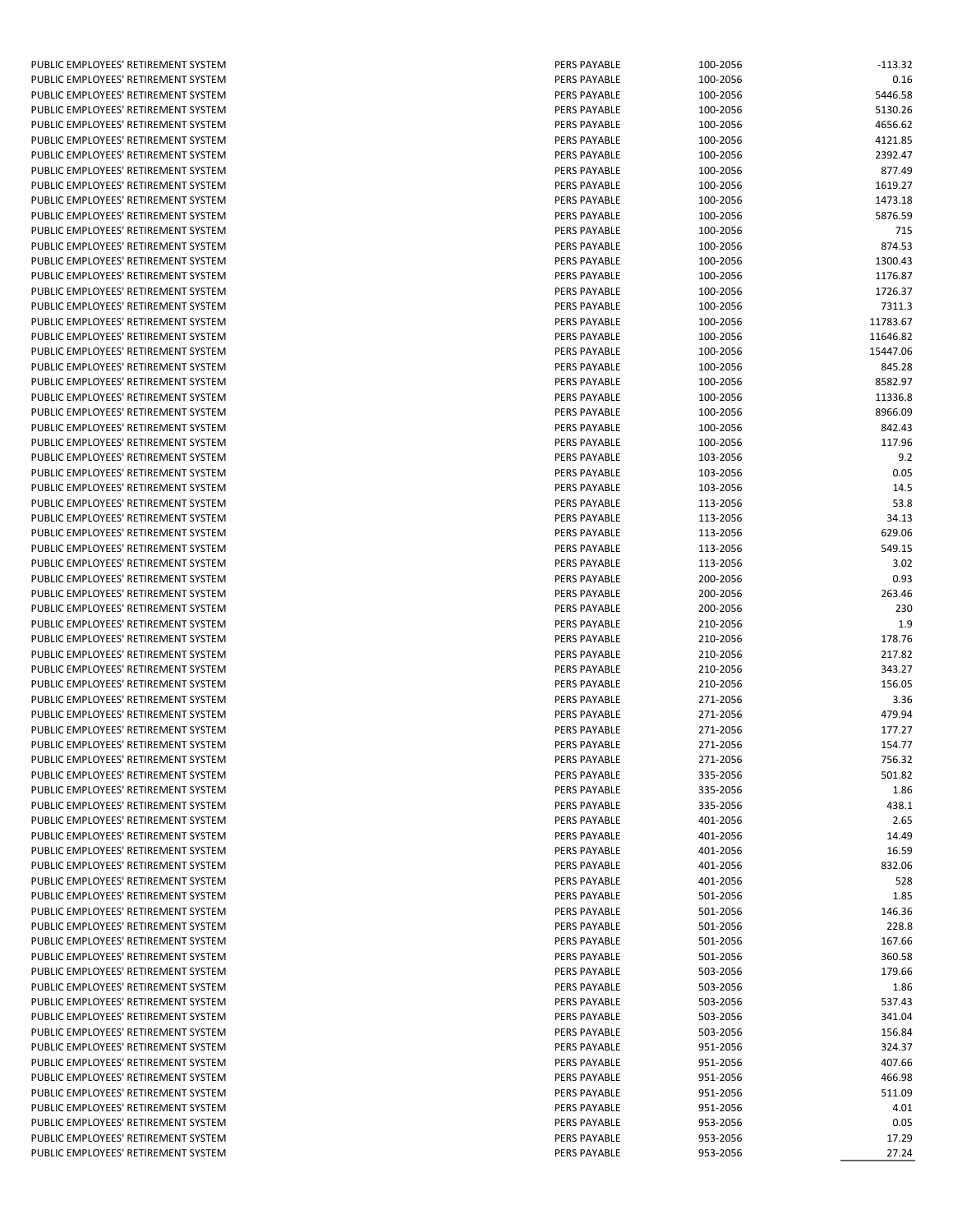PUBLIC EMPLOYEES' RETIREMENT SYSTEM PUBLIC EMPLOYEES' RETIREMENT SYSTEM PUBLIC EMPLOYEES' RETIREMENT SYSTEM PUBLIC EMPLOYEES' RETIREMENT SYSTEM PUBLIC EMPLOYEES' RETIREMENT SYSTEM PUBLIC EMPLOYEES' RETIREMENT SYSTEM PUBLIC EMPLOYEES' RETIREMENT SYSTEM PUBLIC EMPLOYEES' RETIREMENT SYSTEM PUBLIC EMPLOYEES' RETIREMENT SYSTEM PUBLIC EMPLOYEES' RETIREMENT SYSTEM PUBLIC EMPLOYEES' RETIREMENT SYSTEM PUBLIC EMPLOYEES' RETIREMENT SYSTEM PUBLIC EMPLOYEES' RETIREMENT SYSTEM PUBLIC EMPLOYEES' RETIREMENT SYSTEM PUBLIC EMPLOYEES' RETIREMENT SYSTEM PUBLIC EMPLOYEES' RETIREMENT SYSTEM PUBLIC EMPLOYEES' RETIREMENT SYSTEM PUBLIC EMPLOYEES' RETIREMENT SYSTEM PUBLIC EMPLOYEES' RETIREMENT SYSTEM PUBLIC EMPLOYEES' RETIREMENT SYSTEM PUBLIC EMPLOYEES' RETIREMENT SYSTEM PUBLIC EMPLOYEES' RETIREMENT SYSTEM PUBLIC EMPLOYEES' RETIREMENT SYSTEM PUBLIC EMPLOYEES' RETIREMENT SYSTEM PUBLIC EMPLOYEES' RETIREMENT SYSTEM PUBLIC EMPLOYEES' RETIREMENT SYSTEM PUBLIC EMPLOYEES' RETIREMENT SYSTEM PUBLIC EMPLOYEES' RETIREMENT SYSTEM PUBLIC EMPLOYEES' RETIREMENT SYSTEM PUBLIC EMPLOYEES' RETIREMENT SYSTEM PUBLIC EMPLOYEES' RETIREMENT SYSTEM PUBLIC EMPLOYEES' RETIREMENT SYSTEM PUBLIC EMPLOYEES' RETIREMENT SYSTEM PUBLIC EMPLOYEES' RETIREMENT SYSTEM PUBLIC EMPLOYEES' RETIREMENT SYSTEM PUBLIC EMPLOYEES' RETIREMENT SYSTEM PUBLIC EMPLOYEES' RETIREMENT SYSTEM PUBLIC EMPLOYEES' RETIREMENT SYSTEM PUBLIC EMPLOYEES' RETIREMENT SYSTEM PUBLIC EMPLOYEES' RETIREMENT SYSTEM PUBLIC EMPLOYEES' RETIREMENT SYSTEM PUBLIC EMPLOYEES' RETIREMENT SYSTEM PUBLIC EMPLOYEES' RETIREMENT SYSTEM PUBLIC EMPLOYEES' RETIREMENT SYSTEM PUBLIC EMPLOYEES' RETIREMENT SYSTEM PUBLIC EMPLOYEES' RETIREMENT SYSTEM PUBLIC EMPLOYEES' RETIREMENT SYSTEM PUBLIC EMPLOYEES' RETIREMENT SYSTEM PUBLIC EMPLOYEES' RETIREMENT SYSTEM PUBLIC EMPLOYEES' RETIREMENT SYSTEM PUBLIC EMPLOYEES' RETIREMENT SYSTEM PUBLIC EMPLOYEES' RETIREMENT SYSTEM PUBLIC EMPLOYEES' RETIREMENT SYSTEM PUBLIC EMPLOYEES' RETIREMENT SYSTEM PUBLIC EMPLOYEES' RETIREMENT SYSTEM PUBLIC EMPLOYEES' RETIREMENT SYSTEM PUBLIC EMPLOYEES' RETIREMENT SYSTEM PUBLIC EMPLOYEES' RETIREMENT SYSTEM PUBLIC EMPLOYEES' RETIREMENT SYSTEM PUBLIC EMPLOYEES' RETIREMENT SYSTEM PUBLIC EMPLOYEES' RETIREMENT SYSTEM PUBLIC EMPLOYEES' RETIREMENT SYSTEM PUBLIC EMPLOYEES' RETIREMENT SYSTEM PUBLIC EMPLOYEES' RETIREMENT SYSTEM PUBLIC EMPLOYEES' RETIREMENT SYSTEM PUBLIC EMPLOYEES' RETIREMENT SYSTEM PUBLIC EMPLOYEES' RETIREMENT SYSTEM PUBLIC EMPLOYEES' RETIREMENT SYSTEM PUBLIC EMPLOYEES' RETIREMENT SYSTEM PUBLIC EMPLOYEES' RETIREMENT SYSTEM PUBLIC EMPLOYEES' RETIREMENT SYSTEM PUBLIC EMPLOYEES' RETIREMENT SYSTEM PUBLIC EMPLOYEES' RETIREMENT SYSTEM

| PERS PAYABLE | 100-2056 | $-113.32$ |
|--------------|----------|-----------|
| PERS PAYABLE | 100-2056 | 0.16      |
| PERS PAYABLE | 100-2056 | 5446.58   |
|              | 100-2056 |           |
| PERS PAYABLE |          | 5130.26   |
| PERS PAYABLE | 100-2056 | 4656.62   |
| PERS PAYABLE | 100-2056 | 4121.85   |
| PERS PAYABLE | 100-2056 | 2392.47   |
| PERS PAYABLE | 100-2056 | 877.49    |
| PERS PAYABLE | 100-2056 | 1619.27   |
| PERS PAYABLE | 100-2056 | 1473.18   |
| PERS PAYABLE | 100-2056 | 5876.59   |
| PERS PAYABLE | 100-2056 | 715       |
| PERS PAYABLE | 100-2056 | 874.53    |
| PERS PAYABLE | 100-2056 | 1300.43   |
| PERS PAYABLE | 100-2056 | 1176.87   |
| PERS PAYABLE | 100-2056 | 1726.37   |
| PERS PAYABLE | 100-2056 | 7311.3    |
| PERS PAYABLE | 100-2056 | 11783.67  |
| PERS PAYABLE | 100-2056 | 11646.82  |
| PERS PAYABLE |          |           |
|              | 100-2056 | 15447.06  |
| PERS PAYABLE | 100-2056 | 845.28    |
| PERS PAYABLE | 100-2056 | 8582.97   |
| PERS PAYABLE | 100-2056 | 11336.8   |
| PERS PAYABLE | 100-2056 | 8966.09   |
| PERS PAYABLE | 100-2056 | 842.43    |
| PERS PAYABLE | 100-2056 | 117.96    |
| PERS PAYABLE | 103-2056 | 9.2       |
| PERS PAYABLE | 103-2056 | 0.05      |
| PERS PAYABLE | 103-2056 | 14.5      |
| PERS PAYABLE | 113-2056 | 53.8      |
| PERS PAYABLE | 113-2056 | 34.13     |
| PERS PAYABLE | 113-2056 | 629.06    |
| PERS PAYABLE | 113-2056 | 549.15    |
| PERS PAYABLE | 113-2056 | 3.02      |
| PERS PAYABLE | 200-2056 | 0.93      |
| PERS PAYABLE | 200-2056 | 263.46    |
| PERS PAYABLE | 200-2056 | 230       |
| PERS PAYABLE | 210-2056 | 1.9       |
| PERS PAYABLE | 210-2056 | 178.76    |
| PERS PAYABLE | 210-2056 | 217.82    |
| PERS PAYABLE | 210-2056 | 343.27    |
| PERS PAYABLE | 210-2056 | 156.05    |
| PERS PAYABLE |          |           |
| PERS PAYABLE | 271-2056 | 3.36      |
|              | 271-2056 | 479.94    |
| PERS PAYABLE | 271-2056 | 177.27    |
| PERS PAYABLE | 271-2056 | 154.77    |
| PERS PAYABLE | 271-2056 | 756.32    |
| PERS PAYABLE | 335-2056 | 501.82    |
| PERS PAYABLE | 335-2056 | 1.86      |
| PERS PAYABLE | 335-2056 | 438.1     |
| PERS PAYABLE | 401-2056 | 2.65      |
| PERS PAYABLE | 401-2056 | 14.49     |
| PERS PAYABLE | 401-2056 | 16.59     |
| PERS PAYABLE | 401-2056 | 832.06    |
| PERS PAYABLE | 401-2056 | 528       |
| PERS PAYABLE | 501-2056 | 1.85      |
| PERS PAYABLE | 501-2056 | 146.36    |
| PERS PAYABLE | 501-2056 | 228.8     |
| PERS PAYABLE | 501-2056 | 167.66    |
| PERS PAYABLE | 501-2056 | 360.58    |
| PERS PAYABLE | 503-2056 | 179.66    |
| PERS PAYABLE | 503-2056 | 1.86      |
| PERS PAYABLE | 503-2056 | 537.43    |
| PERS PAYABLE | 503-2056 | 341.04    |
| PERS PAYABLE |          | 156.84    |
|              | 503-2056 |           |
| PERS PAYABLE | 951-2056 | 324.37    |
| PERS PAYABLE | 951-2056 | 407.66    |
| PERS PAYABLE | 951-2056 | 466.98    |
| PERS PAYABLE | 951-2056 | 511.09    |
| PERS PAYABLE | 951-2056 | 4.01      |
| PERS PAYABLE | 953-2056 | 0.05      |
| PERS PAYABLE | 953-2056 | 17.29     |
| PERS PAYABLE | 953-2056 | 27.24     |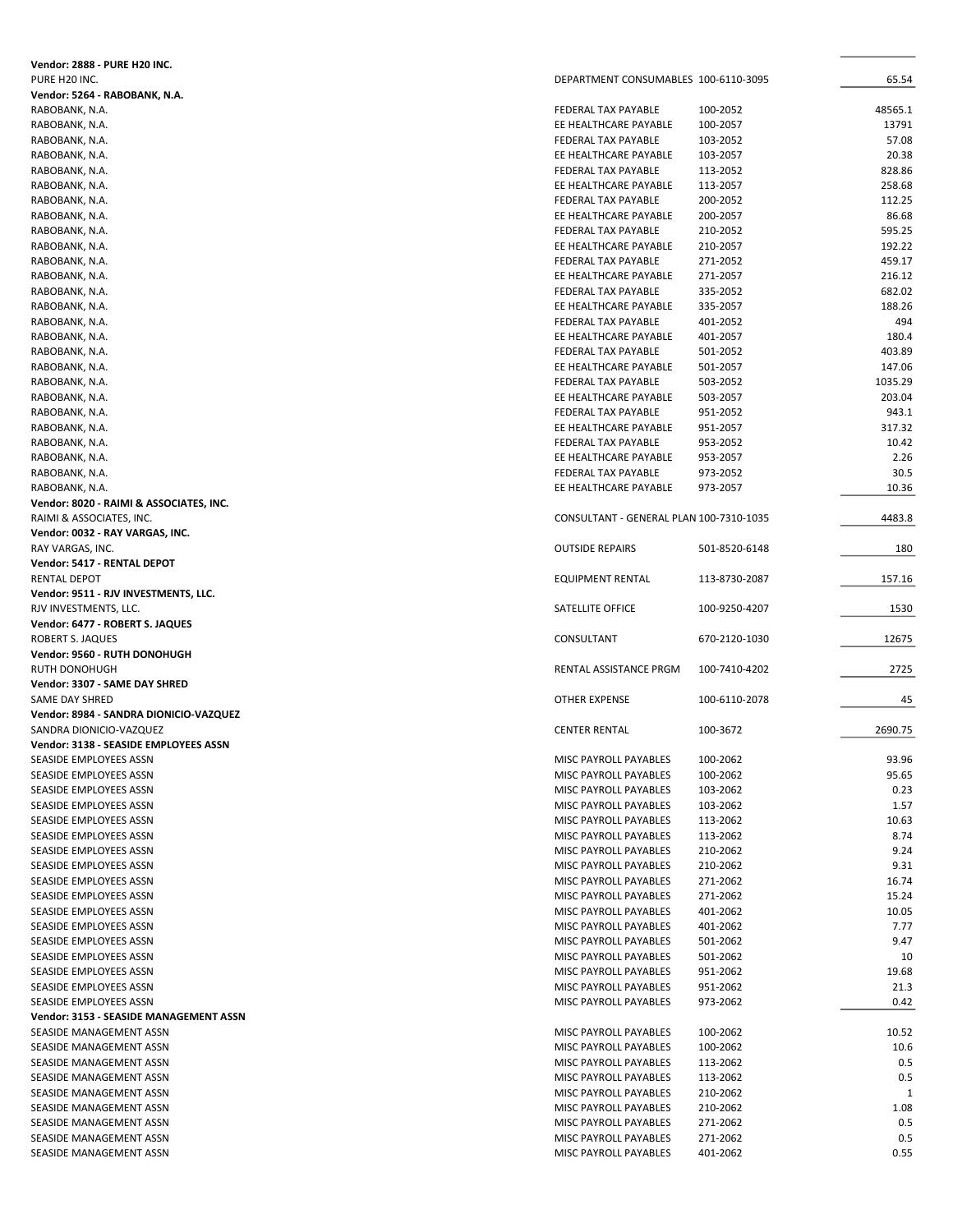| <b>Vendor: 2888 - PURE H20 INC.</b>     |                                         |               |              |
|-----------------------------------------|-----------------------------------------|---------------|--------------|
| PURE H20 INC.                           | DEPARTMENT CONSUMABLES 100-6110-3095    |               | 65.54        |
| Vendor: 5264 - RABOBANK, N.A.           |                                         |               |              |
| RABOBANK, N.A.                          | FEDERAL TAX PAYABLE                     | 100-2052      | 48565.1      |
| RABOBANK, N.A.                          | EE HEALTHCARE PAYABLE                   | 100-2057      | 13791        |
| RABOBANK, N.A.                          | FEDERAL TAX PAYABLE                     | 103-2052      | 57.08        |
| RABOBANK, N.A.                          | EE HEALTHCARE PAYABLE                   | 103-2057      | 20.38        |
| RABOBANK, N.A.                          | FEDERAL TAX PAYABLE                     | 113-2052      | 828.86       |
| RABOBANK, N.A.                          | EE HEALTHCARE PAYABLE                   | 113-2057      | 258.68       |
| RABOBANK, N.A.                          | FEDERAL TAX PAYABLE                     | 200-2052      | 112.25       |
| RABOBANK, N.A.                          | EE HEALTHCARE PAYABLE                   | 200-2057      | 86.68        |
| RABOBANK, N.A.                          | FEDERAL TAX PAYABLE                     | 210-2052      | 595.25       |
| RABOBANK, N.A.                          | EE HEALTHCARE PAYABLE                   | 210-2057      | 192.22       |
|                                         | FEDERAL TAX PAYABLE                     | 271-2052      | 459.17       |
| RABOBANK, N.A.                          |                                         |               | 216.12       |
| RABOBANK, N.A.                          | EE HEALTHCARE PAYABLE                   | 271-2057      |              |
| RABOBANK, N.A.                          | FEDERAL TAX PAYABLE                     | 335-2052      | 682.02       |
| RABOBANK, N.A.                          | EE HEALTHCARE PAYABLE                   | 335-2057      | 188.26       |
| RABOBANK, N.A.                          | FEDERAL TAX PAYABLE                     | 401-2052      | 494          |
| RABOBANK, N.A.                          | EE HEALTHCARE PAYABLE                   | 401-2057      | 180.4        |
| RABOBANK, N.A.                          | FEDERAL TAX PAYABLE                     | 501-2052      | 403.89       |
| RABOBANK, N.A.                          | EE HEALTHCARE PAYABLE                   | 501-2057      | 147.06       |
| RABOBANK, N.A.                          | FEDERAL TAX PAYABLE                     | 503-2052      | 1035.29      |
| RABOBANK, N.A.                          | EE HEALTHCARE PAYABLE                   | 503-2057      | 203.04       |
| RABOBANK, N.A.                          | FEDERAL TAX PAYABLE                     | 951-2052      | 943.1        |
| RABOBANK, N.A.                          | EE HEALTHCARE PAYABLE                   | 951-2057      | 317.32       |
| RABOBANK, N.A.                          | FEDERAL TAX PAYABLE                     | 953-2052      | 10.42        |
| RABOBANK, N.A.                          | EE HEALTHCARE PAYABLE                   | 953-2057      | 2.26         |
| RABOBANK, N.A.                          | <b>FEDERAL TAX PAYABLE</b>              | 973-2052      | 30.5         |
| RABOBANK, N.A.                          | EE HEALTHCARE PAYABLE                   | 973-2057      | 10.36        |
| Vendor: 8020 - RAIMI & ASSOCIATES, INC. |                                         |               |              |
| RAIMI & ASSOCIATES, INC.                | CONSULTANT - GENERAL PLAN 100-7310-1035 |               | 4483.8       |
| Vendor: 0032 - RAY VARGAS, INC.         |                                         |               |              |
| RAY VARGAS, INC.                        | <b>OUTSIDE REPAIRS</b>                  | 501-8520-6148 | 180          |
| Vendor: 5417 - RENTAL DEPOT             |                                         |               |              |
| <b>RENTAL DEPOT</b>                     | EQUIPMENT RENTAL                        | 113-8730-2087 | 157.16       |
| Vendor: 9511 - RJV INVESTMENTS, LLC.    |                                         |               |              |
| RJV INVESTMENTS, LLC.                   | SATELLITE OFFICE                        | 100-9250-4207 | 1530         |
| Vendor: 6477 - ROBERT S. JAQUES         |                                         |               |              |
| ROBERT S. JAQUES                        | CONSULTANT                              | 670-2120-1030 | 12675        |
| Vendor: 9560 - RUTH DONOHUGH            |                                         |               |              |
|                                         | RENTAL ASSISTANCE PRGM                  |               |              |
| RUTH DONOHUGH                           |                                         | 100-7410-4202 | 2725         |
| Vendor: 3307 - SAME DAY SHRED           |                                         |               |              |
| SAME DAY SHRED                          | OTHER EXPENSE                           | 100-6110-2078 | 45           |
| Vendor: 8984 - SANDRA DIONICIO-VAZQUEZ  |                                         |               |              |
| SANDRA DIONICIO-VAZQUEZ                 | <b>CENTER RENTAL</b>                    | 100-3672      | 2690.75      |
| Vendor: 3138 - SEASIDE EMPLOYEES ASSN   |                                         |               |              |
| SEASIDE EMPLOYEES ASSN                  | MISC PAYROLL PAYABLES                   | 100-2062      | 93.96        |
| SEASIDE EMPLOYEES ASSN                  | MISC PAYROLL PAYABLES                   | 100-2062      | 95.65        |
| SEASIDE EMPLOYEES ASSN                  | MISC PAYROLL PAYABLES                   | 103-2062      | 0.23         |
| SEASIDE EMPLOYEES ASSN                  | MISC PAYROLL PAYABLES                   | 103-2062      | 1.57         |
| SEASIDE EMPLOYEES ASSN                  | MISC PAYROLL PAYABLES                   | 113-2062      | 10.63        |
| SEASIDE EMPLOYEES ASSN                  | MISC PAYROLL PAYABLES                   | 113-2062      | 8.74         |
| SEASIDE EMPLOYEES ASSN                  | MISC PAYROLL PAYABLES                   | 210-2062      | 9.24         |
| SEASIDE EMPLOYEES ASSN                  | MISC PAYROLL PAYABLES                   | 210-2062      | 9.31         |
| SEASIDE EMPLOYEES ASSN                  | MISC PAYROLL PAYABLES                   | 271-2062      | 16.74        |
| SEASIDE EMPLOYEES ASSN                  | MISC PAYROLL PAYABLES                   | 271-2062      | 15.24        |
| SEASIDE EMPLOYEES ASSN                  | MISC PAYROLL PAYABLES                   | 401-2062      | 10.05        |
| SEASIDE EMPLOYEES ASSN                  | MISC PAYROLL PAYABLES                   | 401-2062      | 7.77         |
| SEASIDE EMPLOYEES ASSN                  | MISC PAYROLL PAYABLES                   | 501-2062      | 9.47         |
| SEASIDE EMPLOYEES ASSN                  | MISC PAYROLL PAYABLES                   | 501-2062      | 10           |
| SEASIDE EMPLOYEES ASSN                  | MISC PAYROLL PAYABLES                   | 951-2062      | 19.68        |
| SEASIDE EMPLOYEES ASSN                  | MISC PAYROLL PAYABLES                   | 951-2062      | 21.3         |
| SEASIDE EMPLOYEES ASSN                  | MISC PAYROLL PAYABLES                   | 973-2062      | 0.42         |
| Vendor: 3153 - SEASIDE MANAGEMENT ASSN  |                                         |               |              |
| SEASIDE MANAGEMENT ASSN                 | MISC PAYROLL PAYABLES                   | 100-2062      | 10.52        |
| SEASIDE MANAGEMENT ASSN                 | MISC PAYROLL PAYABLES                   | 100-2062      | 10.6         |
| SEASIDE MANAGEMENT ASSN                 | MISC PAYROLL PAYABLES                   | 113-2062      | 0.5          |
|                                         |                                         |               | 0.5          |
| SEASIDE MANAGEMENT ASSN                 | MISC PAYROLL PAYABLES                   | 113-2062      |              |
| SEASIDE MANAGEMENT ASSN                 | MISC PAYROLL PAYABLES                   | 210-2062      | $\mathbf{1}$ |
| SEASIDE MANAGEMENT ASSN                 | MISC PAYROLL PAYABLES                   | 210-2062      | 1.08         |
| SEASIDE MANAGEMENT ASSN                 | MISC PAYROLL PAYABLES                   | 271-2062      | 0.5          |
| SEASIDE MANAGEMENT ASSN                 | MISC PAYROLL PAYABLES                   | 271-2062      | 0.5          |
| SEASIDE MANAGEMENT ASSN                 | MISC PAYROLL PAYABLES                   | 401-2062      | 0.55         |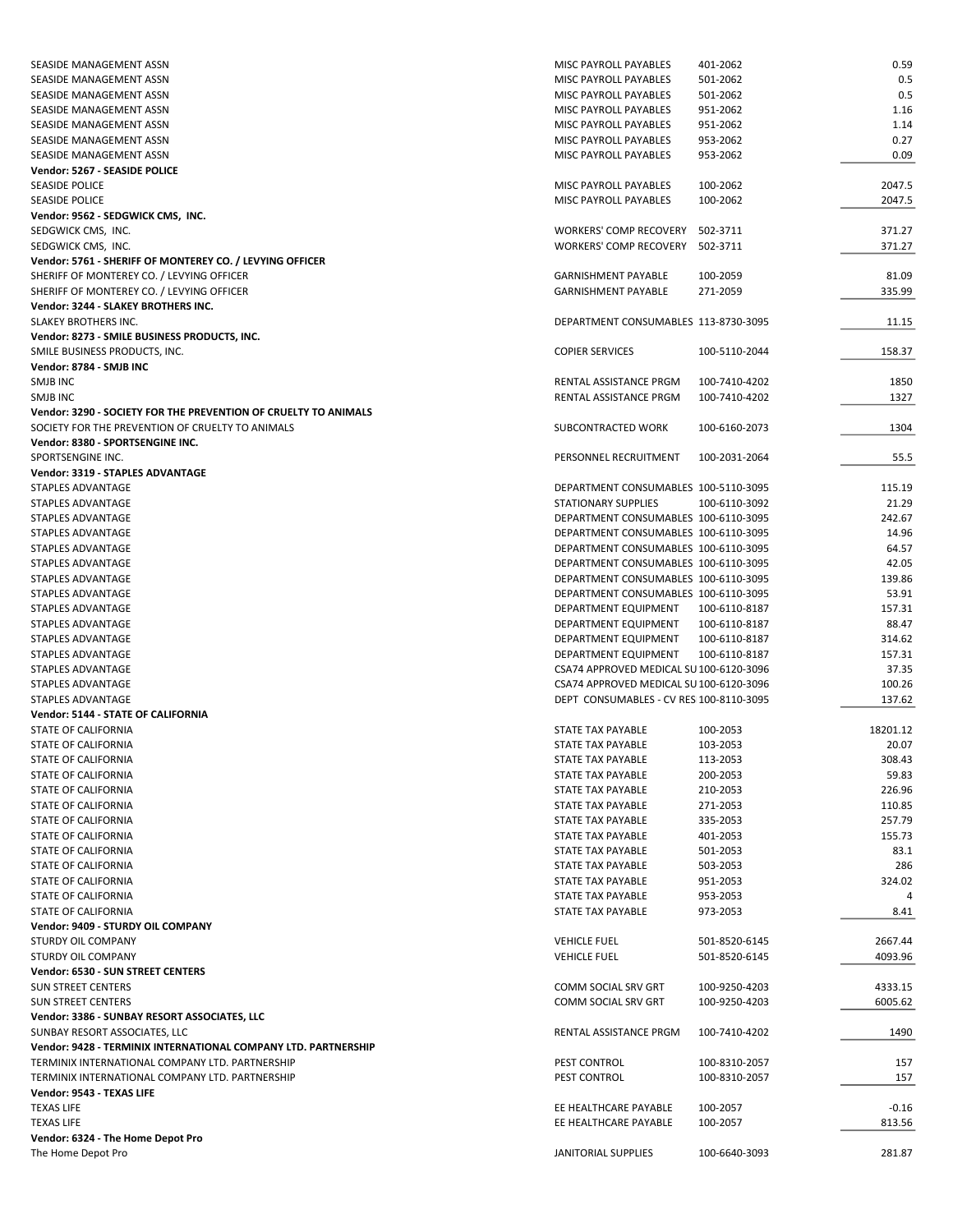| SEASIDE MANAGEMENT ASSN                                                                                             | MISC PAYROLL PAYABLES                   | 401-2062      | 0.59     |
|---------------------------------------------------------------------------------------------------------------------|-----------------------------------------|---------------|----------|
| SEASIDE MANAGEMENT ASSN                                                                                             | MISC PAYROLL PAYABLES                   | 501-2062      | 0.5      |
| SEASIDE MANAGEMENT ASSN                                                                                             | MISC PAYROLL PAYABLES                   | 501-2062      | 0.5      |
| SEASIDE MANAGEMENT ASSN                                                                                             | MISC PAYROLL PAYABLES                   | 951-2062      | 1.16     |
| SEASIDE MANAGEMENT ASSN                                                                                             | MISC PAYROLL PAYABLES                   | 951-2062      | 1.14     |
| SEASIDE MANAGEMENT ASSN                                                                                             | MISC PAYROLL PAYABLES                   | 953-2062      | 0.27     |
| SEASIDE MANAGEMENT ASSN                                                                                             | MISC PAYROLL PAYABLES                   | 953-2062      | 0.09     |
| Vendor: 5267 - SEASIDE POLICE                                                                                       |                                         |               |          |
| SEASIDE POLICE                                                                                                      | MISC PAYROLL PAYABLES                   | 100-2062      | 2047.5   |
| <b>SEASIDE POLICE</b>                                                                                               | MISC PAYROLL PAYABLES                   | 100-2062      | 2047.5   |
| Vendor: 9562 - SEDGWICK CMS, INC.                                                                                   |                                         |               |          |
| SEDGWICK CMS, INC.                                                                                                  | WORKERS' COMP RECOVERY                  | 502-3711      | 371.27   |
| SEDGWICK CMS, INC.                                                                                                  | WORKERS' COMP RECOVERY                  | 502-3711      | 371.27   |
| Vendor: 5761 - SHERIFF OF MONTEREY CO. / LEVYING OFFICER                                                            |                                         |               |          |
| SHERIFF OF MONTEREY CO. / LEVYING OFFICER                                                                           | <b>GARNISHMENT PAYABLE</b>              | 100-2059      | 81.09    |
| SHERIFF OF MONTEREY CO. / LEVYING OFFICER                                                                           | <b>GARNISHMENT PAYABLE</b>              | 271-2059      | 335.99   |
| Vendor: 3244 - SLAKEY BROTHERS INC.                                                                                 |                                         |               |          |
| SLAKEY BROTHERS INC.                                                                                                | DEPARTMENT CONSUMABLES 113-8730-3095    |               | 11.15    |
| Vendor: 8273 - SMILE BUSINESS PRODUCTS, INC.                                                                        |                                         |               |          |
| SMILE BUSINESS PRODUCTS, INC.                                                                                       | <b>COPIER SERVICES</b>                  | 100-5110-2044 | 158.37   |
| Vendor: 8784 - SMJB INC                                                                                             |                                         |               |          |
| SMJB INC                                                                                                            | RENTAL ASSISTANCE PRGM                  | 100-7410-4202 | 1850     |
| SMJB INC                                                                                                            | RENTAL ASSISTANCE PRGM                  | 100-7410-4202 | 1327     |
| Vendor: 3290 - SOCIETY FOR THE PREVENTION OF CRUELTY TO ANIMALS<br>SOCIETY FOR THE PREVENTION OF CRUELTY TO ANIMALS | SUBCONTRACTED WORK                      | 100-6160-2073 | 1304     |
| Vendor: 8380 - SPORTSENGINE INC.                                                                                    |                                         |               |          |
| SPORTSENGINE INC.                                                                                                   | PERSONNEL RECRUITMENT                   | 100-2031-2064 | 55.5     |
| Vendor: 3319 - STAPLES ADVANTAGE                                                                                    |                                         |               |          |
| STAPLES ADVANTAGE                                                                                                   | DEPARTMENT CONSUMABLES 100-5110-3095    |               | 115.19   |
| STAPLES ADVANTAGE                                                                                                   | <b>STATIONARY SUPPLIES</b>              | 100-6110-3092 | 21.29    |
| STAPLES ADVANTAGE                                                                                                   | DEPARTMENT CONSUMABLES 100-6110-3095    |               | 242.67   |
| STAPLES ADVANTAGE                                                                                                   | DEPARTMENT CONSUMABLES 100-6110-3095    |               | 14.96    |
| STAPLES ADVANTAGE                                                                                                   | DEPARTMENT CONSUMABLES 100-6110-3095    |               | 64.57    |
| STAPLES ADVANTAGE                                                                                                   | DEPARTMENT CONSUMABLES 100-6110-3095    |               | 42.05    |
| STAPLES ADVANTAGE                                                                                                   | DEPARTMENT CONSUMABLES 100-6110-3095    |               | 139.86   |
| STAPLES ADVANTAGE                                                                                                   | DEPARTMENT CONSUMABLES 100-6110-3095    |               | 53.91    |
| STAPLES ADVANTAGE                                                                                                   | DEPARTMENT EQUIPMENT                    | 100-6110-8187 | 157.31   |
| STAPLES ADVANTAGE                                                                                                   | DEPARTMENT EQUIPMENT                    | 100-6110-8187 | 88.47    |
| STAPLES ADVANTAGE                                                                                                   | DEPARTMENT EQUIPMENT                    | 100-6110-8187 | 314.62   |
| STAPLES ADVANTAGE                                                                                                   | DEPARTMENT EQUIPMENT                    | 100-6110-8187 | 157.31   |
| STAPLES ADVANTAGE                                                                                                   | CSA74 APPROVED MEDICAL SU 100-6120-3096 |               | 37.35    |
| STAPLES ADVANTAGE                                                                                                   | CSA74 APPROVED MEDICAL SU 100-6120-3096 |               | 100.26   |
| STAPLES ADVANTAGE                                                                                                   | DEPT CONSUMABLES - CV RES 100-8110-3095 |               | 137.62   |
| Vendor: 5144 - STATE OF CALIFORNIA                                                                                  |                                         |               |          |
| <b>STATE OF CALIFORNIA</b>                                                                                          | STATE TAX PAYABLE                       | 100-2053      | 18201.12 |
| STATE OF CALIFORNIA                                                                                                 | <b>STATE TAX PAYABLE</b>                | 103-2053      | 20.07    |
| STATE OF CALIFORNIA                                                                                                 | STATE TAX PAYABLE                       | 113-2053      | 308.43   |
| STATE OF CALIFORNIA                                                                                                 | STATE TAX PAYABLE                       | 200-2053      | 59.83    |
| STATE OF CALIFORNIA                                                                                                 | STATE TAX PAYABLE                       | 210-2053      | 226.96   |
| STATE OF CALIFORNIA                                                                                                 | STATE TAX PAYABLE                       | 271-2053      | 110.85   |
| STATE OF CALIFORNIA                                                                                                 | STATE TAX PAYABLE                       | 335-2053      | 257.79   |
| STATE OF CALIFORNIA                                                                                                 | STATE TAX PAYABLE                       | 401-2053      | 155.73   |
| STATE OF CALIFORNIA                                                                                                 | STATE TAX PAYABLE                       | 501-2053      | 83.1     |
| STATE OF CALIFORNIA                                                                                                 | STATE TAX PAYABLE                       | 503-2053      | 286      |
| STATE OF CALIFORNIA                                                                                                 | STATE TAX PAYABLE                       | 951-2053      | 324.02   |
| STATE OF CALIFORNIA                                                                                                 | STATE TAX PAYABLE                       | 953-2053      | 4        |
| STATE OF CALIFORNIA                                                                                                 | STATE TAX PAYABLE                       | 973-2053      | 8.41     |
| Vendor: 9409 - STURDY OIL COMPANY                                                                                   |                                         |               |          |
| STURDY OIL COMPANY                                                                                                  | <b>VEHICLE FUEL</b>                     | 501-8520-6145 | 2667.44  |
| STURDY OIL COMPANY                                                                                                  | <b>VEHICLE FUEL</b>                     | 501-8520-6145 | 4093.96  |
| Vendor: 6530 - SUN STREET CENTERS                                                                                   |                                         |               |          |
| <b>SUN STREET CENTERS</b>                                                                                           | COMM SOCIAL SRV GRT                     | 100-9250-4203 | 4333.15  |
| SUN STREET CENTERS                                                                                                  | COMM SOCIAL SRV GRT                     | 100-9250-4203 | 6005.62  |
| Vendor: 3386 - SUNBAY RESORT ASSOCIATES, LLC                                                                        |                                         |               |          |
|                                                                                                                     |                                         |               |          |
| SUNBAY RESORT ASSOCIATES, LLC                                                                                       | RENTAL ASSISTANCE PRGM                  | 100-7410-4202 |          |
| Vendor: 9428 - TERMINIX INTERNATIONAL COMPANY LTD. PARTNERSHIP                                                      |                                         |               | 1490     |
| TERMINIX INTERNATIONAL COMPANY LTD. PARTNERSHIP                                                                     | PEST CONTROL                            | 100-8310-2057 | 157      |
| TERMINIX INTERNATIONAL COMPANY LTD. PARTNERSHIP                                                                     | PEST CONTROL                            | 100-8310-2057 | 157      |
| Vendor: 9543 - TEXAS LIFE                                                                                           |                                         |               |          |
| <b>TEXAS LIFE</b>                                                                                                   | EE HEALTHCARE PAYABLE                   | 100-2057      | $-0.16$  |
|                                                                                                                     |                                         |               |          |
| <b>TEXAS LIFE</b><br>Vendor: 6324 - The Home Depot Pro                                                              | EE HEALTHCARE PAYABLE                   | 100-2057      | 813.56   |
| The Home Depot Pro                                                                                                  | JANITORIAL SUPPLIES                     | 100-6640-3093 | 281.87   |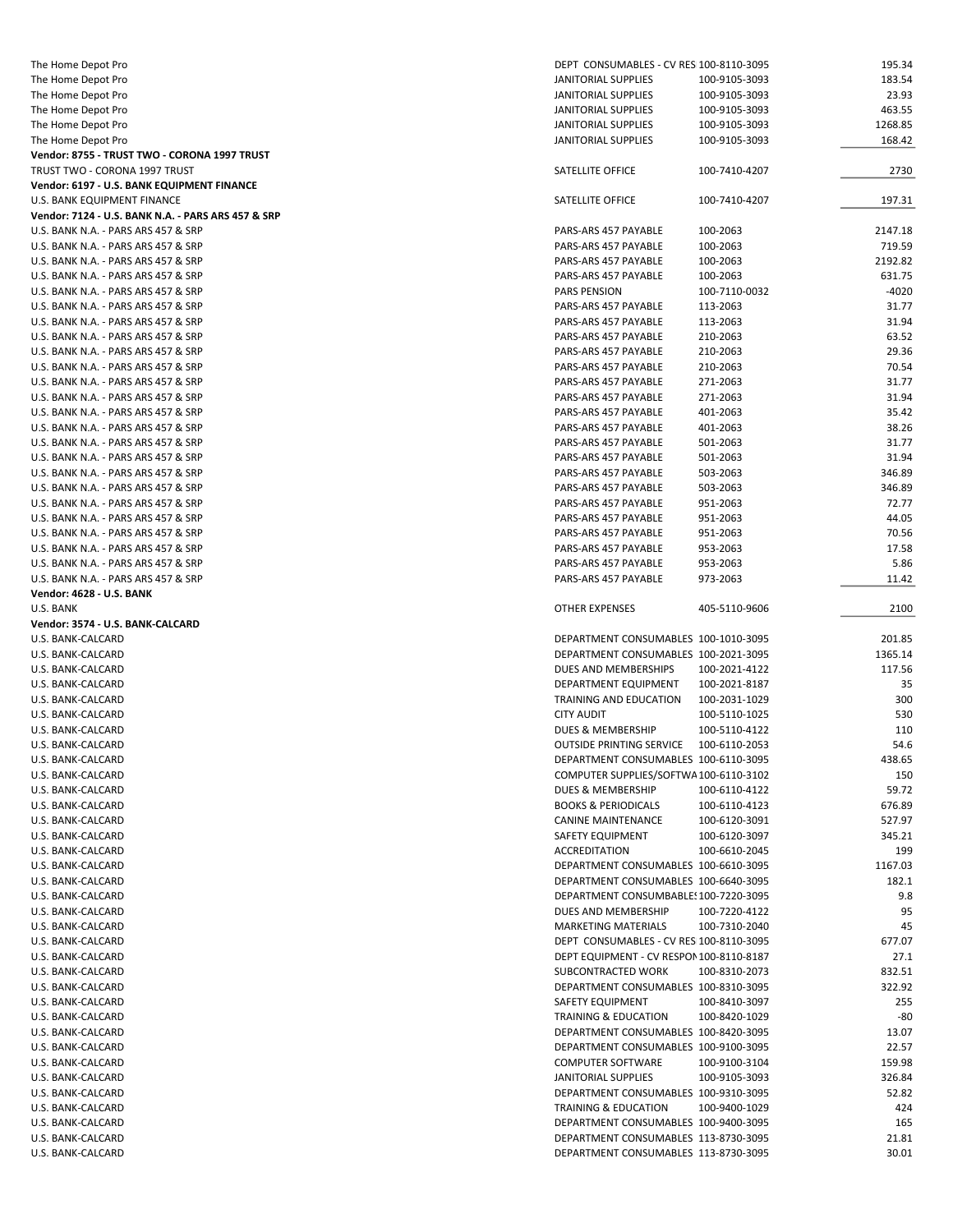| The Home Depot Pro                                 | DEPT CONSUMABLES - CV RES 100-8110-3095                                      |               | 195.34         |
|----------------------------------------------------|------------------------------------------------------------------------------|---------------|----------------|
| The Home Depot Pro                                 | JANITORIAL SUPPLIES                                                          | 100-9105-3093 | 183.54         |
| The Home Depot Pro                                 | JANITORIAL SUPPLIES                                                          | 100-9105-3093 | 23.93          |
| The Home Depot Pro                                 | JANITORIAL SUPPLIES                                                          | 100-9105-3093 | 463.55         |
| The Home Depot Pro                                 | JANITORIAL SUPPLIES                                                          | 100-9105-3093 | 1268.85        |
| The Home Depot Pro                                 | <b>JANITORIAL SUPPLIES</b>                                                   | 100-9105-3093 | 168.42         |
| Vendor: 8755 - TRUST TWO - CORONA 1997 TRUST       |                                                                              |               |                |
| TRUST TWO - CORONA 1997 TRUST                      | SATELLITE OFFICE                                                             | 100-7410-4207 | 2730           |
| Vendor: 6197 - U.S. BANK EQUIPMENT FINANCE         |                                                                              |               |                |
| U.S. BANK EQUIPMENT FINANCE                        | SATELLITE OFFICE                                                             | 100-7410-4207 | 197.31         |
| Vendor: 7124 - U.S. BANK N.A. - PARS ARS 457 & SRP |                                                                              |               |                |
| U.S. BANK N.A. - PARS ARS 457 & SRP                | PARS-ARS 457 PAYABLE                                                         | 100-2063      | 2147.18        |
| U.S. BANK N.A. - PARS ARS 457 & SRP                | PARS-ARS 457 PAYABLE                                                         | 100-2063      | 719.59         |
| U.S. BANK N.A. - PARS ARS 457 & SRP                | PARS-ARS 457 PAYABLE                                                         | 100-2063      | 2192.82        |
| U.S. BANK N.A. - PARS ARS 457 & SRP                | PARS-ARS 457 PAYABLE                                                         | 100-2063      | 631.75         |
| U.S. BANK N.A. - PARS ARS 457 & SRP                | PARS PENSION                                                                 | 100-7110-0032 | $-4020$        |
| U.S. BANK N.A. - PARS ARS 457 & SRP                | PARS-ARS 457 PAYABLE                                                         | 113-2063      | 31.77          |
| U.S. BANK N.A. - PARS ARS 457 & SRP                | PARS-ARS 457 PAYABLE                                                         | 113-2063      | 31.94          |
| U.S. BANK N.A. - PARS ARS 457 & SRP                | PARS-ARS 457 PAYABLE                                                         | 210-2063      | 63.52          |
| U.S. BANK N.A. - PARS ARS 457 & SRP                | PARS-ARS 457 PAYABLE                                                         | 210-2063      | 29.36          |
| U.S. BANK N.A. - PARS ARS 457 & SRP                | PARS-ARS 457 PAYABLE                                                         | 210-2063      | 70.54          |
| U.S. BANK N.A. - PARS ARS 457 & SRP                | PARS-ARS 457 PAYABLE                                                         | 271-2063      | 31.77          |
| U.S. BANK N.A. - PARS ARS 457 & SRP                | PARS-ARS 457 PAYABLE                                                         | 271-2063      | 31.94          |
| U.S. BANK N.A. - PARS ARS 457 & SRP                | PARS-ARS 457 PAYABLE                                                         | 401-2063      | 35.42          |
| U.S. BANK N.A. - PARS ARS 457 & SRP                | PARS-ARS 457 PAYABLE                                                         | 401-2063      | 38.26          |
| U.S. BANK N.A. - PARS ARS 457 & SRP                | PARS-ARS 457 PAYABLE                                                         | 501-2063      | 31.77          |
| U.S. BANK N.A. - PARS ARS 457 & SRP                | PARS-ARS 457 PAYABLE                                                         | 501-2063      | 31.94          |
| U.S. BANK N.A. - PARS ARS 457 & SRP                | PARS-ARS 457 PAYABLE                                                         | 503-2063      | 346.89         |
| U.S. BANK N.A. - PARS ARS 457 & SRP                | PARS-ARS 457 PAYABLE                                                         | 503-2063      | 346.89         |
| U.S. BANK N.A. - PARS ARS 457 & SRP                | PARS-ARS 457 PAYABLE                                                         | 951-2063      | 72.77          |
| U.S. BANK N.A. - PARS ARS 457 & SRP                | PARS-ARS 457 PAYABLE                                                         | 951-2063      | 44.05          |
| U.S. BANK N.A. - PARS ARS 457 & SRP                | PARS-ARS 457 PAYABLE                                                         | 951-2063      | 70.56          |
| U.S. BANK N.A. - PARS ARS 457 & SRP                | PARS-ARS 457 PAYABLE                                                         | 953-2063      | 17.58          |
| U.S. BANK N.A. - PARS ARS 457 & SRP                | PARS-ARS 457 PAYABLE                                                         | 953-2063      | 5.86           |
| U.S. BANK N.A. - PARS ARS 457 & SRP                | PARS-ARS 457 PAYABLE                                                         | 973-2063      | 11.42          |
| <b>Vendor: 4628 - U.S. BANK</b>                    |                                                                              |               |                |
| U.S. BANK                                          | <b>OTHER EXPENSES</b>                                                        | 405-5110-9606 | 2100           |
| Vendor: 3574 - U.S. BANK-CALCARD                   |                                                                              |               |                |
| U.S. BANK-CALCARD                                  | DEPARTMENT CONSUMABLES 100-1010-3095                                         |               | 201.85         |
| U.S. BANK-CALCARD                                  | DEPARTMENT CONSUMABLES 100-2021-3095                                         |               | 1365.14        |
| U.S. BANK-CALCARD                                  | DUES AND MEMBERSHIPS                                                         | 100-2021-4122 | 117.56         |
| U.S. BANK-CALCARD                                  | DEPARTMENT EQUIPMENT                                                         | 100-2021-8187 | 35             |
| U.S. BANK-CALCARD                                  | TRAINING AND EDUCATION                                                       | 100-2031-1029 | 300            |
| U.S. BANK-CALCARD                                  | <b>CITY AUDIT</b>                                                            | 100-5110-1025 |                |
| U.S. BANK-CALCARD                                  |                                                                              |               |                |
| U.S. BANK-CALCARD                                  |                                                                              |               | 530            |
|                                                    | <b>DUES &amp; MEMBERSHIP</b>                                                 | 100-5110-4122 | 110            |
|                                                    | <b>OUTSIDE PRINTING SERVICE</b>                                              | 100-6110-2053 | 54.6           |
| U.S. BANK-CALCARD                                  | DEPARTMENT CONSUMABLES 100-6110-3095                                         |               | 438.65         |
| U.S. BANK-CALCARD                                  | COMPUTER SUPPLIES/SOFTWA 100-6110-3102                                       |               | 150            |
| U.S. BANK-CALCARD                                  | DUES & MEMBERSHIP                                                            | 100-6110-4122 | 59.72          |
| U.S. BANK-CALCARD                                  | <b>BOOKS &amp; PERIODICALS</b>                                               | 100-6110-4123 | 676.89         |
| U.S. BANK-CALCARD                                  | <b>CANINE MAINTENANCE</b>                                                    | 100-6120-3091 | 527.97         |
| U.S. BANK-CALCARD                                  | SAFETY EQUIPMENT                                                             | 100-6120-3097 | 345.21         |
| U.S. BANK-CALCARD                                  | ACCREDITATION                                                                | 100-6610-2045 | 199            |
| U.S. BANK-CALCARD                                  | DEPARTMENT CONSUMABLES 100-6610-3095                                         |               | 1167.03        |
| U.S. BANK-CALCARD                                  | DEPARTMENT CONSUMABLES 100-6640-3095                                         |               | 182.1          |
| U.S. BANK-CALCARD                                  | DEPARTMENT CONSUMBABLE: 100-7220-3095                                        |               | 9.8            |
| U.S. BANK-CALCARD                                  | DUES AND MEMBERSHIP                                                          | 100-7220-4122 | 95             |
| U.S. BANK-CALCARD                                  | <b>MARKETING MATERIALS</b>                                                   | 100-7310-2040 | 45             |
| U.S. BANK-CALCARD                                  | DEPT CONSUMABLES - CV RES 100-8110-3095                                      |               | 677.07         |
| U.S. BANK-CALCARD                                  | DEPT EQUIPMENT - CV RESPON 100-8110-8187                                     |               | 27.1           |
| U.S. BANK-CALCARD                                  | SUBCONTRACTED WORK                                                           | 100-8310-2073 | 832.51         |
| U.S. BANK-CALCARD                                  | DEPARTMENT CONSUMABLES 100-8310-3095                                         |               | 322.92         |
| U.S. BANK-CALCARD                                  | SAFETY EQUIPMENT                                                             | 100-8410-3097 | 255            |
| U.S. BANK-CALCARD                                  | TRAINING & EDUCATION                                                         | 100-8420-1029 | -80            |
| U.S. BANK-CALCARD                                  | DEPARTMENT CONSUMABLES 100-8420-3095                                         |               | 13.07          |
| U.S. BANK-CALCARD                                  | DEPARTMENT CONSUMABLES 100-9100-3095                                         |               | 22.57          |
| U.S. BANK-CALCARD                                  | <b>COMPUTER SOFTWARE</b>                                                     | 100-9100-3104 | 159.98         |
| U.S. BANK-CALCARD                                  | JANITORIAL SUPPLIES                                                          | 100-9105-3093 | 326.84         |
| U.S. BANK-CALCARD                                  | DEPARTMENT CONSUMABLES 100-9310-3095                                         |               | 52.82          |
| U.S. BANK-CALCARD                                  | <b>TRAINING &amp; EDUCATION</b>                                              | 100-9400-1029 | 424            |
| U.S. BANK-CALCARD                                  | DEPARTMENT CONSUMABLES 100-9400-3095                                         |               | 165            |
| U.S. BANK-CALCARD<br>U.S. BANK-CALCARD             | DEPARTMENT CONSUMABLES 113-8730-3095<br>DEPARTMENT CONSUMABLES 113-8730-3095 |               | 21.81<br>30.01 |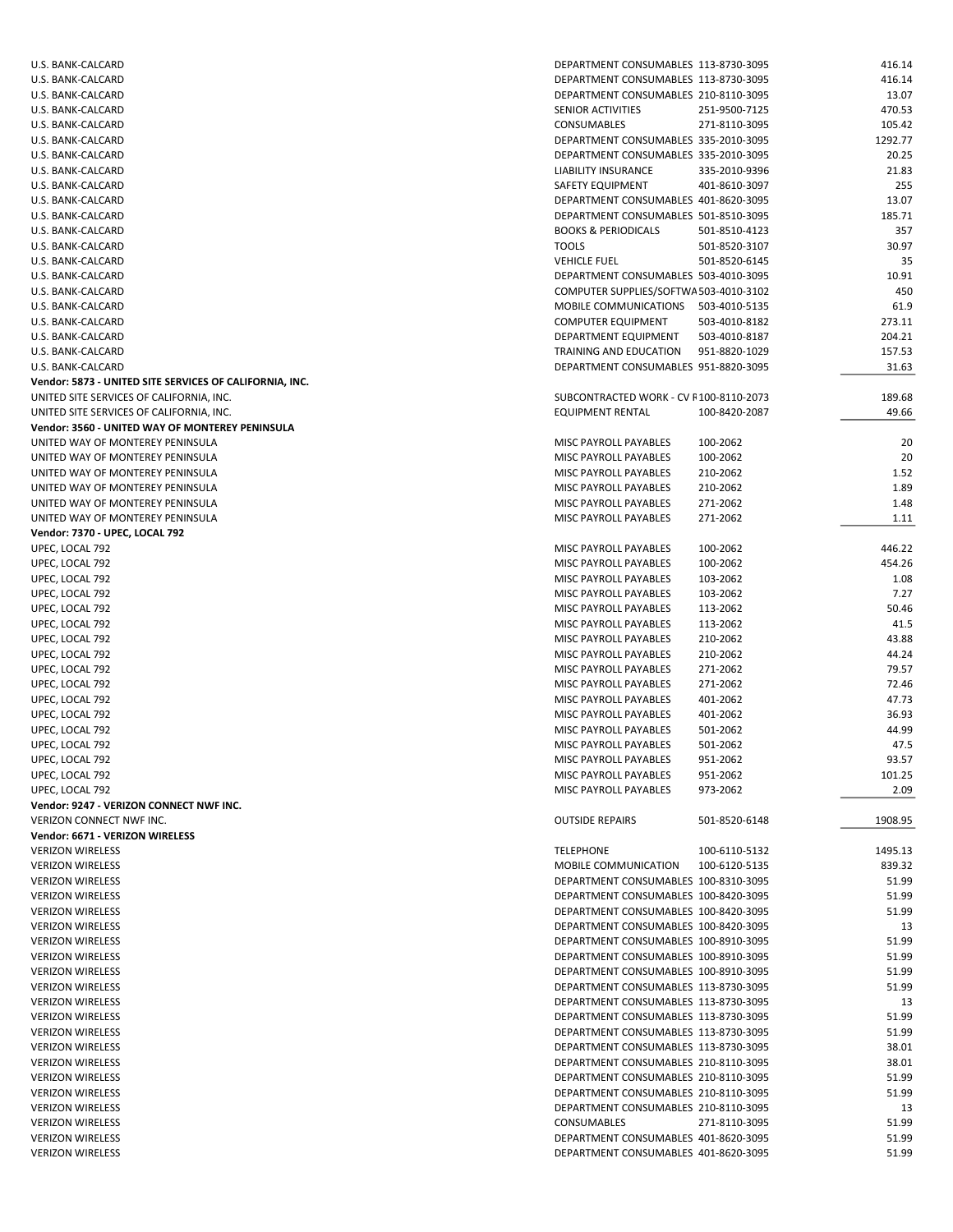| U.S. BANK-CALCARD                                       | DEPARTMENT CONSUMABLES 113-8730-3095   |               | 416.14  |
|---------------------------------------------------------|----------------------------------------|---------------|---------|
| U.S. BANK-CALCARD                                       | DEPARTMENT CONSUMABLES 113-8730-3095   |               | 416.14  |
| U.S. BANK-CALCARD                                       | DEPARTMENT CONSUMABLES 210-8110-3095   |               | 13.07   |
| U.S. BANK-CALCARD                                       | SENIOR ACTIVITIES                      | 251-9500-7125 | 470.53  |
|                                                         |                                        |               |         |
| U.S. BANK-CALCARD                                       | CONSUMABLES                            | 271-8110-3095 | 105.42  |
| U.S. BANK-CALCARD                                       | DEPARTMENT CONSUMABLES 335-2010-3095   |               | 1292.77 |
| U.S. BANK-CALCARD                                       | DEPARTMENT CONSUMABLES 335-2010-3095   |               | 20.25   |
| U.S. BANK-CALCARD                                       | LIABILITY INSURANCE                    | 335-2010-9396 | 21.83   |
|                                                         |                                        |               | 255     |
| U.S. BANK-CALCARD                                       | SAFETY EQUIPMENT                       | 401-8610-3097 |         |
| U.S. BANK-CALCARD                                       | DEPARTMENT CONSUMABLES 401-8620-3095   |               | 13.07   |
| U.S. BANK-CALCARD                                       | DEPARTMENT CONSUMABLES 501-8510-3095   |               | 185.71  |
| U.S. BANK-CALCARD                                       | <b>BOOKS &amp; PERIODICALS</b>         | 501-8510-4123 | 357     |
| U.S. BANK-CALCARD                                       | <b>TOOLS</b>                           | 501-8520-3107 | 30.97   |
|                                                         |                                        |               |         |
| U.S. BANK-CALCARD                                       | <b>VEHICLE FUEL</b>                    | 501-8520-6145 | 35      |
| U.S. BANK-CALCARD                                       | DEPARTMENT CONSUMABLES 503-4010-3095   |               | 10.91   |
| U.S. BANK-CALCARD                                       | COMPUTER SUPPLIES/SOFTWA 503-4010-3102 |               | 450     |
| U.S. BANK-CALCARD                                       | MOBILE COMMUNICATIONS 503-4010-5135    |               | 61.9    |
|                                                         |                                        |               |         |
| U.S. BANK-CALCARD                                       | <b>COMPUTER EQUIPMENT</b>              | 503-4010-8182 | 273.11  |
| U.S. BANK-CALCARD                                       | DEPARTMENT EQUIPMENT                   | 503-4010-8187 | 204.21  |
| U.S. BANK-CALCARD                                       | TRAINING AND EDUCATION                 | 951-8820-1029 | 157.53  |
| U.S. BANK-CALCARD                                       | DEPARTMENT CONSUMABLES 951-8820-3095   |               | 31.63   |
| Vendor: 5873 - UNITED SITE SERVICES OF CALIFORNIA, INC. |                                        |               |         |
|                                                         |                                        |               |         |
| UNITED SITE SERVICES OF CALIFORNIA, INC.                | SUBCONTRACTED WORK - CV F100-8110-2073 |               | 189.68  |
| UNITED SITE SERVICES OF CALIFORNIA, INC.                | EQUIPMENT RENTAL                       | 100-8420-2087 | 49.66   |
| Vendor: 3560 - UNITED WAY OF MONTEREY PENINSULA         |                                        |               |         |
| UNITED WAY OF MONTEREY PENINSULA                        | MISC PAYROLL PAYABLES                  | 100-2062      | 20      |
| UNITED WAY OF MONTEREY PENINSULA                        | <b>MISC PAYROLL PAYABLES</b>           |               |         |
|                                                         |                                        | 100-2062      | 20      |
| UNITED WAY OF MONTEREY PENINSULA                        | MISC PAYROLL PAYABLES                  | 210-2062      | 1.52    |
| UNITED WAY OF MONTEREY PENINSULA                        | MISC PAYROLL PAYABLES                  | 210-2062      | 1.89    |
| UNITED WAY OF MONTEREY PENINSULA                        | MISC PAYROLL PAYABLES                  | 271-2062      | 1.48    |
| UNITED WAY OF MONTEREY PENINSULA                        | MISC PAYROLL PAYABLES                  | 271-2062      | 1.11    |
|                                                         |                                        |               |         |
| Vendor: 7370 - UPEC, LOCAL 792                          |                                        |               |         |
| UPEC, LOCAL 792                                         | MISC PAYROLL PAYABLES                  | 100-2062      | 446.22  |
| UPEC, LOCAL 792                                         | MISC PAYROLL PAYABLES                  | 100-2062      | 454.26  |
| UPEC, LOCAL 792                                         | MISC PAYROLL PAYABLES                  | 103-2062      | 1.08    |
| UPEC, LOCAL 792                                         | MISC PAYROLL PAYABLES                  | 103-2062      | 7.27    |
|                                                         |                                        |               |         |
| UPEC, LOCAL 792                                         | MISC PAYROLL PAYABLES                  | 113-2062      | 50.46   |
| UPEC, LOCAL 792                                         | MISC PAYROLL PAYABLES                  | 113-2062      | 41.5    |
| UPEC, LOCAL 792                                         | MISC PAYROLL PAYABLES                  | 210-2062      | 43.88   |
| UPEC, LOCAL 792                                         | MISC PAYROLL PAYABLES                  | 210-2062      | 44.24   |
|                                                         |                                        |               |         |
| UPEC, LOCAL 792                                         | MISC PAYROLL PAYABLES                  | 271-2062      | 79.57   |
| UPEC, LOCAL 792                                         | MISC PAYROLL PAYABLES                  | 271-2062      | 72.46   |
| UPEC, LOCAL 792                                         | MISC PAYROLL PAYABLES                  | 401-2062      | 47.73   |
| UPEC, LOCAL 792                                         | MISC PAYROLL PAYABLES                  | 401-2062      | 36.93   |
| UPEC, LOCAL 792                                         | MISC PAYROLL PAYABLES                  | 501-2062      | 44.99   |
|                                                         |                                        |               |         |
| UPEC, LOCAL 792                                         | MISC PAYROLL PAYABLES                  | 501-2062      | 47.5    |
| UPEC, LOCAL 792                                         | MISC PAYROLL PAYABLES                  | 951-2062      | 93.57   |
| UPEC, LOCAL 792                                         | MISC PAYROLL PAYABLES                  | 951-2062      | 101.25  |
| UPEC, LOCAL 792                                         | MISC PAYROLL PAYABLES                  | 973-2062      | 2.09    |
| Vendor: 9247 - VERIZON CONNECT NWF INC.                 |                                        |               |         |
|                                                         |                                        |               |         |
| <b>VERIZON CONNECT NWF INC.</b>                         | <b>OUTSIDE REPAIRS</b>                 | 501-8520-6148 | 1908.95 |
| Vendor: 6671 - VERIZON WIRELESS                         |                                        |               |         |
| <b>VERIZON WIRELESS</b>                                 | <b>TELEPHONE</b>                       | 100-6110-5132 | 1495.13 |
| <b>VERIZON WIRELESS</b>                                 | MOBILE COMMUNICATION                   | 100-6120-5135 | 839.32  |
|                                                         |                                        |               |         |
| <b>VERIZON WIRELESS</b>                                 | DEPARTMENT CONSUMABLES 100-8310-3095   |               | 51.99   |
| <b>VERIZON WIRELESS</b>                                 | DEPARTMENT CONSUMABLES 100-8420-3095   |               | 51.99   |
| <b>VERIZON WIRELESS</b>                                 | DEPARTMENT CONSUMABLES 100-8420-3095   |               | 51.99   |
| <b>VERIZON WIRELESS</b>                                 | DEPARTMENT CONSUMABLES 100-8420-3095   |               | 13      |
| <b>VERIZON WIRELESS</b>                                 | DEPARTMENT CONSUMABLES 100-8910-3095   |               | 51.99   |
|                                                         |                                        |               |         |
| <b>VERIZON WIRELESS</b>                                 | DEPARTMENT CONSUMABLES 100-8910-3095   |               | 51.99   |
| <b>VERIZON WIRELESS</b>                                 | DEPARTMENT CONSUMABLES 100-8910-3095   |               | 51.99   |
| <b>VERIZON WIRELESS</b>                                 | DEPARTMENT CONSUMABLES 113-8730-3095   |               | 51.99   |
| <b>VERIZON WIRELESS</b>                                 | DEPARTMENT CONSUMABLES 113-8730-3095   |               | 13      |
| <b>VERIZON WIRELESS</b>                                 | DEPARTMENT CONSUMABLES 113-8730-3095   |               | 51.99   |
|                                                         |                                        |               |         |
| <b>VERIZON WIRELESS</b>                                 | DEPARTMENT CONSUMABLES 113-8730-3095   |               | 51.99   |
| <b>VERIZON WIRELESS</b>                                 | DEPARTMENT CONSUMABLES 113-8730-3095   |               | 38.01   |
| <b>VERIZON WIRELESS</b>                                 | DEPARTMENT CONSUMABLES 210-8110-3095   |               | 38.01   |
| <b>VERIZON WIRELESS</b>                                 | DEPARTMENT CONSUMABLES 210-8110-3095   |               | 51.99   |
|                                                         |                                        |               |         |
| <b>VERIZON WIRELESS</b>                                 | DEPARTMENT CONSUMABLES 210-8110-3095   |               | 51.99   |
| <b>VERIZON WIRELESS</b>                                 | DEPARTMENT CONSUMABLES 210-8110-3095   |               | 13      |
| <b>VERIZON WIRELESS</b>                                 | <b>CONSUMABLES</b>                     | 271-8110-3095 | 51.99   |
| <b>VERIZON WIRELESS</b>                                 | DEPARTMENT CONSUMABLES 401-8620-3095   |               | 51.99   |
| <b>VERIZON WIRELESS</b>                                 | DEPARTMENT CONSUMABLES 401-8620-3095   |               | 51.99   |
|                                                         |                                        |               |         |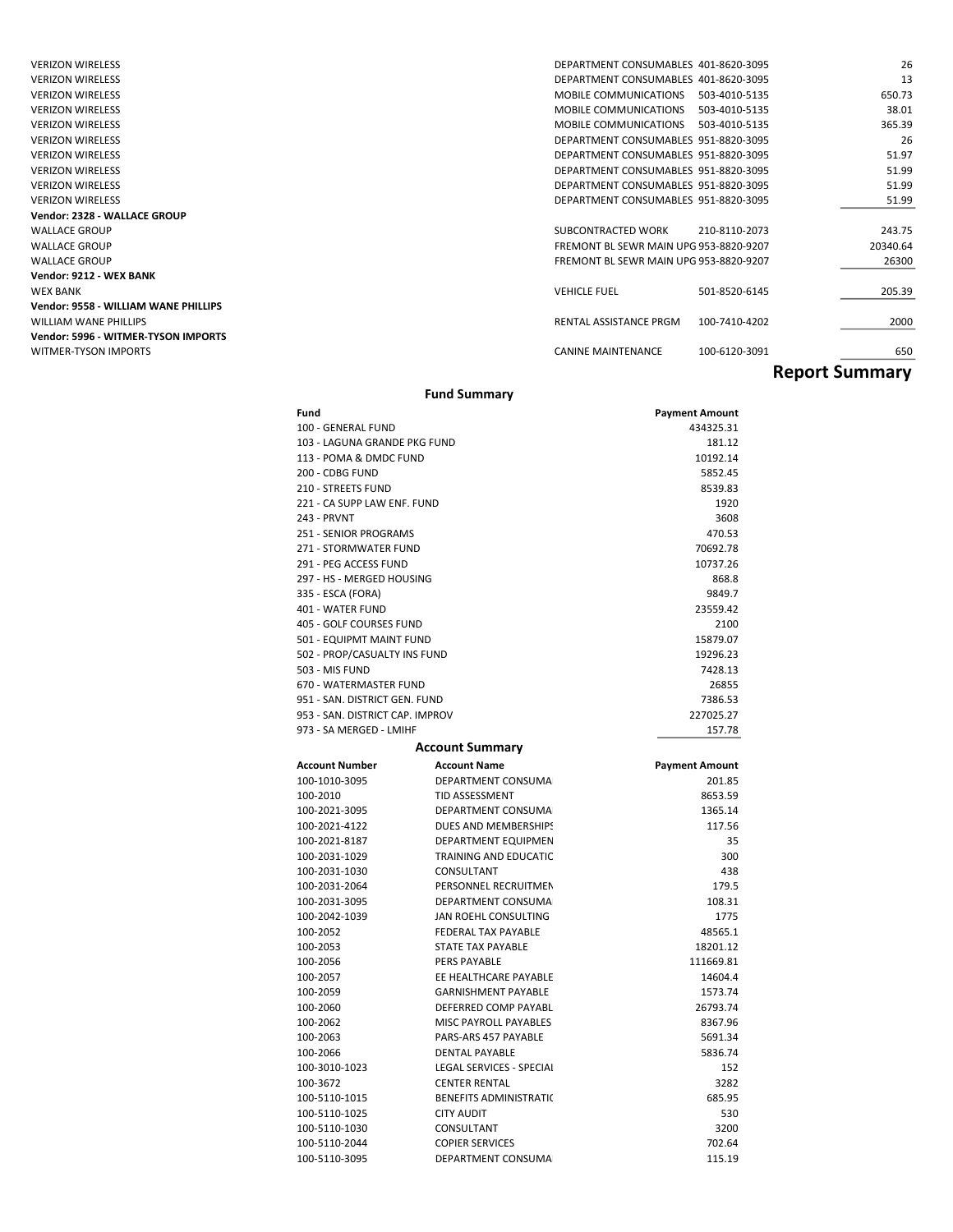| <b>VERIZON WIRELESS</b>                     | DEPARTMENT CONSUMABLES 401-8620-3095   |               | 26                    |
|---------------------------------------------|----------------------------------------|---------------|-----------------------|
| <b>VERIZON WIRELESS</b>                     | DEPARTMENT CONSUMABLES 401-8620-3095   |               | 13                    |
| <b>VERIZON WIRELESS</b>                     | MOBILE COMMUNICATIONS                  | 503-4010-5135 | 650.73                |
| <b>VERIZON WIRELESS</b>                     | MOBILE COMMUNICATIONS                  | 503-4010-5135 | 38.01                 |
| <b>VERIZON WIRELESS</b>                     | MOBILE COMMUNICATIONS                  | 503-4010-5135 | 365.39                |
| <b>VERIZON WIRELESS</b>                     | DEPARTMENT CONSUMABLES 951-8820-3095   |               | 26                    |
| <b>VERIZON WIRELESS</b>                     | DEPARTMENT CONSUMABLES 951-8820-3095   |               | 51.97                 |
| <b>VERIZON WIRELESS</b>                     | DEPARTMENT CONSUMABLES 951-8820-3095   |               | 51.99                 |
| <b>VERIZON WIRELESS</b>                     | DEPARTMENT CONSUMABLES 951-8820-3095   |               | 51.99                 |
| <b>VERIZON WIRELESS</b>                     | DEPARTMENT CONSUMABLES 951-8820-3095   |               | 51.99                 |
| Vendor: 2328 - WALLACE GROUP                |                                        |               |                       |
| <b>WALLACE GROUP</b>                        | SUBCONTRACTED WORK                     | 210-8110-2073 | 243.75                |
| <b>WALLACE GROUP</b>                        | FREMONT BL SEWR MAIN UPG 953-8820-9207 |               | 20340.64              |
| <b>WALLACE GROUP</b>                        | FREMONT BL SEWR MAIN UPG 953-8820-9207 |               | 26300                 |
| Vendor: 9212 - WEX BANK                     |                                        |               |                       |
| <b>WEX BANK</b>                             | <b>VEHICLE FUEL</b>                    | 501-8520-6145 | 205.39                |
| <b>Vendor: 9558 - WILLIAM WANE PHILLIPS</b> |                                        |               |                       |
| <b>WILLIAM WANE PHILLIPS</b>                | RENTAL ASSISTANCE PRGM                 | 100-7410-4202 | 2000                  |
| Vendor: 5996 - WITMER-TYSON IMPORTS         |                                        |               |                       |
| <b>WITMER-TYSON IMPORTS</b>                 | <b>CANINE MAINTENANCE</b>              | 100-6120-3091 | 650                   |
|                                             |                                        |               | <b>Report Summary</b> |

#### Fund Summary

| Fund                            |                               | <b>Payment Amount</b> |
|---------------------------------|-------------------------------|-----------------------|
| 100 - GENERAL FUND              |                               | 434325.31             |
| 103 - LAGUNA GRANDE PKG FUND    |                               | 181.12                |
| 113 - POMA & DMDC FUND          |                               | 10192.14              |
| 200 - CDBG FUND                 |                               | 5852.45               |
| 210 - STREETS FUND              |                               | 8539.83               |
| 221 - CA SUPP LAW ENF. FUND     |                               | 1920                  |
| 243 - PRVNT                     |                               | 3608                  |
| 251 - SENIOR PROGRAMS           |                               | 470.53                |
| 271 - STORMWATER FUND           |                               | 70692.78              |
| 291 - PEG ACCESS FUND           |                               | 10737.26              |
| 297 - HS - MERGED HOUSING       |                               | 868.8                 |
| 335 - ESCA (FORA)               |                               | 9849.7                |
| 401 - WATER FUND                |                               | 23559.42              |
| 405 - GOLF COURSES FUND         |                               | 2100                  |
| 501 - EQUIPMT MAINT FUND        |                               | 15879.07              |
| 502 - PROP/CASUALTY INS FUND    |                               | 19296.23              |
| 503 - MIS FUND                  |                               | 7428.13               |
| 670 - WATERMASTER FUND          |                               | 26855                 |
| 951 - SAN. DISTRICT GEN. FUND   |                               | 7386.53               |
| 953 - SAN. DISTRICT CAP. IMPROV |                               | 227025.27             |
| 973 - SA MERGED - LMIHF         |                               | 157.78                |
|                                 | <b>Account Summary</b>        |                       |
| <b>Account Number</b>           | <b>Account Name</b>           | <b>Payment Amount</b> |
| 100-1010-3095                   | DEPARTMENT CONSUMA            | 201.85                |
| 100-2010                        | TID ASSESSMENT                | 8653.59               |
| 100-2021-3095                   | DEPARTMENT CONSUMA            | 1365.14               |
| 100-2021-4122                   | DUES AND MEMBERSHIPS          | 117.56                |
| 100-2021-8187                   | DEPARTMENT EQUIPMEN           | 35                    |
| 100-2031-1029                   | TRAINING AND EDUCATIC         | 300                   |
| 100-2031-1030                   | CONSULTANT                    | 438                   |
| 100-2031-2064                   | PERSONNEL RECRUITMEN          | 179.5                 |
| 100-2031-3095                   | DEPARTMENT CONSUMA            |                       |
|                                 |                               | 108.31                |
| 100-2042-1039                   | JAN ROEHL CONSULTING          | 1775                  |
| 100-2052                        | FEDERAL TAX PAYABLE           | 48565.1               |
| 100-2053                        | <b>STATE TAX PAYABLE</b>      | 18201.12              |
| 100-2056                        | PERS PAYABLE                  | 111669.81             |
| 100-2057                        | EE HEALTHCARE PAYABLE         | 14604.4               |
| 100-2059                        | <b>GARNISHMENT PAYABLE</b>    | 1573.74               |
| 100-2060                        | DEFERRED COMP PAYABL          | 26793.74              |
| 100-2062                        | <b>MISC PAYROLL PAYABLES</b>  | 8367.96               |
| 100-2063                        | PARS-ARS 457 PAYABLE          | 5691.34               |
| 100-2066                        | <b>DENTAL PAYABLE</b>         | 5836.74               |
| 100-3010-1023                   | LEGAL SERVICES - SPECIAI      | 152                   |
| 100-3672                        | <b>CENTER RENTAL</b>          | 3282                  |
| 100-5110-1015                   | <b>BENEFITS ADMINISTRATIC</b> | 685.95                |
| 100-5110-1025                   | <b>CITY AUDIT</b>             | 530                   |
| 100-5110-1030                   | CONSULTANT                    | 3200                  |
| 100-5110-2044                   | <b>COPIER SERVICES</b>        | 702.64                |
| 100-5110-3095                   | DEPARTMENT CONSUMA            | 115.19                |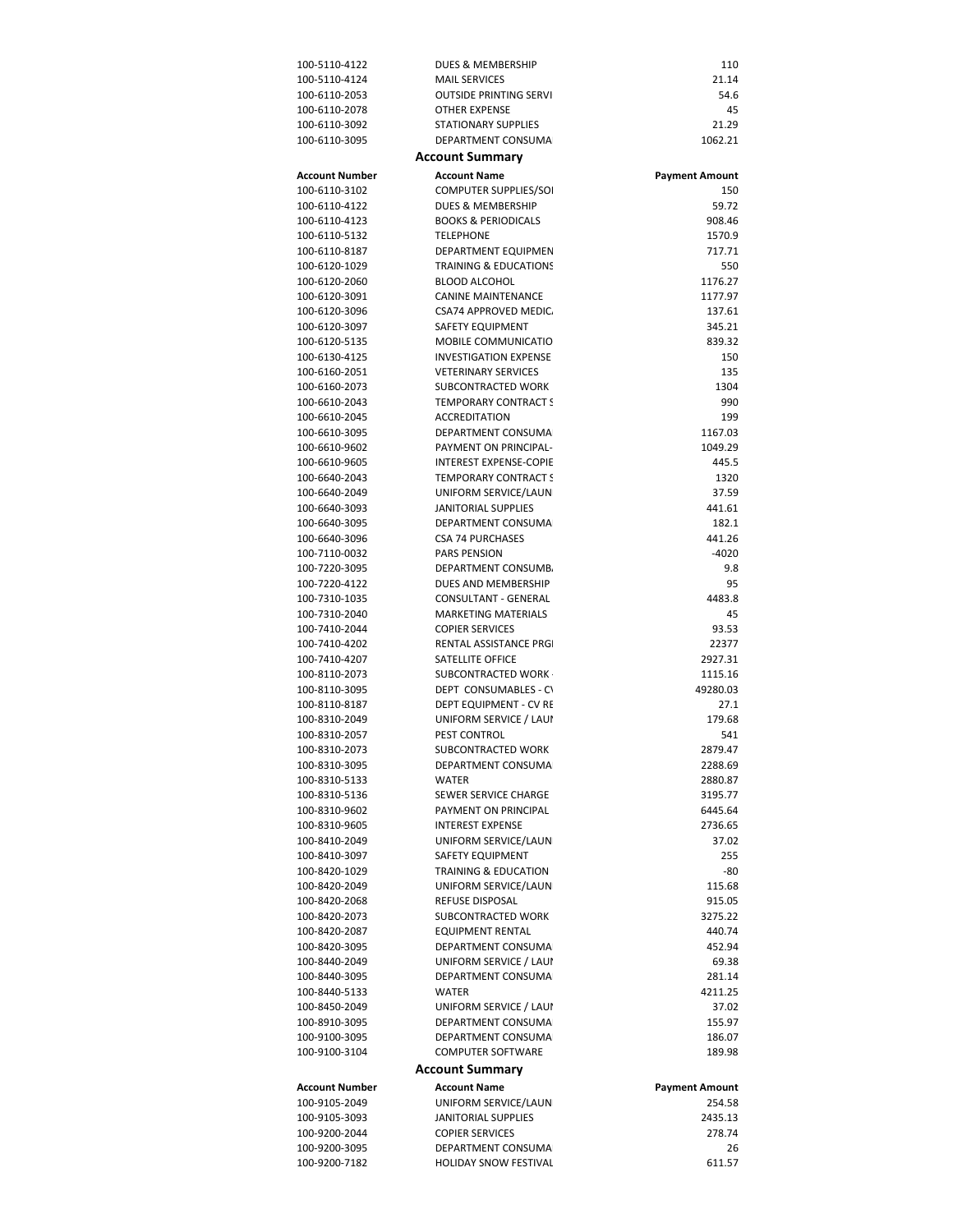| 100-5110-4122                  | DUES & MEMBERSHIP                                  | 110                          |
|--------------------------------|----------------------------------------------------|------------------------------|
| 100-5110-4124                  | <b>MAIL SERVICES</b>                               | 21.14                        |
| 100-6110-2053                  | <b>OUTSIDE PRINTING SERVI</b>                      | 54.6                         |
| 100-6110-2078                  | <b>OTHER EXPENSE</b>                               | 45                           |
| 100-6110-3092<br>100-6110-3095 | <b>STATIONARY SUPPLIES</b><br>DEPARTMENT CONSUMA   | 21.29<br>1062.21             |
|                                | <b>Account Summary</b>                             |                              |
| <b>Account Number</b>          | <b>Account Name</b>                                |                              |
| 100-6110-3102                  | COMPUTER SUPPLIES/SOI                              | <b>Payment Amount</b><br>150 |
| 100-6110-4122                  | DUES & MEMBERSHIP                                  | 59.72                        |
| 100-6110-4123                  | <b>BOOKS &amp; PERIODICALS</b>                     | 908.46                       |
| 100-6110-5132                  | <b>TELEPHONE</b>                                   | 1570.9                       |
| 100-6110-8187                  | DEPARTMENT EQUIPMEN                                | 717.71                       |
| 100-6120-1029                  | <b>TRAINING &amp; EDUCATIONS</b>                   | 550                          |
| 100-6120-2060                  | <b>BLOOD ALCOHOL</b>                               | 1176.27                      |
| 100-6120-3091<br>100-6120-3096 | <b>CANINE MAINTENANCE</b><br>CSA74 APPROVED MEDIC. | 1177.97<br>137.61            |
| 100-6120-3097                  | SAFETY EQUIPMENT                                   | 345.21                       |
| 100-6120-5135                  | MOBILE COMMUNICATIO                                | 839.32                       |
| 100-6130-4125                  | <b>INVESTIGATION EXPENSE</b>                       | 150                          |
| 100-6160-2051                  | <b>VETERINARY SERVICES</b>                         | 135                          |
| 100-6160-2073                  | SUBCONTRACTED WORK                                 | 1304                         |
| 100-6610-2043                  | <b>TEMPORARY CONTRACT S</b>                        | 990                          |
| 100-6610-2045                  | <b>ACCREDITATION</b>                               | 199                          |
| 100-6610-3095                  | DEPARTMENT CONSUMA<br>PAYMENT ON PRINCIPAL-        | 1167.03                      |
| 100-6610-9602<br>100-6610-9605 | <b>INTEREST EXPENSE-COPIE</b>                      | 1049.29<br>445.5             |
| 100-6640-2043                  | <b>TEMPORARY CONTRACT S</b>                        | 1320                         |
| 100-6640-2049                  | UNIFORM SERVICE/LAUN                               | 37.59                        |
| 100-6640-3093                  | JANITORIAL SUPPLIES                                | 441.61                       |
| 100-6640-3095                  | DEPARTMENT CONSUMA                                 | 182.1                        |
| 100-6640-3096                  | <b>CSA 74 PURCHASES</b>                            | 441.26                       |
| 100-7110-0032                  | PARS PENSION                                       | -4020                        |
| 100-7220-3095                  | DEPARTMENT CONSUMB.                                | 9.8                          |
| 100-7220-4122<br>100-7310-1035 | DUES AND MEMBERSHIP<br>CONSULTANT - GENERAL        | 95<br>4483.8                 |
| 100-7310-2040                  | <b>MARKETING MATERIALS</b>                         | 45                           |
| 100-7410-2044                  | <b>COPIER SERVICES</b>                             | 93.53                        |
| 100-7410-4202                  | RENTAL ASSISTANCE PRGI                             | 22377                        |
| 100-7410-4207                  | SATELLITE OFFICE                                   | 2927.31                      |
| 100-8110-2073                  | SUBCONTRACTED WORK                                 | 1115.16                      |
| 100-8110-3095                  | DEPT CONSUMABLES - CV                              | 49280.03                     |
| 100-8110-8187<br>100-8310-2049 | DEPT EQUIPMENT - CV RE<br>UNIFORM SERVICE / LAUI   | 27.1<br>179.68               |
| 100-8310-2057                  | PEST CONTROL                                       | 541                          |
| 100-8310-2073                  | SUBCONTRACTED WORK                                 | 2879.47                      |
| 100-8310-3095                  | DEPARTMENT CONSUMA                                 | 2288.69                      |
| 100-8310-5133                  | <b>WATER</b>                                       | 2880.87                      |
| 100-8310-5136                  | SEWER SERVICE CHARGE                               | 3195.77                      |
| 100-8310-9602                  | PAYMENT ON PRINCIPAL                               | 6445.64                      |
| 100-8310-9605                  | <b>INTEREST EXPENSE</b>                            | 2736.65                      |
| 100-8410-2049<br>100-8410-3097 | UNIFORM SERVICE/LAUN<br>SAFETY EQUIPMENT           | 37.02<br>255                 |
| 100-8420-1029                  | TRAINING & EDUCATION                               | -80                          |
| 100-8420-2049                  | UNIFORM SERVICE/LAUN                               | 115.68                       |
| 100-8420-2068                  | REFUSE DISPOSAL                                    | 915.05                       |
| 100-8420-2073                  | SUBCONTRACTED WORK                                 | 3275.22                      |
| 100-8420-2087                  | <b>EQUIPMENT RENTAL</b>                            | 440.74                       |
| 100-8420-3095                  | DEPARTMENT CONSUMA                                 | 452.94                       |
| 100-8440-2049<br>100-8440-3095 | UNIFORM SERVICE / LAUI<br>DEPARTMENT CONSUMA       | 69.38<br>281.14              |
| 100-8440-5133                  | <b>WATER</b>                                       | 4211.25                      |
| 100-8450-2049                  | UNIFORM SERVICE / LAUI                             | 37.02                        |
| 100-8910-3095                  | DEPARTMENT CONSUMA                                 | 155.97                       |
| 100-9100-3095                  | DEPARTMENT CONSUMA                                 | 186.07                       |
| 100-9100-3104                  | <b>COMPUTER SOFTWARE</b>                           | 189.98                       |
|                                | <b>Account Summary</b>                             |                              |
| <b>Account Number</b>          | <b>Account Name</b>                                | <b>Payment Amount</b>        |
| 100-9105-2049                  | UNIFORM SERVICE/LAUN                               | 254.58                       |
| 100-9105-3093                  | <b>JANITORIAL SUPPLIES</b>                         | 2435.13                      |
| 100-9200-2044<br>100-9200-3095 | <b>COPIER SERVICES</b><br>DEPARTMENT CONSUMA       | 278.74<br>26                 |
| 100-9200-7182                  | <b>HOLIDAY SNOW FESTIVAL</b>                       | 611.57                       |
|                                |                                                    |                              |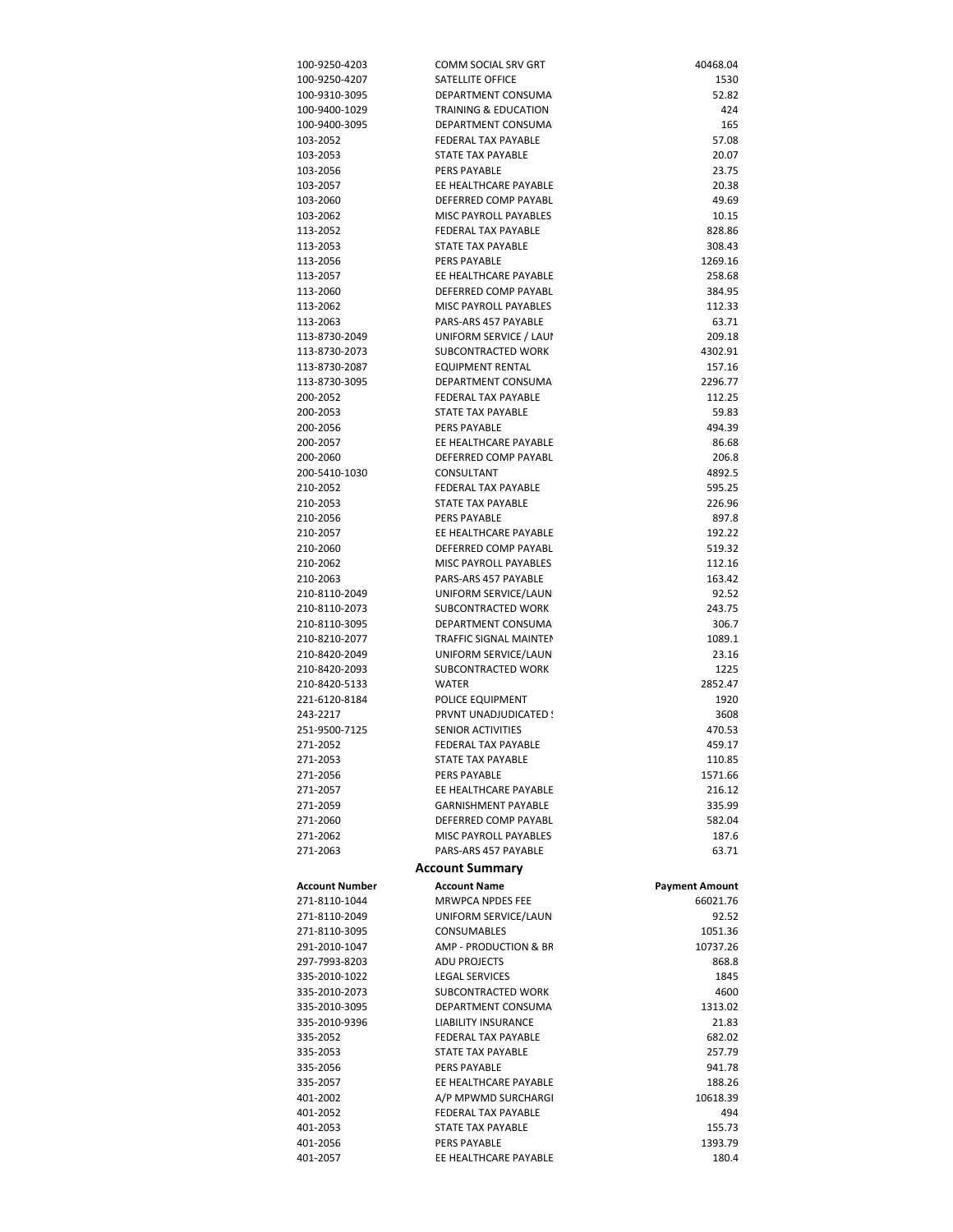| 100-9250-4203                  | COMM SOCIAL SRV GRT                           | 40468.04              |
|--------------------------------|-----------------------------------------------|-----------------------|
| 100-9250-4207                  | SATELLITE OFFICE                              | 1530                  |
| 100-9310-3095                  | DEPARTMENT CONSUMA                            | 52.82                 |
| 100-9400-1029<br>100-9400-3095 | TRAINING & EDUCATION<br>DEPARTMENT CONSUMA    | 424                   |
| 103-2052                       | FEDERAL TAX PAYABLE                           | 165<br>57.08          |
| 103-2053                       | <b>STATE TAX PAYABLE</b>                      | 20.07                 |
| 103-2056                       | PERS PAYABLE                                  | 23.75                 |
| 103-2057                       | EE HEALTHCARE PAYABLE                         | 20.38                 |
| 103-2060                       | DEFERRED COMP PAYABL                          | 49.69                 |
| 103-2062                       | MISC PAYROLL PAYABLES                         | 10.15                 |
| 113-2052                       | FEDERAL TAX PAYABLE                           | 828.86                |
| 113-2053                       | STATE TAX PAYABLE                             | 308.43                |
| 113-2056<br>113-2057           | PERS PAYABLE<br>EE HEALTHCARE PAYABLE         | 1269.16<br>258.68     |
| 113-2060                       | DEFERRED COMP PAYABL                          | 384.95                |
| 113-2062                       | MISC PAYROLL PAYABLES                         | 112.33                |
| 113-2063                       | PARS-ARS 457 PAYABLE                          | 63.71                 |
| 113-8730-2049                  | UNIFORM SERVICE / LAUI                        | 209.18                |
| 113-8730-2073                  | SUBCONTRACTED WORK                            | 4302.91               |
| 113-8730-2087                  | <b>EQUIPMENT RENTAL</b>                       | 157.16                |
| 113-8730-3095                  | DEPARTMENT CONSUMA                            | 2296.77               |
| 200-2052                       | FEDERAL TAX PAYABLE                           | 112.25                |
| 200-2053<br>200-2056           | STATE TAX PAYABLE<br>PERS PAYABLE             | 59.83<br>494.39       |
| 200-2057                       | EE HEALTHCARE PAYABLE                         | 86.68                 |
| 200-2060                       | DEFERRED COMP PAYABL                          | 206.8                 |
| 200-5410-1030                  | CONSULTANT                                    | 4892.5                |
| 210-2052                       | FEDERAL TAX PAYABLE                           | 595.25                |
| 210-2053                       | STATE TAX PAYABLE                             | 226.96                |
| 210-2056                       | PERS PAYABLE                                  | 897.8                 |
| 210-2057                       | EE HEALTHCARE PAYABLE                         | 192.22                |
| 210-2060                       | DEFERRED COMP PAYABL<br>MISC PAYROLL PAYABLES | 519.32<br>112.16      |
| 210-2062<br>210-2063           | PARS-ARS 457 PAYABLE                          | 163.42                |
| 210-8110-2049                  | UNIFORM SERVICE/LAUN                          | 92.52                 |
| 210-8110-2073                  | SUBCONTRACTED WORK                            | 243.75                |
| 210-8110-3095                  | DEPARTMENT CONSUMA                            | 306.7                 |
| 210-8210-2077                  | TRAFFIC SIGNAL MAINTEN                        | 1089.1                |
| 210-8420-2049                  | UNIFORM SERVICE/LAUN                          | 23.16                 |
| 210-8420-2093                  | SUBCONTRACTED WORK                            | 1225                  |
| 210-8420-5133<br>221-6120-8184 | <b>WATER</b><br>POLICE EQUIPMENT              | 2852.47<br>1920       |
| 243-2217                       | PRVNT UNADJUDICATED !                         | 3608                  |
| 251-9500-7125                  | <b>SENIOR ACTIVITIES</b>                      | 470.53                |
| 271-2052                       | FEDERAL TAX PAYABLE                           | 459.17                |
| 271-2053                       | STATE TAX PAYABLE                             | 110.85                |
| 271-2056                       | PERS PAYABLE                                  | 1571.66               |
| 271-2057                       | EE HEALTHCARE PAYABLE                         | 216.12                |
| 271-2059                       | <b>GARNISHMENT PAYABLE</b>                    | 335.99                |
| 271-2060<br>271-2062           | DEFERRED COMP PAYABL<br>MISC PAYROLL PAYABLES | 582.04<br>187.6       |
| 271-2063                       | PARS-ARS 457 PAYABLE                          | 63.71                 |
|                                | <b>Account Summary</b>                        |                       |
| Account Number                 | <b>Account Name</b>                           | <b>Payment Amount</b> |
| 271-8110-1044                  | MRWPCA NPDES FEE                              | 66021.76              |
| 271-8110-2049                  | UNIFORM SERVICE/LAUN                          | 92.52                 |
| 271-8110-3095                  | <b>CONSUMABLES</b>                            | 1051.36               |
| 291-2010-1047                  | AMP - PRODUCTION & BR                         | 10737.26              |
| 297-7993-8203                  | <b>ADU PROJECTS</b>                           | 868.8                 |
| 335-2010-1022                  | <b>LEGAL SERVICES</b>                         | 1845                  |
| 335-2010-2073<br>335-2010-3095 | SUBCONTRACTED WORK<br>DEPARTMENT CONSUMA      | 4600<br>1313.02       |
| 335-2010-9396                  | <b>LIABILITY INSURANCE</b>                    | 21.83                 |
| 335-2052                       | FEDERAL TAX PAYABLE                           | 682.02                |
| 335-2053                       | STATE TAX PAYABLE                             | 257.79                |
| 335-2056                       | PERS PAYABLE                                  | 941.78                |
| 335-2057                       | EE HEALTHCARE PAYABLE                         | 188.26                |
| 401-2002                       | A/P MPWMD SURCHARGI                           | 10618.39              |
| 401-2052                       | FEDERAL TAX PAYABLE                           | 494                   |
| 401-2053<br>401-2056           | STATE TAX PAYABLE<br>PERS PAYABLE             | 155.73<br>1393.79     |
| 401-2057                       | EE HEALTHCARE PAYABLE                         | 180.4                 |
|                                |                                               |                       |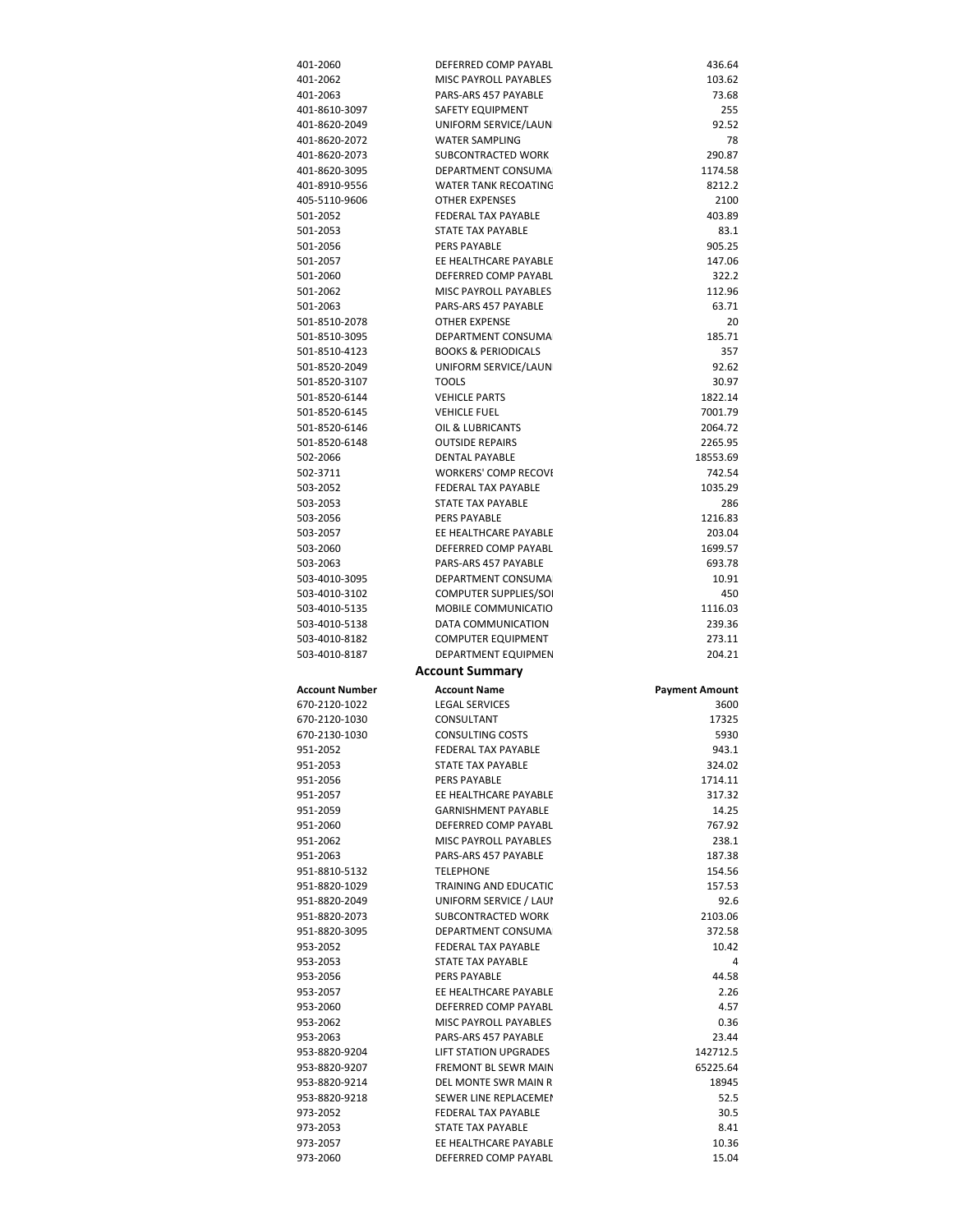| 401-2060              | DEFERRED COMP PAYABL                          | 436.64                |
|-----------------------|-----------------------------------------------|-----------------------|
| 401-2062              | MISC PAYROLL PAYABLES                         | 103.62                |
| 401-2063              | PARS-ARS 457 PAYABLE                          | 73.68                 |
| 401-8610-3097         | SAFETY EQUIPMENT                              | 255                   |
| 401-8620-2049         | UNIFORM SERVICE/LAUN                          | 92.52                 |
|                       | <b>WATER SAMPLING</b>                         |                       |
| 401-8620-2072         |                                               | 78                    |
| 401-8620-2073         | SUBCONTRACTED WORK                            | 290.87                |
| 401-8620-3095         | DEPARTMENT CONSUMA                            | 1174.58               |
| 401-8910-9556         | WATER TANK RECOATING                          | 8212.2                |
| 405-5110-9606         | <b>OTHER EXPENSES</b>                         | 2100                  |
| 501-2052              | FEDERAL TAX PAYABLE                           | 403.89                |
| 501-2053              | STATE TAX PAYABLE                             | 83.1                  |
| 501-2056              | <b>PERS PAYABLE</b>                           | 905.25                |
| 501-2057              | EE HEALTHCARE PAYABLE                         | 147.06                |
| 501-2060              | DEFERRED COMP PAYABL                          | 322.2                 |
| 501-2062              | MISC PAYROLL PAYABLES                         | 112.96                |
|                       |                                               |                       |
| 501-2063              | PARS-ARS 457 PAYABLE                          | 63.71                 |
| 501-8510-2078         | OTHER EXPENSE                                 | 20                    |
| 501-8510-3095         | DEPARTMENT CONSUMA                            | 185.71                |
| 501-8510-4123         | <b>BOOKS &amp; PERIODICALS</b>                | 357                   |
| 501-8520-2049         | UNIFORM SERVICE/LAUN                          | 92.62                 |
| 501-8520-3107         | <b>TOOLS</b>                                  | 30.97                 |
| 501-8520-6144         | <b>VEHICLE PARTS</b>                          | 1822.14               |
| 501-8520-6145         | <b>VEHICLE FUEL</b>                           | 7001.79               |
| 501-8520-6146         | OIL & LUBRICANTS                              | 2064.72               |
| 501-8520-6148         | <b>OUTSIDE REPAIRS</b>                        | 2265.95               |
|                       |                                               |                       |
| 502-2066              | <b>DENTAL PAYABLE</b>                         | 18553.69              |
| 502-3711              | <b>WORKERS' COMP RECOVI</b>                   | 742.54                |
| 503-2052              | FEDERAL TAX PAYABLE                           | 1035.29               |
| 503-2053              | STATE TAX PAYABLE                             | 286                   |
| 503-2056              | PERS PAYABLE                                  | 1216.83               |
| 503-2057              | EE HEALTHCARE PAYABLE                         | 203.04                |
| 503-2060              | DEFERRED COMP PAYABL                          | 1699.57               |
| 503-2063              | PARS-ARS 457 PAYABLE                          | 693.78                |
| 503-4010-3095         | DEPARTMENT CONSUMA                            | 10.91                 |
| 503-4010-3102         | <b>COMPUTER SUPPLIES/SOI</b>                  | 450                   |
|                       |                                               |                       |
|                       |                                               |                       |
| 503-4010-5135         | MOBILE COMMUNICATIO                           | 1116.03               |
| 503-4010-5138         | DATA COMMUNICATION                            | 239.36                |
| 503-4010-8182         | <b>COMPUTER EQUIPMENT</b>                     | 273.11                |
| 503-4010-8187         | DEPARTMENT EQUIPMEN                           | 204.21                |
|                       | <b>Account Summary</b>                        |                       |
| <b>Account Number</b> | <b>Account Name</b>                           | <b>Payment Amount</b> |
| 670-2120-1022         | <b>LEGAL SERVICES</b>                         | 3600                  |
| 670-2120-1030         | CONSULTANT                                    | 17325                 |
|                       | <b>CONSULTING COSTS</b>                       |                       |
| 670-2130-1030         |                                               | 5930                  |
| 951-2052              | <b>FEDERAL TAX PAYABLE</b>                    | 943.1                 |
| 951-2053              | STATE TAX PAYABLE                             | 324.02                |
| 951-2056              | PERS PAYABLE                                  | 1714.11               |
| 951-2057              | EE HEALTHCARE PAYABLE                         | 317.32                |
| 951-2059              | <b>GARNISHMENT PAYABLE</b>                    | 14.25                 |
| 951-2060              | DEFERRED COMP PAYABL                          | 767.92                |
| 951-2062              | MISC PAYROLL PAYABLES                         | 238.1                 |
| 951-2063              | PARS-ARS 457 PAYABLE                          | 187.38                |
| 951-8810-5132         | <b>TELEPHONE</b>                              | 154.56                |
| 951-8820-1029         | TRAINING AND EDUCATIC                         | 157.53                |
|                       |                                               |                       |
| 951-8820-2049         | UNIFORM SERVICE / LAUI                        | 92.6                  |
| 951-8820-2073         | SUBCONTRACTED WORK                            | 2103.06               |
| 951-8820-3095         | DEPARTMENT CONSUMA                            | 372.58                |
| 953-2052              | FEDERAL TAX PAYABLE                           | 10.42                 |
| 953-2053              | STATE TAX PAYABLE                             | 4                     |
| 953-2056              | PERS PAYABLE                                  | 44.58                 |
| 953-2057              | EE HEALTHCARE PAYABLE                         | 2.26                  |
| 953-2060              | DEFERRED COMP PAYABL                          | 4.57                  |
| 953-2062              | MISC PAYROLL PAYABLES                         | 0.36                  |
| 953-2063              | PARS-ARS 457 PAYABLE                          | 23.44                 |
| 953-8820-9204         | LIFT STATION UPGRADES                         | 142712.5              |
|                       |                                               |                       |
| 953-8820-9207         | FREMONT BL SEWR MAIN                          | 65225.64              |
| 953-8820-9214         | DEL MONTE SWR MAIN R                          | 18945                 |
| 953-8820-9218         | SEWER LINE REPLACEMEN                         | 52.5                  |
| 973-2052              | FEDERAL TAX PAYABLE                           | 30.5                  |
| 973-2053              | STATE TAX PAYABLE                             | 8.41                  |
| 973-2057<br>973-2060  | EE HEALTHCARE PAYABLE<br>DEFERRED COMP PAYABL | 10.36<br>15.04        |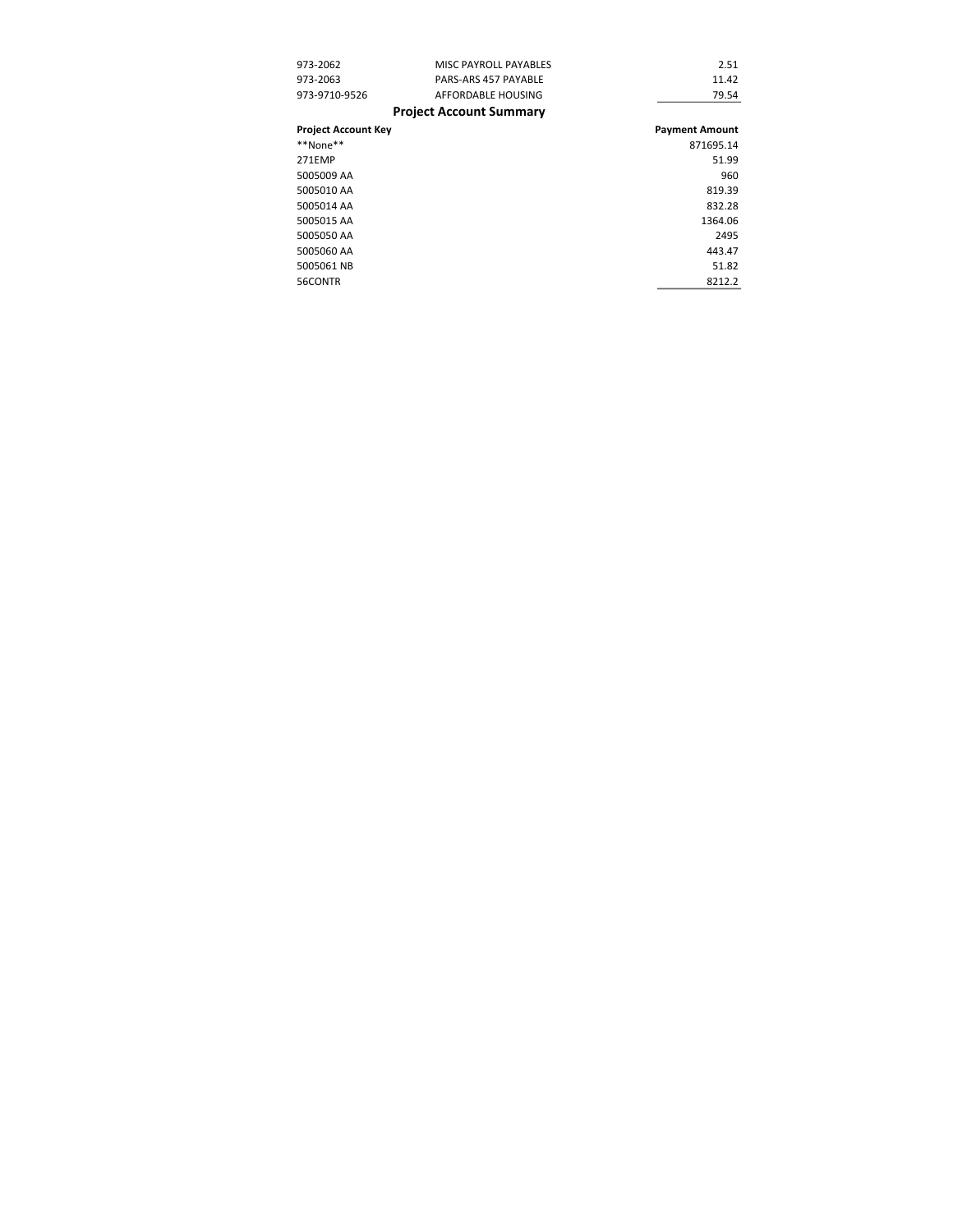| 973-2062                   | MISC PAYROLL PAYABLES          | 2.51                  |
|----------------------------|--------------------------------|-----------------------|
| 973-2063                   | PARS-ARS 457 PAYABLE           | 11.42                 |
| 973-9710-9526              | AFFORDABLE HOUSING             | 79.54                 |
|                            | <b>Project Account Summary</b> |                       |
| <b>Project Account Key</b> |                                | <b>Payment Amount</b> |
| **None**                   |                                | 871695.14             |
| 271EMP                     |                                | 51.99                 |
| 5005009 AA                 |                                | 960                   |
| 5005010 AA                 |                                | 819.39                |
| 5005014 AA                 |                                | 832.28                |
| 5005015 AA                 |                                | 1364.06               |
| 5005050 AA                 |                                | 2495                  |
| 5005060 AA                 |                                | 443.47                |
| 5005061 NB                 |                                | 51.82                 |
| 56CONTR                    |                                | 8212.2                |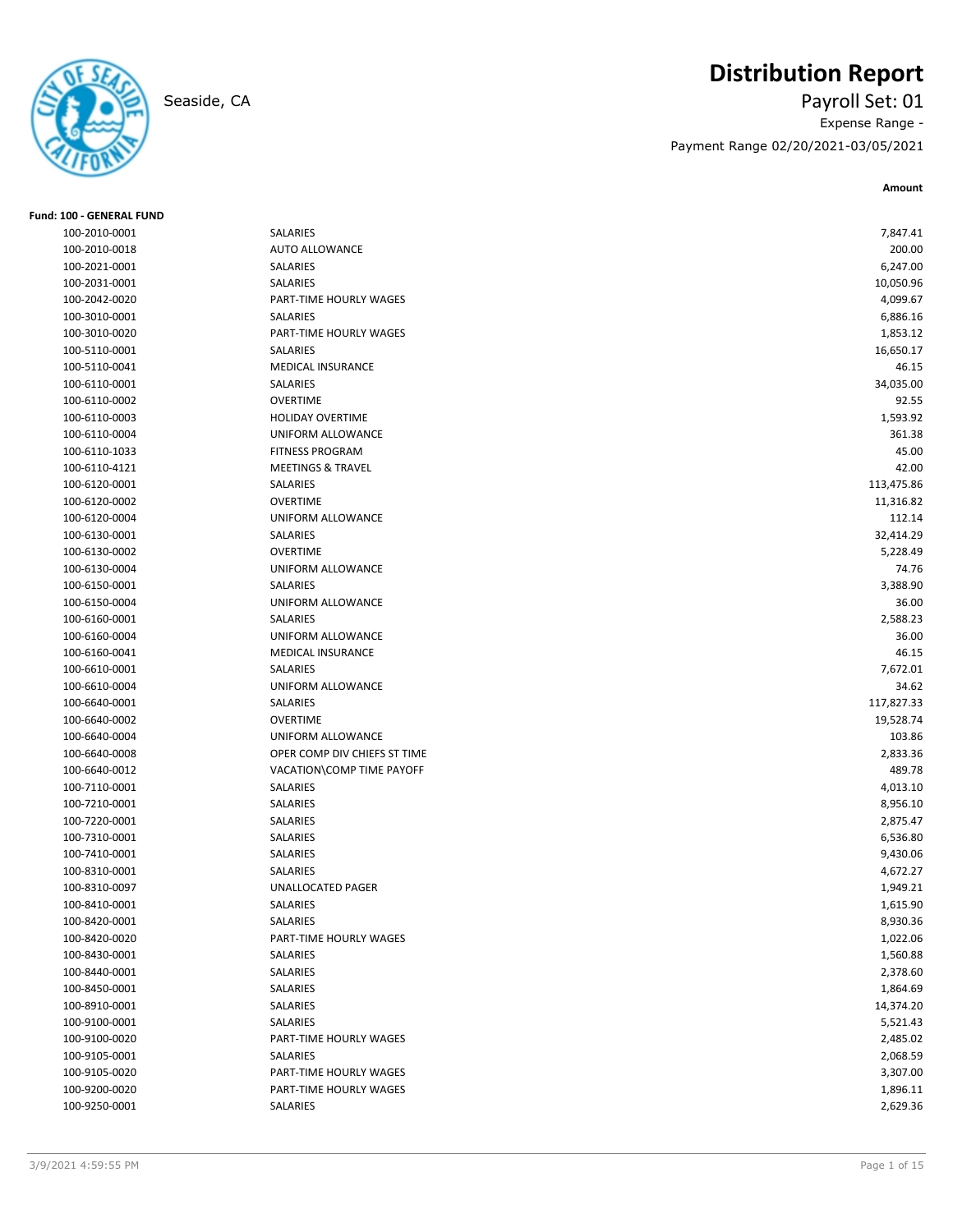

# **Distribution Report**

Seaside, CA Payroll Set: 01 Expense Range - Payment Range 02/20/2021-03/05/2021

| <b>Fund: 100 - GENERAL FUND</b> |                               |                       |
|---------------------------------|-------------------------------|-----------------------|
| 100-2010-0001                   | SALARIES                      | 7,847.41              |
| 100-2010-0018                   | <b>AUTO ALLOWANCE</b>         | 200.00                |
| 100-2021-0001                   | SALARIES                      | 6,247.00              |
| 100-2031-0001                   | SALARIES                      | 10,050.96             |
| 100-2042-0020                   | <b>PART-TIME HOURLY WAGES</b> | 4,099.67              |
| 100-3010-0001                   | SALARIES                      | 6,886.16              |
| 100-3010-0020                   | PART-TIME HOURLY WAGES        | 1,853.12              |
| 100-5110-0001                   | SALARIES                      | 16,650.17             |
| 100-5110-0041                   | MEDICAL INSURANCE             | 46.15                 |
| 100-6110-0001                   | SALARIES                      | 34,035.00             |
| 100-6110-0002                   | <b>OVERTIME</b>               | 92.55                 |
| 100-6110-0003                   | <b>HOLIDAY OVERTIME</b>       | 1,593.92              |
| 100-6110-0004                   | UNIFORM ALLOWANCE             | 361.38                |
| 100-6110-1033                   | <b>FITNESS PROGRAM</b>        | 45.00                 |
| 100-6110-4121                   | <b>MEETINGS &amp; TRAVEL</b>  | 42.00                 |
| 100-6120-0001                   | SALARIES                      | 113,475.86            |
| 100-6120-0002                   | <b>OVERTIME</b>               | 11,316.82             |
| 100-6120-0004                   | UNIFORM ALLOWANCE             | 112.14                |
| 100-6130-0001                   | SALARIES                      | 32,414.29             |
| 100-6130-0002                   | <b>OVERTIME</b>               | 5,228.49              |
| 100-6130-0004                   | UNIFORM ALLOWANCE             | 74.76                 |
| 100-6150-0001                   | SALARIES                      | 3,388.90              |
| 100-6150-0004                   | UNIFORM ALLOWANCE             | 36.00                 |
| 100-6160-0001                   | SALARIES                      | 2,588.23              |
| 100-6160-0004                   | UNIFORM ALLOWANCE             | 36.00                 |
| 100-6160-0041                   | MEDICAL INSURANCE             | 46.15                 |
| 100-6610-0001                   | SALARIES                      | 7,672.01              |
| 100-6610-0004                   | UNIFORM ALLOWANCE             | 34.62                 |
| 100-6640-0001                   | SALARIES                      | 117,827.33            |
| 100-6640-0002                   | <b>OVERTIME</b>               | 19,528.74             |
| 100-6640-0004                   | UNIFORM ALLOWANCE             | 103.86                |
| 100-6640-0008                   | OPER COMP DIV CHIEFS ST TIME  | 2,833.36              |
| 100-6640-0012                   | VACATION\COMP TIME PAYOFF     | 489.78                |
| 100-7110-0001                   | SALARIES                      | 4,013.10              |
| 100-7210-0001                   | SALARIES                      | 8,956.10              |
| 100-7220-0001                   | SALARIES                      | 2,875.47              |
| 100-7310-0001                   | SALARIES                      | 6,536.80              |
| 100-7410-0001                   | SALARIES                      | 9,430.06              |
| 100-8310-0001                   | SALARIES                      | 4,672.27              |
| 100-8310-0097                   | <b>UNALLOCATED PAGER</b>      | 1,949.21              |
| 100-8410-0001                   | SALARIES                      | 1,615.90              |
| 100-8420-0001                   | <b>SALARIES</b>               | 8,930.36              |
| 100-8420-0020                   | PART-TIME HOURLY WAGES        | 1,022.06              |
| 100-8430-0001                   | SALARIES                      | 1,560.88              |
| 100-8440-0001                   | SALARIES                      |                       |
| 100-8450-0001                   | SALARIES                      | 2,378.60              |
| 100-8910-0001                   | SALARIES                      | 1,864.69<br>14,374.20 |
|                                 | SALARIES                      |                       |
| 100-9100-0001                   |                               | 5,521.43              |
| 100-9100-0020                   | PART-TIME HOURLY WAGES        | 2,485.02              |
| 100-9105-0001                   | SALARIES                      | 2,068.59              |
| 100-9105-0020                   | PART-TIME HOURLY WAGES        | 3,307.00              |
| 100-9200-0020                   | PART-TIME HOURLY WAGES        | 1,896.11              |
| 100-9250-0001                   | SALARIES                      | 2,629.36              |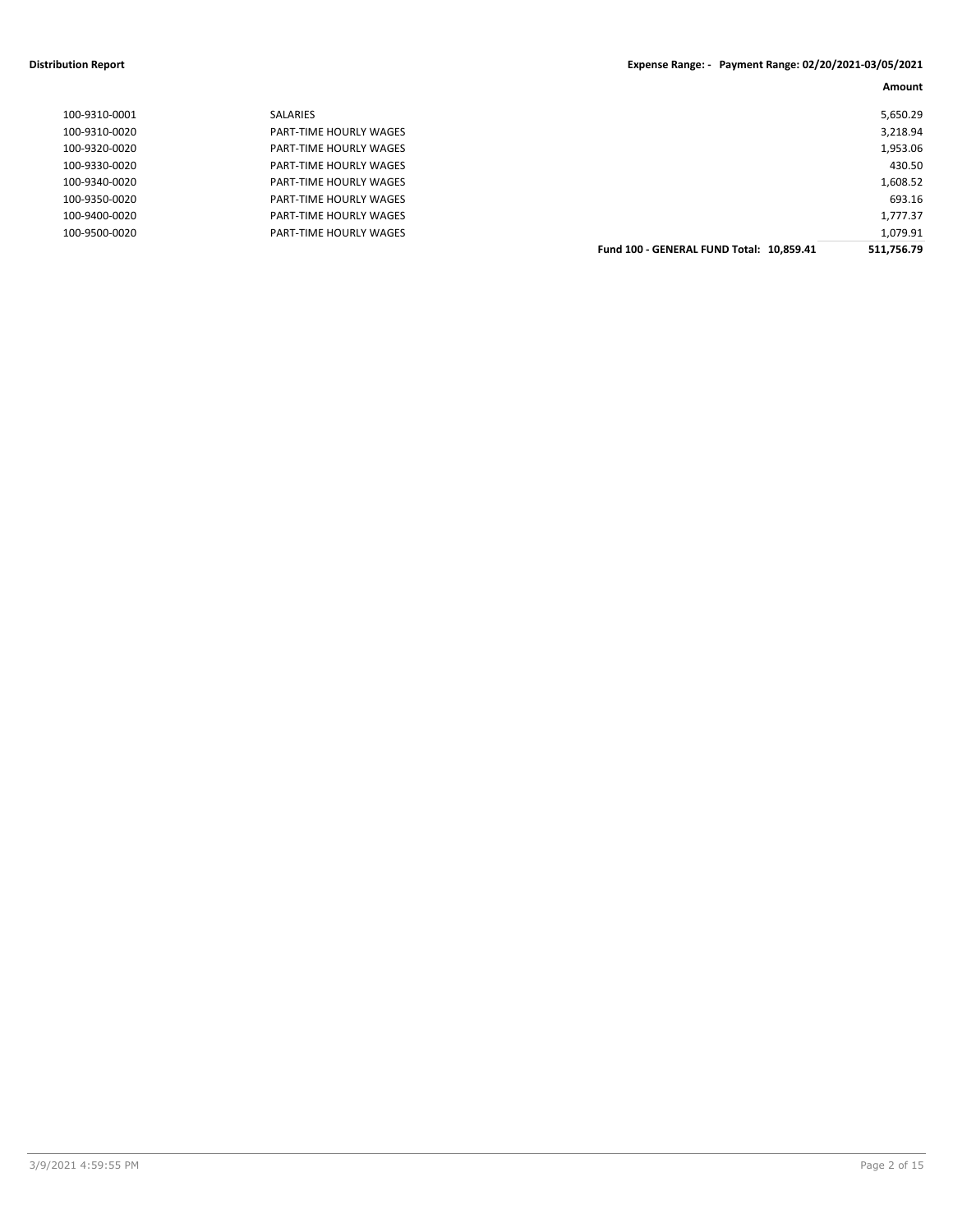# **Distribution Report Expense Range: 2012**

| xpense Range: - Payment Range: 02/20/2021-03/05/2021 |  |  |  |
|------------------------------------------------------|--|--|--|
|------------------------------------------------------|--|--|--|

|               |                               |                                          | Amount     |
|---------------|-------------------------------|------------------------------------------|------------|
| 100-9310-0001 | SALARIES                      |                                          | 5,650.29   |
| 100-9310-0020 | PART-TIME HOURLY WAGES        |                                          | 3,218.94   |
| 100-9320-0020 | PART-TIME HOURLY WAGES        |                                          | 1,953.06   |
| 100-9330-0020 | PART-TIME HOURLY WAGES        |                                          | 430.50     |
| 100-9340-0020 | <b>PART-TIME HOURLY WAGES</b> |                                          | 1,608.52   |
| 100-9350-0020 | PART-TIME HOURLY WAGES        |                                          | 693.16     |
| 100-9400-0020 | PART-TIME HOURLY WAGES        |                                          | 1,777.37   |
| 100-9500-0020 | PART-TIME HOURLY WAGES        |                                          | 1,079.91   |
|               |                               | Fund 100 - GENERAL FUND Total: 10,859.41 | 511,756.79 |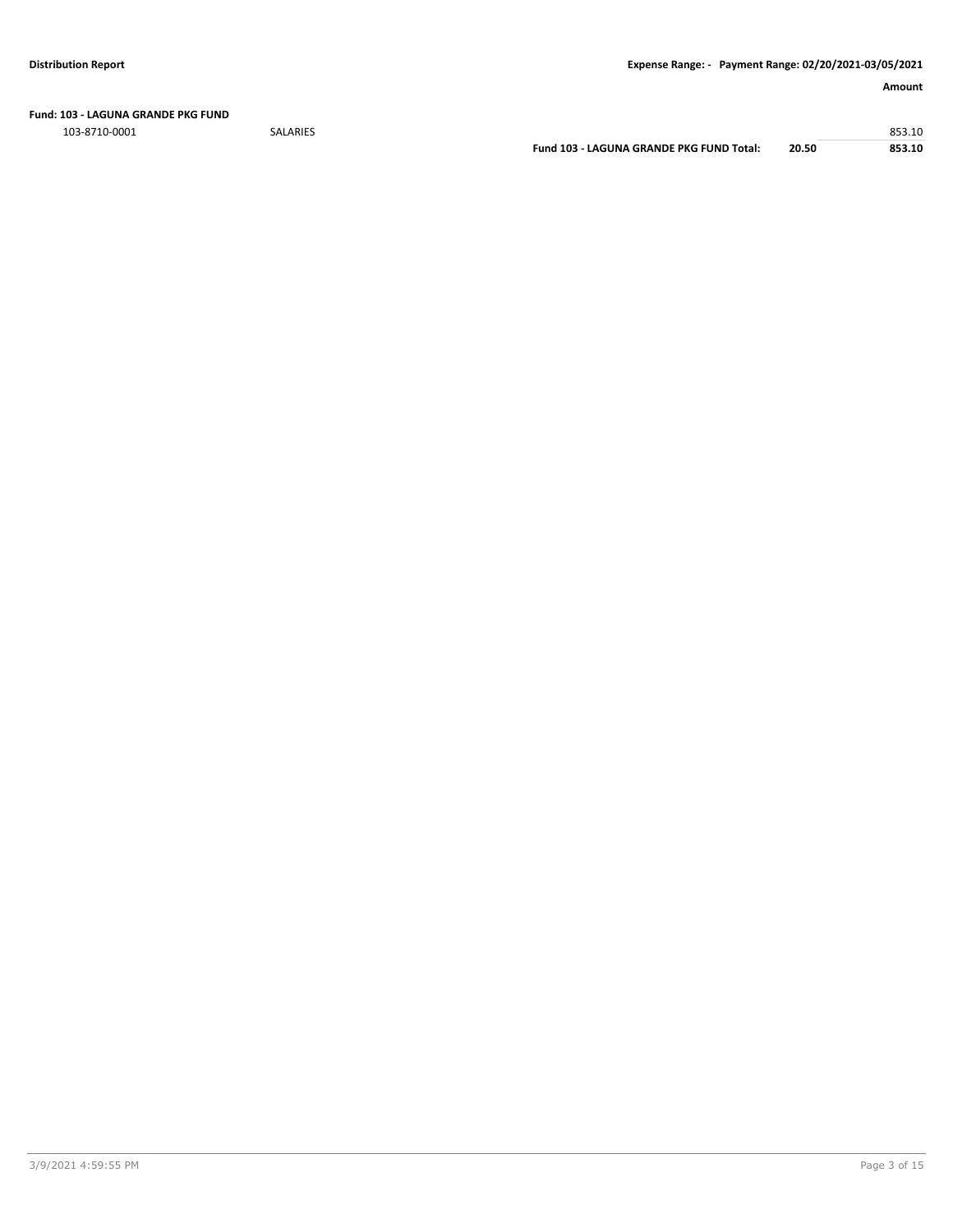**Fund: 103 - LAGUNA GRANDE PKG FUND**

103-8710-0001 SALARIES 853.10

**Fund 103 - LAGUNA GRANDE PKG FUND Total: 20.50 853.10**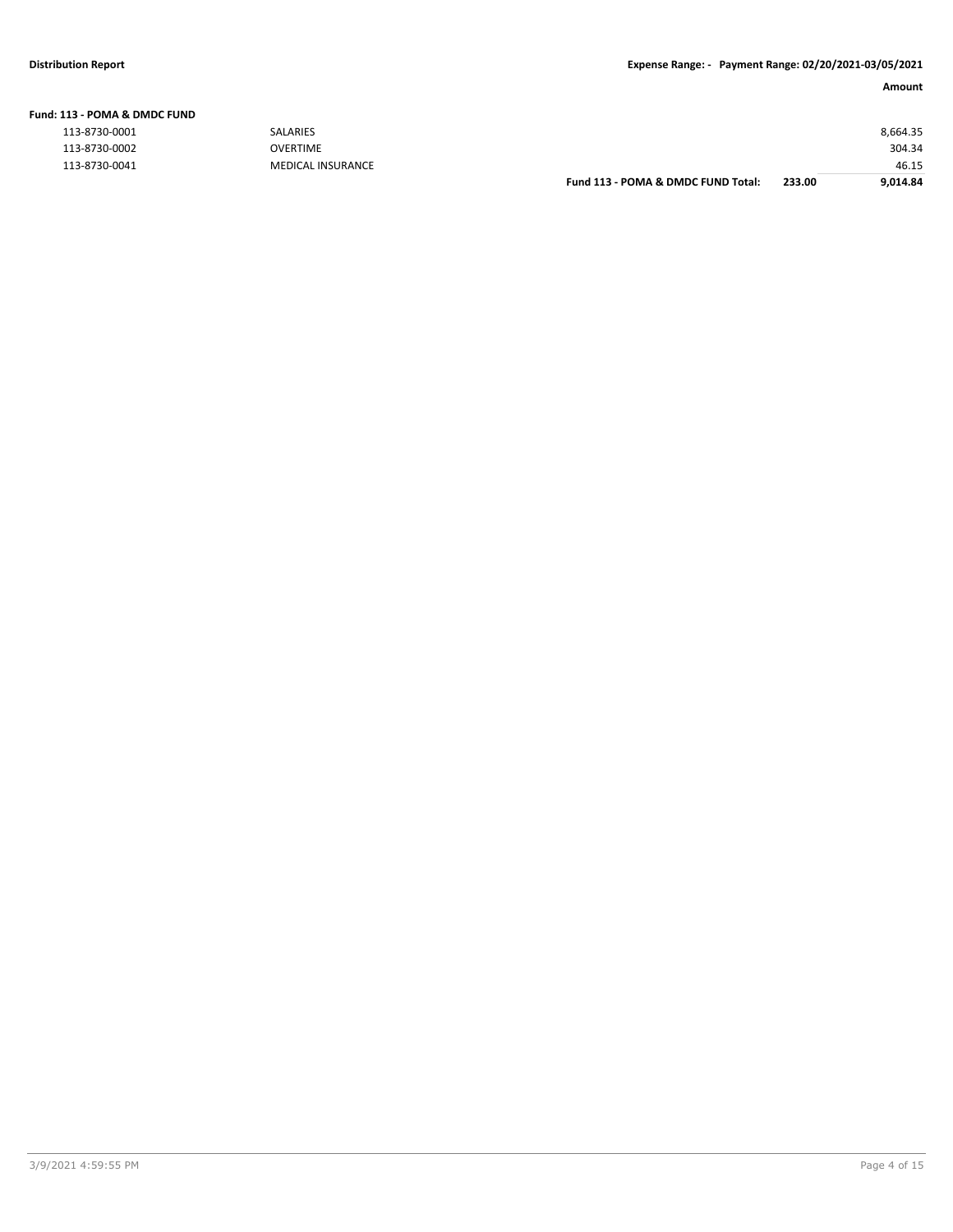| 113 - POMA & DMDC FUND |                          |                                    |        |          |
|------------------------|--------------------------|------------------------------------|--------|----------|
| 113-8730-0001          | <b>SALARIES</b>          |                                    |        | 8,664.35 |
| 113-8730-0002          | <b>OVERTIME</b>          |                                    |        | 304.34   |
| 113-8730-0041          | <b>MEDICAL INSURANCE</b> |                                    |        | 46.15    |
|                        |                          | Fund 113 - POMA & DMDC FUND Total: | 233.00 | 9.014.84 |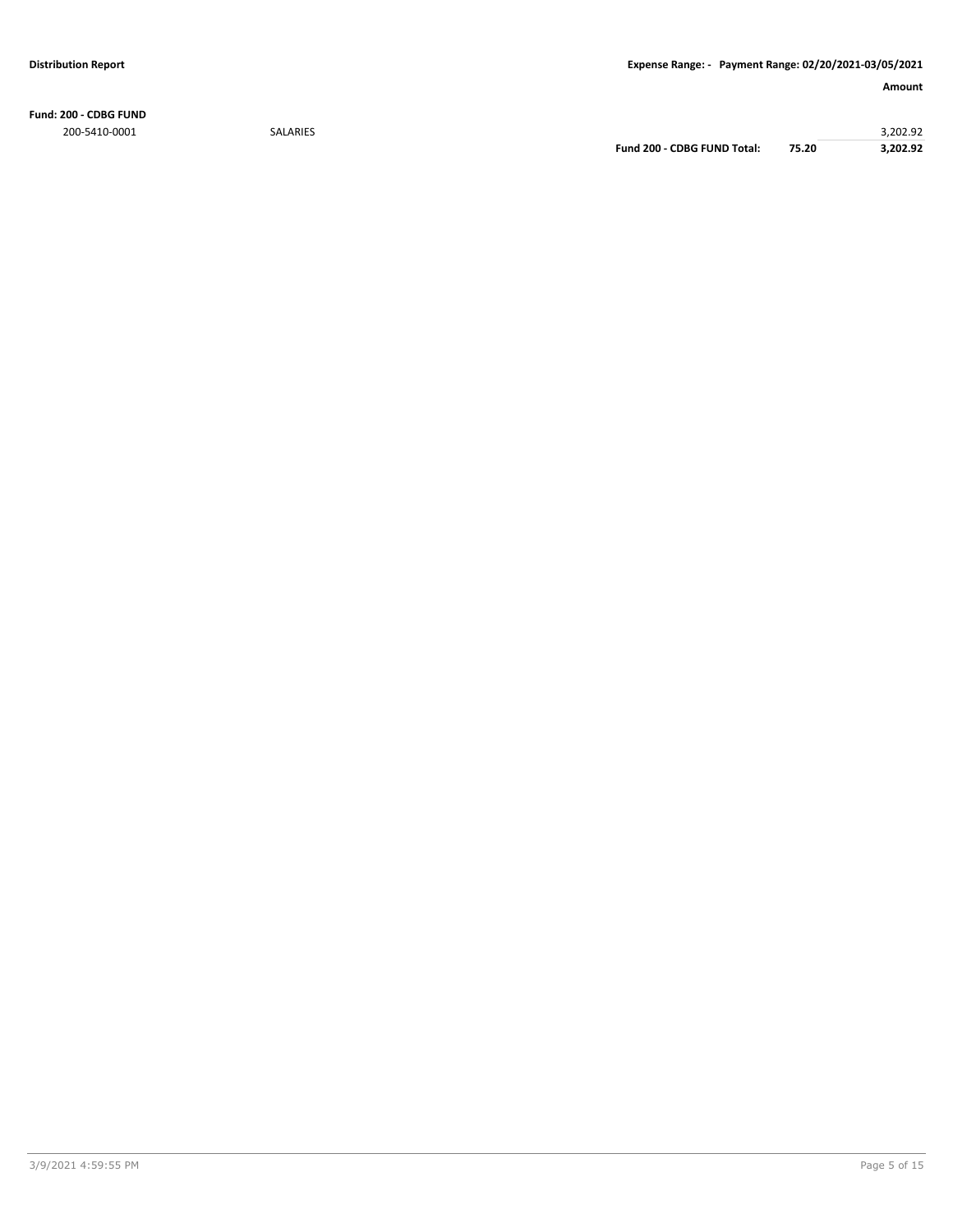**Fund: 200 - CDBG FUND** 200-5410-0001 SALARIES 3,202.92

**Fund 200 - CDBG FUND Total: 75.20 3,202.92**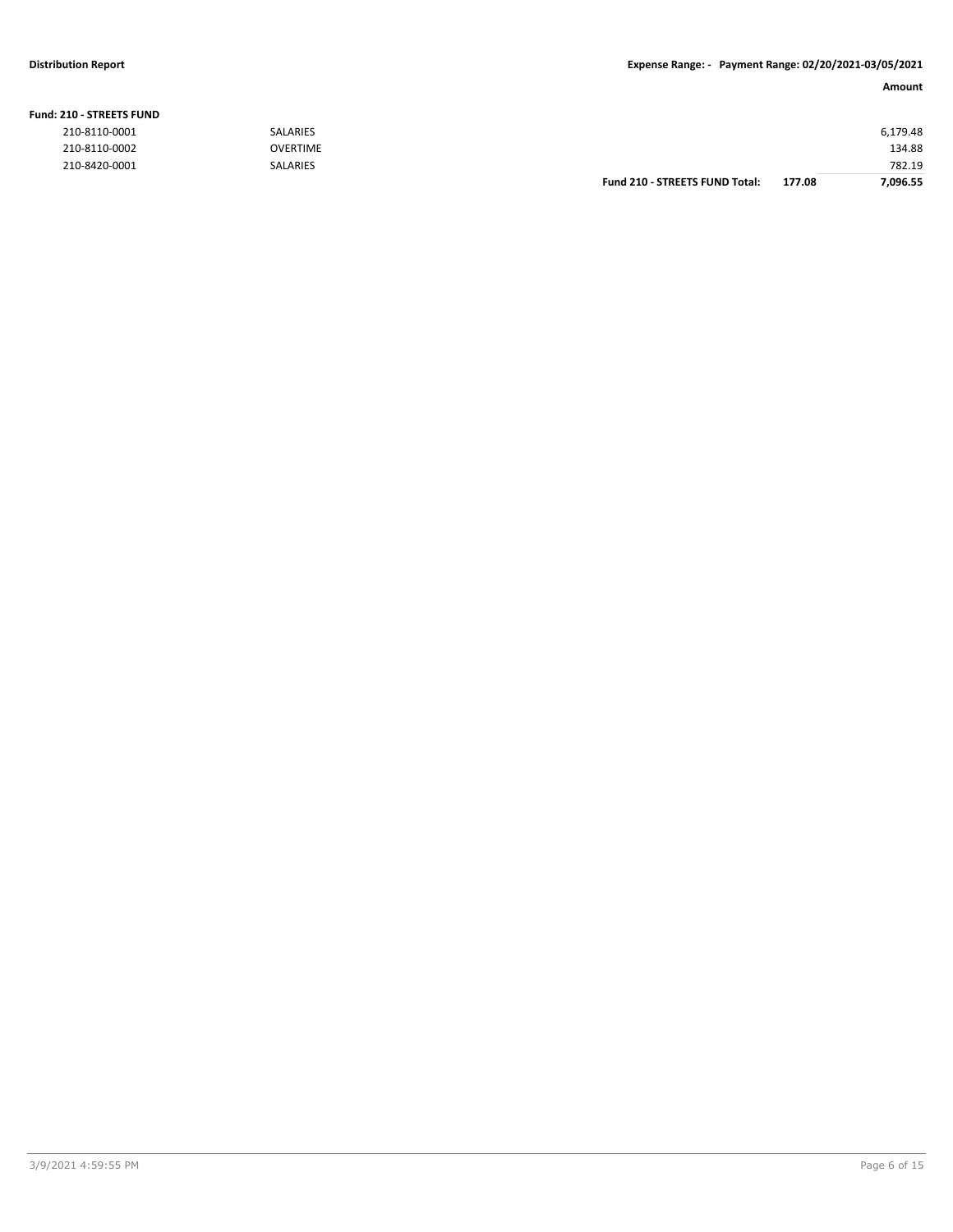#### **Fund: 210 - STREETS FUND**

| 210-8110-0001 | <b>SALARIES</b> |                                       |        | 6,179.48 |
|---------------|-----------------|---------------------------------------|--------|----------|
| 210-8110-0002 | <b>OVERTIME</b> |                                       |        | 134.88   |
| 210-8420-0001 | <b>SALARIES</b> |                                       |        | 782.19   |
|               |                 | <b>Fund 210 - STREETS FUND Total:</b> | 177.08 | 7.096.55 |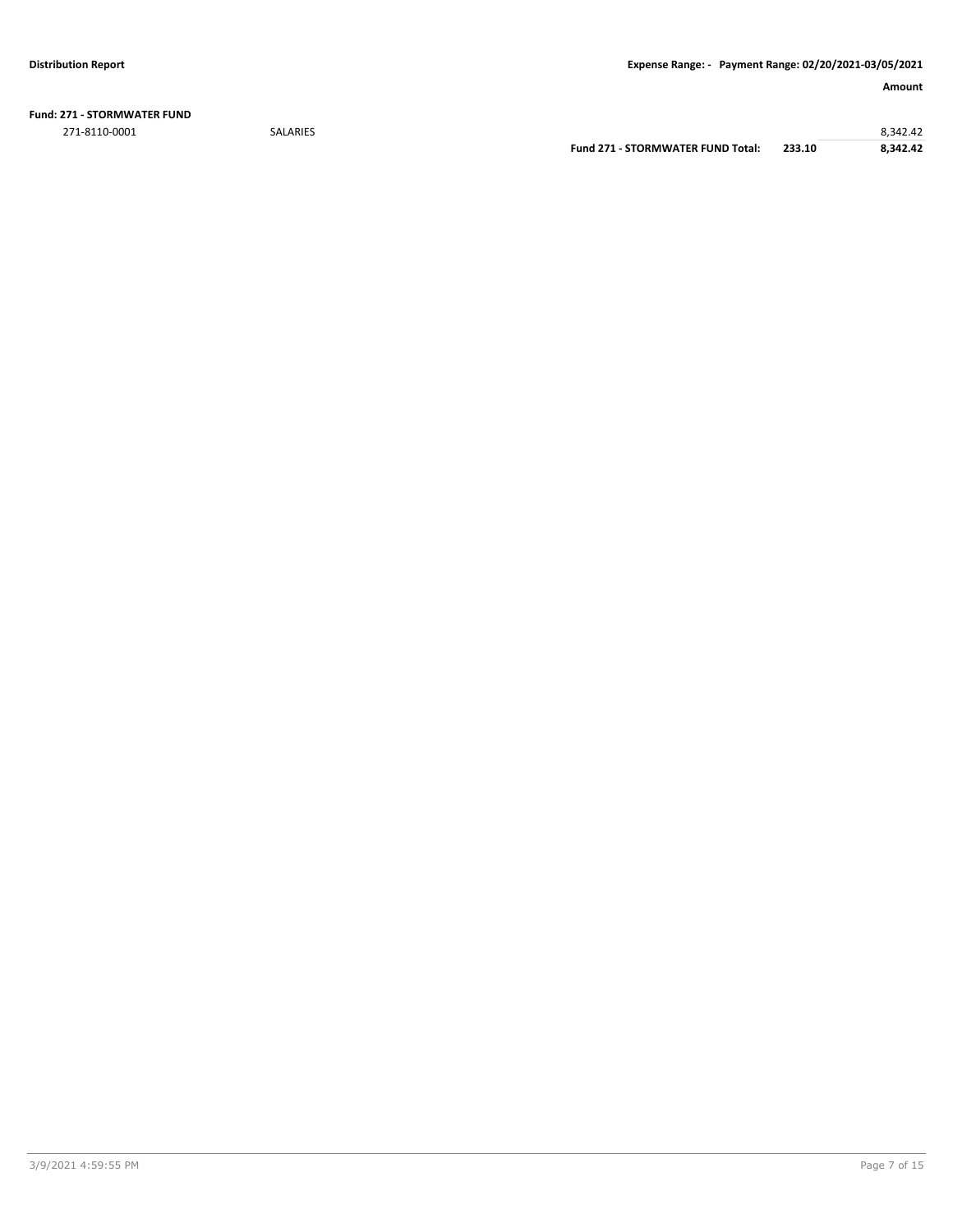**Fund: 271 - STORMWATER FUND** 271-8110-0001 SALARIES 8,342.42

**Fund 271 - STORMWATER FUND Total: 233.10 8,342.42**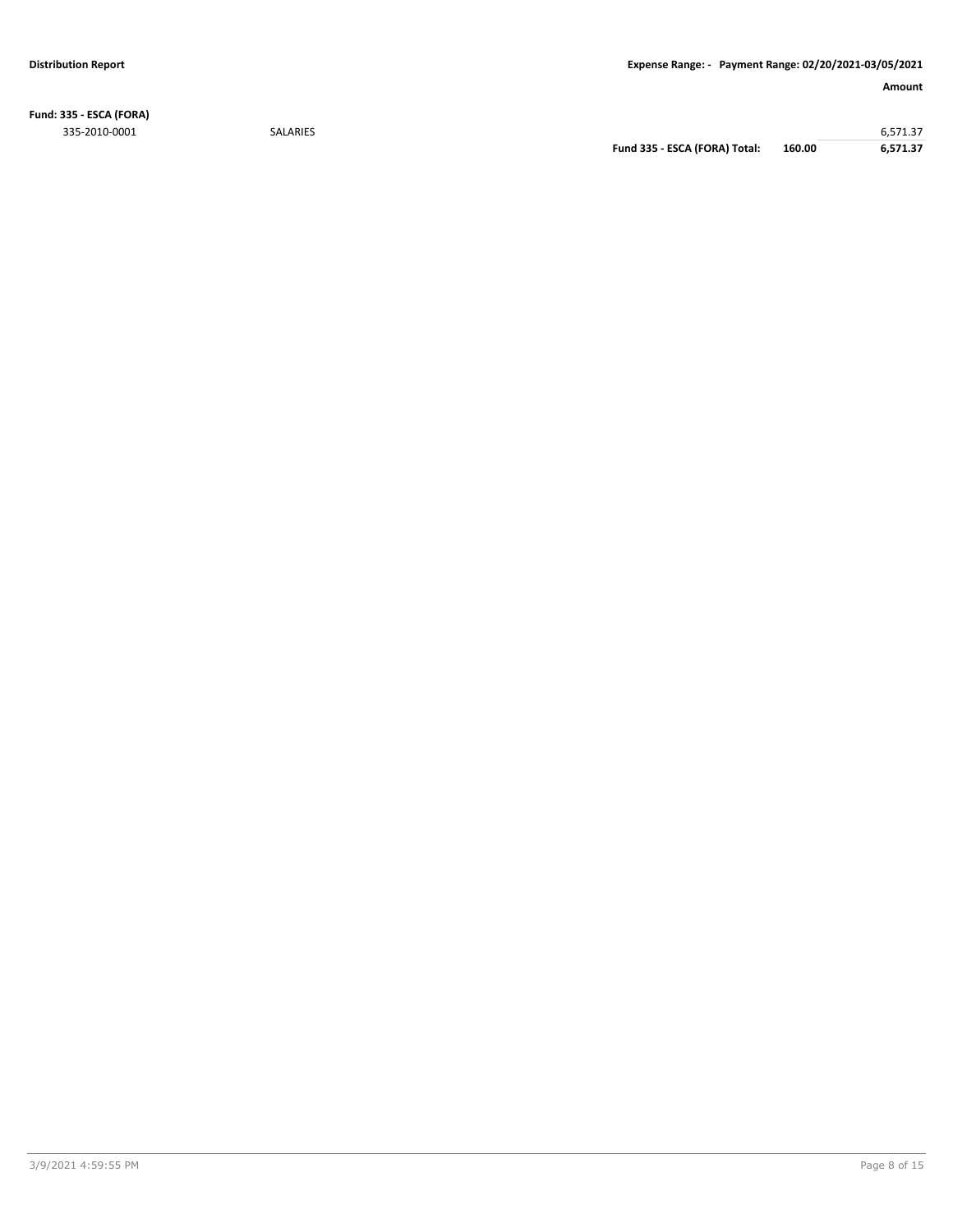**Fund: 335 - ESCA (FORA)**

335-2010-0001 SALARIES 6,571.37 **Fund 335 - ESCA (FORA) Total: 160.00 6,571.37**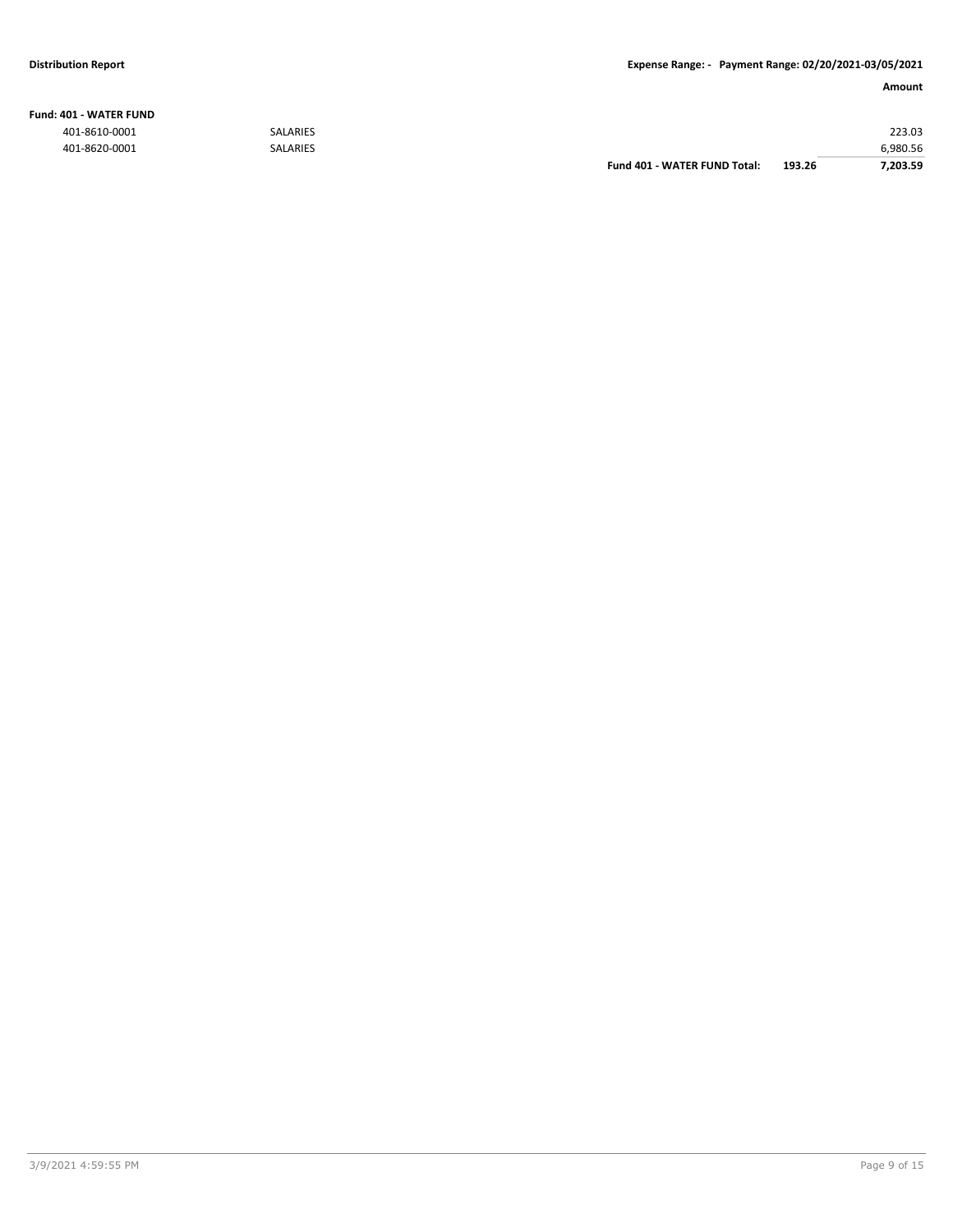#### **Fund: 401 - WATER FUND**

|               |                 | Fund 401 - WATER FUND Total: | 193.26 | 7.203.59 |
|---------------|-----------------|------------------------------|--------|----------|
| 401-8620-0001 | <b>SALARIES</b> |                              |        | 6.980.56 |
| 401-8610-0001 | <b>SALARIES</b> |                              |        | 223.03   |
|               |                 |                              |        |          |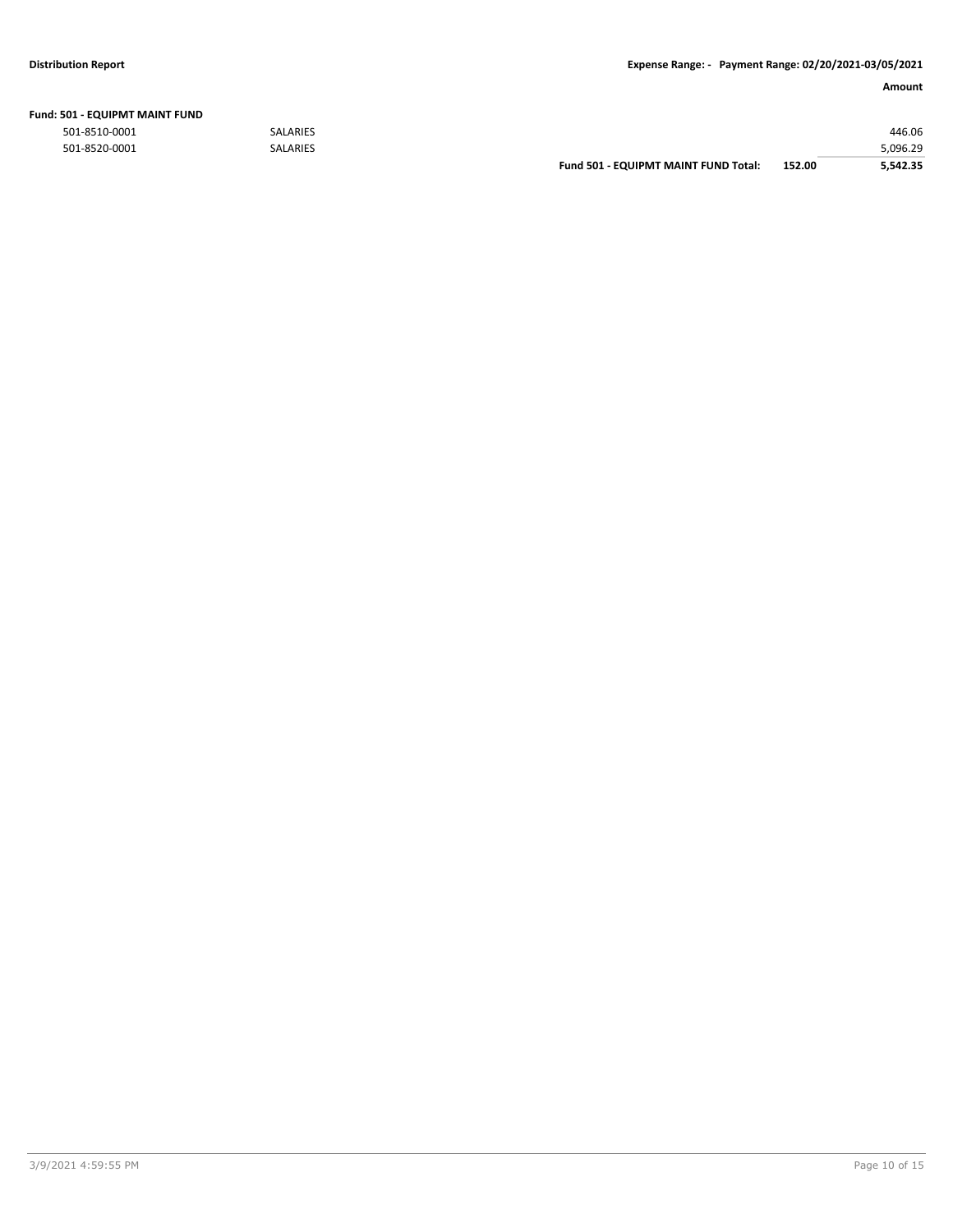| Fund: 501 - EQUIPMT MAINT FUND |  |
|--------------------------------|--|
|--------------------------------|--|

|               |                 | <b>Fund 501 - EQUIPMT MAINT FUND Total:</b> | 152.00 | 5.542.35 |
|---------------|-----------------|---------------------------------------------|--------|----------|
| 501-8520-0001 | <b>SALARIES</b> |                                             |        | 5,096.29 |
| 501-8510-0001 | <b>SALARIES</b> |                                             |        | 446.06   |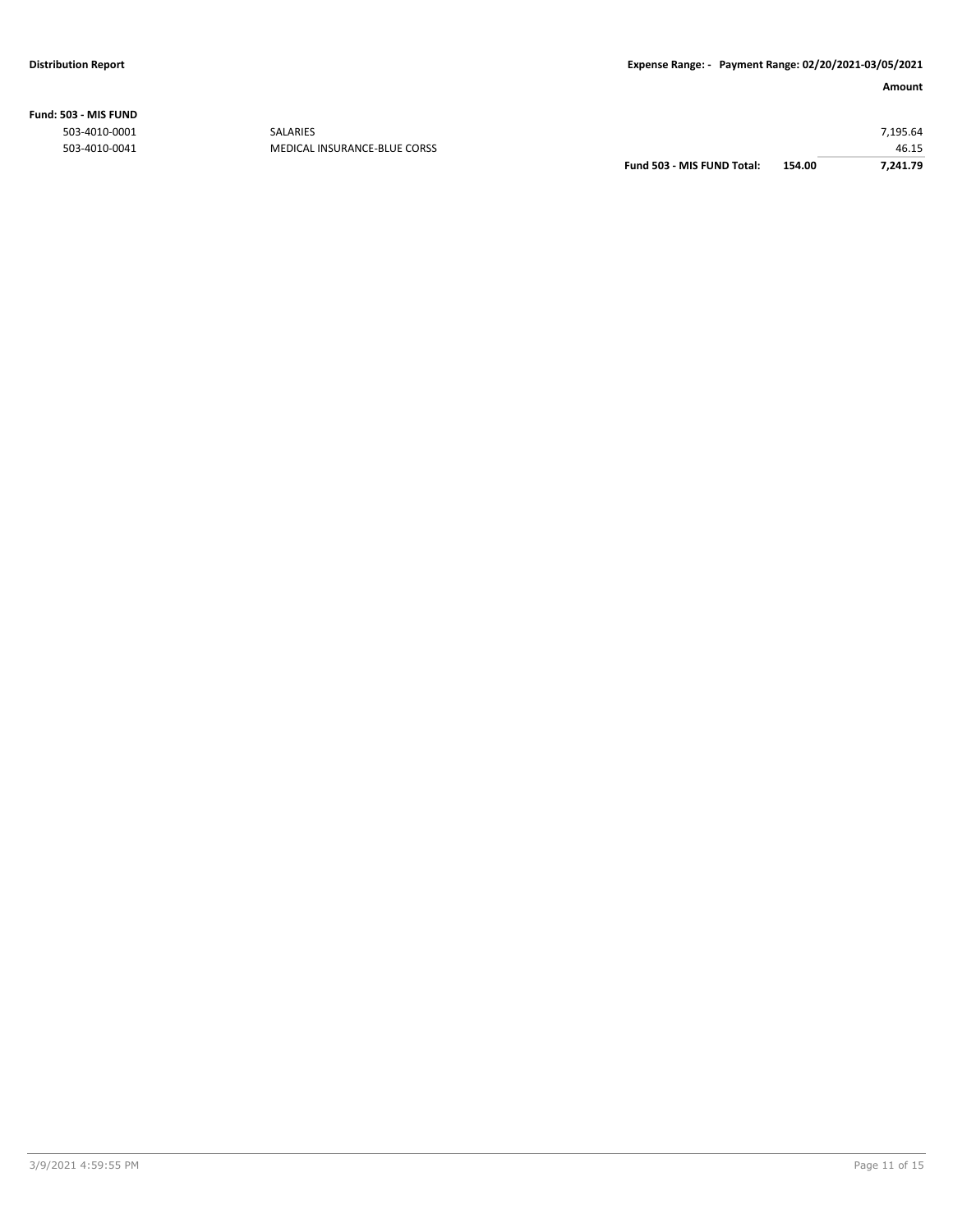**Fund: 503 - MIS FUND**

| 7.241.79 |
|----------|
| 46.15    |
| 7,195.64 |
|          |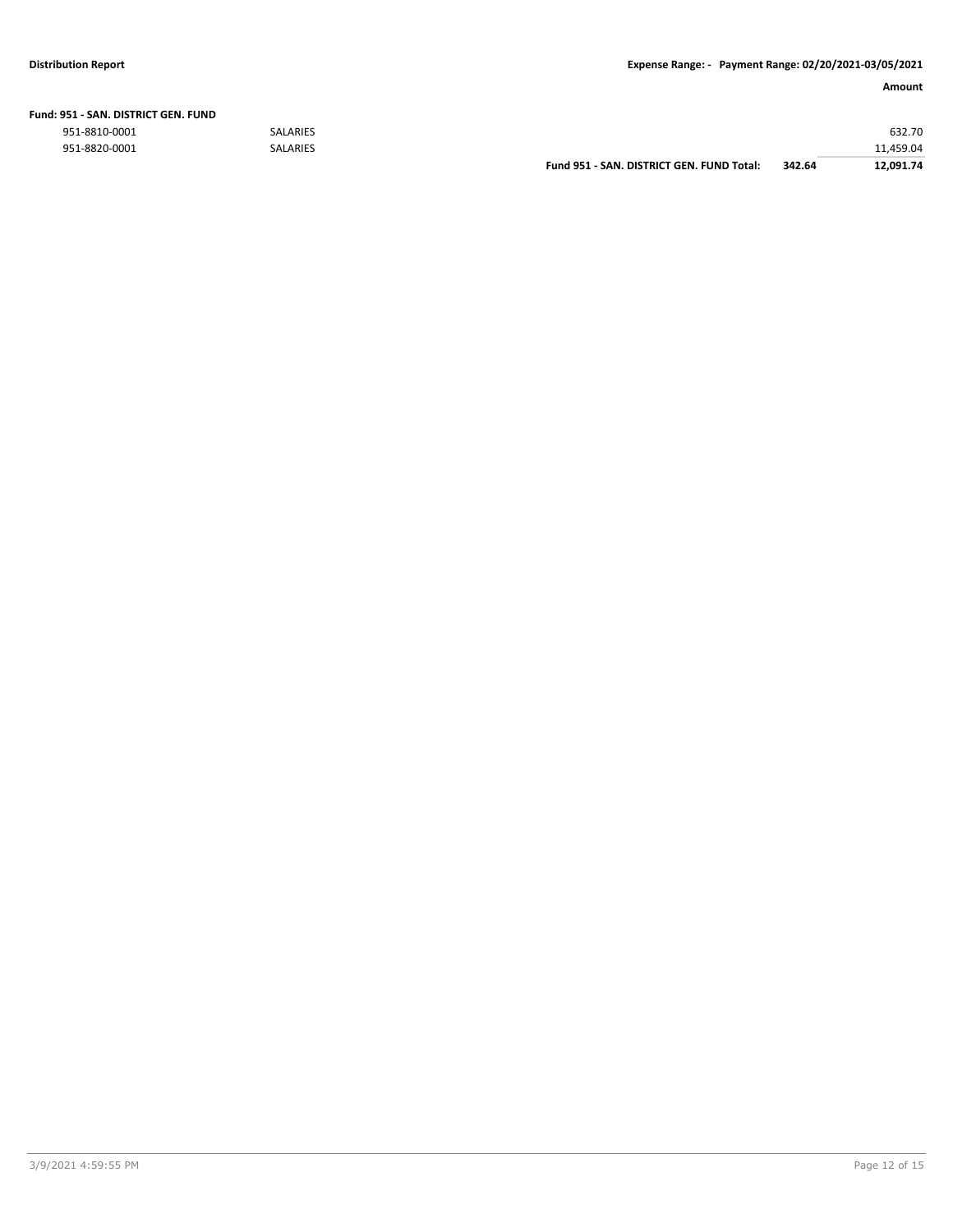| Fund: 951 - SAN. DISTRICT GEN. FUND |                 |           |  |  |
|-------------------------------------|-----------------|-----------|--|--|
| 951-8810-0001                       | SALARIES        | 632.70    |  |  |
| 951-8820-0001                       | <b>SALARIES</b> | 11.459.04 |  |  |

**Fund 951 - SAN. DISTRICT GEN. FUND Total: 342.64 12,091.74**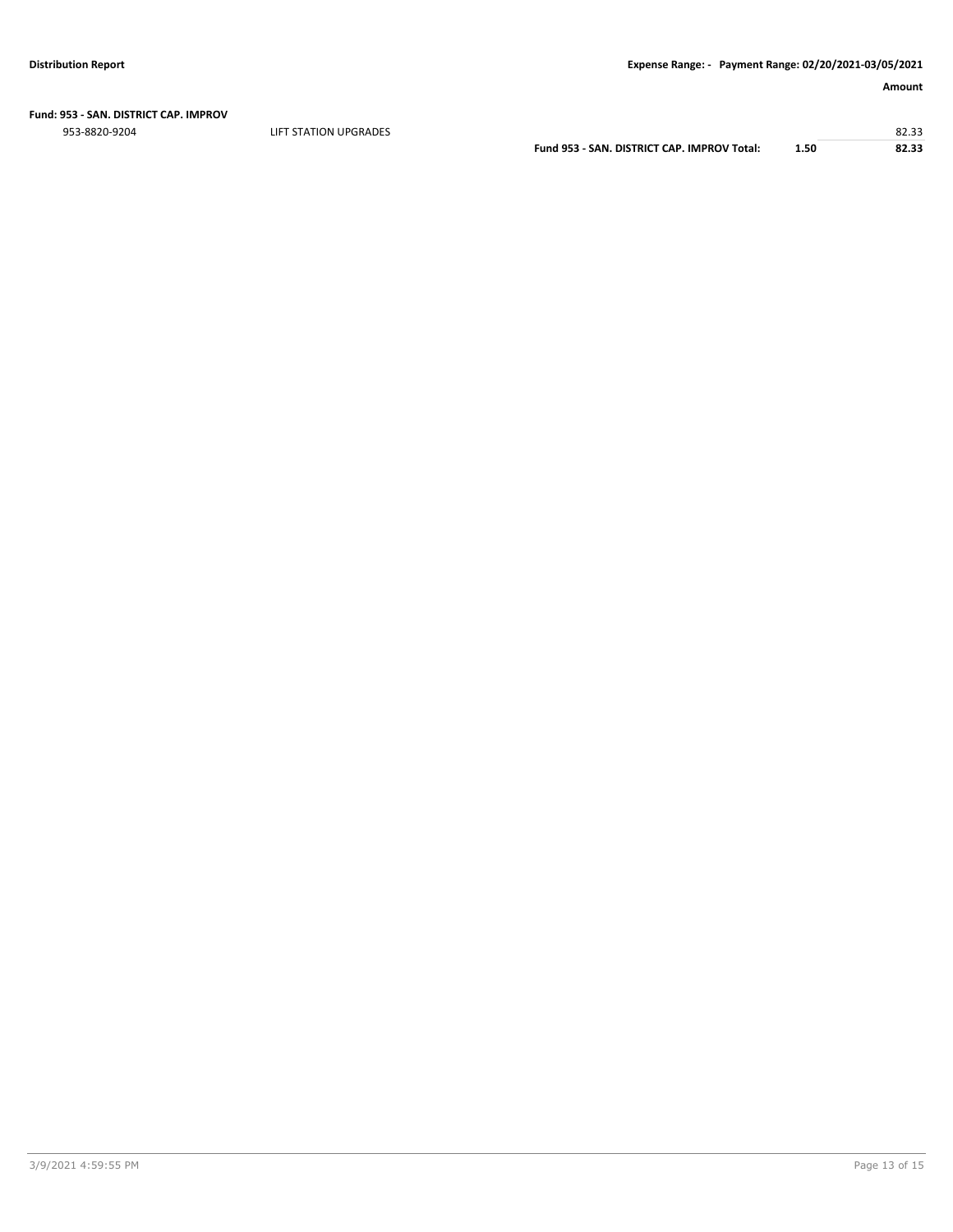# **Fund: 953 - SAN. DISTRICT CAP. IMPROV**

953-8820-9204 LIFT STATION UPGRADES 82.33

**Fund 953 - SAN. DISTRICT CAP. IMPROV Total: 1.50 82.33**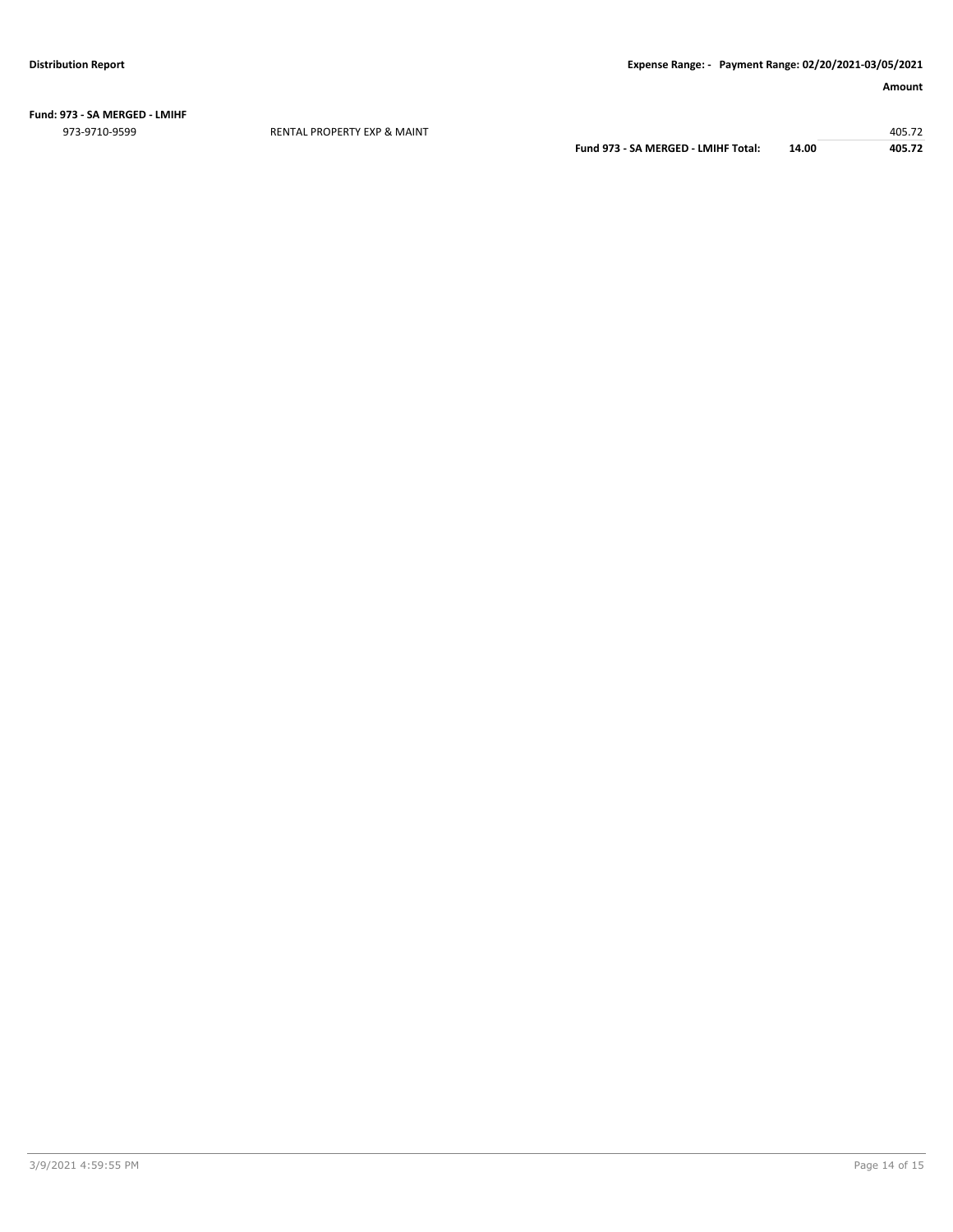**Fund: 973 - SA MERGED - LMIHF** 973-9710-9599 RENTAL PROPERTY EXP & MAINT 405.72

**Fund 973 - SA MERGED - LMIHF Total: 14.00 405.72**